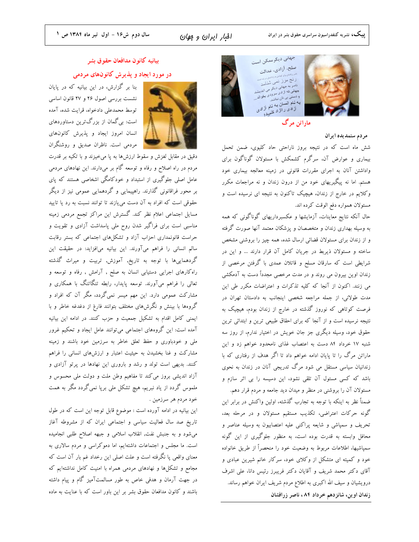**پیک،** نشریه کنفدراسیون سراسری حقوق بشر در ایران

افبار ايران و موان



#### مردم ستمديده ايران

شش ماه است که در نتیجه بروز ناراحتی حاد کلیوی، ضمن تحمل بیماری و عوارض آن، سرگرم کشمکش با مسئولان گوناگون برای واداشتن آنان به اجرای مقررات قانونی در زمینه معالجه بیماری خود هستم. اما نه پیگیریهای خود من از درون زندان و نه مراجعات مکرر وکلایم در خارج از زندان، هیچیک تاکنون به نتیجه ای نرسیده است و مسئولان همواره دفع الوقت كرده اند.

حال آنکه نتایج معاینات، آزمایشها و عکسبرداریهای گوناگونی که همه به وسیله بهداری زندان و متخصصان و پزشکان معتمد آنها صورت گرفته و از زندان برای مسئولان قضائی ارسال شده، همه چیز را بروشنی مشخص ساخته و مسئولان ذیربط در جریان کامل آن قرار دارند ... و این در شرایطی است که سارقان مسلح و قاتلان عمدی با گرفتن مرخصی از زندان اوین بیرون می روند و در مدت مرخصی مجدداً دست به آدمکشی می زنند. اکنون از آنجا که کلیه تذکرات و اعتراضات مکرر طی این مدت طولانی، از جمله مراجعه شخصی اینجانب به دادستان تهران در فرصت کوتاهی که نوروز گذشته در خارج از زندان بودم، هیچیک به نتیجه نرسیده است و از آنجا که برای احقاق طبیعی ترین و ابتدائی ترین حقوق خود، وسیله دیگری جز جان خویش در اختیار ندارم، از روز سه شنبه ۱۷ خرداد ۸۴ دست به اعتصاب غذای نامحدود خواهم زد و این ماراتن مرگ را تا پایان ادامه خواهم داد تا اگر هدف از رفتاری که با زندانیان سیاسی مستقل می شود مرگ تدریجی آنان در زندان به نحوی باشد که کسی مسئول آن تلقی نشود، این دسیسه را بی اثر سازم و

مسئولان آن را بروشنی در منظر و میدان دید جامعه و مردم قرار دهم. ضمناً نظر به اینکه با توجه به تجارب گذشته، اولین واکنش در برابر این گونه حرکات اعتراضی، تکذیب مستقیم مسئولان و در مرحله بعد، تحریف و سمپاشی و شایعه پراکنی علیه اعتصابیون به وسیله عناصر و محافل وابسته به قدرت بوده است، به منظور جلوگیری از این گونه سمپاشیها، اطلاعات مربوط به وضعیت خود را منحصراً از طریق خانواده خود و کمیته ای متشکل از وکلای خود، سرکار خانم شیرین عبادی و آقای دکتر محمد شریف و آقایان دکتر فریبرز رئیس دانا، علی اشرف درویشیان و سیف الله اکبری به اطلاع مردم شریف ایران خواهم رساند. زندان اوین، شانزدهم خرداد ۸۴، ناصر زرافشان

# بيانيه كانو ن مدافعان حقو ق بشر در مورد ایجاد و پذیرش کانونهای مردمی



بنا بر گزارش، در این بیانیه که در پایان نشست بررسی اصول ۲۶ و ۲۷ قانون اساسی توسط محمدعلى دادخواه، قرايت شده، آمده است: بی گمان از بزرگترین دستاوردهای انسان امروز ايجاد و پذيرش كانونهاى مردمی است. ناظران صدیق و روشنگران

دقیق در مقابل لغزش و سقوط ارزشها به پا میخیزند و با تکیه بر قدرت مردم در راه اصلاح و رفاه و توسعه گام بر میدارند. این نهادهای مردمی عامل اصلی جلوگیری از استبداد و خودکامگی اشخاصی هستند که پای بر محور فراقانونی گذارند. راهپیمایی و گردهمایی عمومی نیز از دیگر حقوقی است که افراد به آن دست می یازند تا توانند نسبت به رد یا تایید مسایل اجتماعی اعلام نظر کند. گسترش این مراکز تجمع مردمی زمینه مناسبی است برای فراگیر شدن روح ملی پاسداشت آزادی و تقویت و حراست قانونمداری احزاب آزاد و تشکلهای اجتماعی که بستر رقابت سالم انسانی را فراهم میآورند. این بیانیه میافزاید: در حقیقت این گردهماییها با توجه به تاریخ, آموزش, تربیت و میراث گذشته راه کارهای اجرایی دستیابی انسان به صلح , آرامش , رفاه و توسعه و تعالی را فراهم میآورند. توسعه پایدار، رابطه تنگاتنگ با همکاری و مشارکت عمومی دارد. این مهم میسر نمیگردد، مگر آن که افراد و گروهها با بینش و نگرشهای مختلف بتوانند فارغ از دغدغه خاطر و با ایمنی کامل اقدام به تشکیل جمعیت و حزب کنند. در ادامه این بیانیه آمده است: این گروههای اجتماعی میتوانند عامل ایجاد و تحکیم غرور ملی و خودباوری و حفظ تعلق خاطر به سرزمین خود باشند و زمینه مشارکت و غنا بخشیدن به حیثیت اعتبار و ارزشهای انسانی را فراهم کنند. بدیهی است تولد و رشد و باروری این نهادها در پرتو آزادی و آزاد اندیشی بروز می کند تا مفاهیم وطن ملت و دولت ملی محسوس و ملموس گردد از یاد نبریم، هیچ تشکل ملی برپا نمیگردد مگر به همت خود مردم هر سرزمین .

این بیانیه در ادامه آورده است : موضوع قابل توجه این است که در طول تاریخ صد سال فعالیت سیاسی و اجتماعی ایران که از مشروطه آغاز می شود و به جنبش نفت, انقلاب اسلامی و جبهه اصلاح طلبی انجامیده است. ما مجلس و اجتماعات داشتهایم، اما دموکراسی و مردم سالاری به معنای واقعی یا نگرفته است و علت اصلی این رخداد غم بار آن است که مجامع و تشکلها و نهادهای مردمی همراه با امنیت کامل نداشتهایم که در جهت آرمان و هدفی خاص به طور مسالمتآمیز گام و پیام داشته باشند و کانون مدافعان حقوق بشر بر این باور است که با عنایت به ماده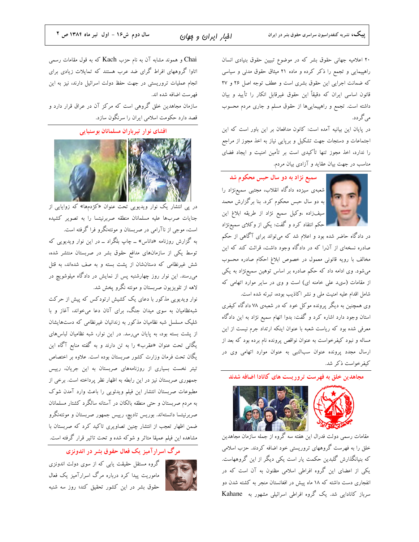۲۰ اعلامیه جهانی حقوق بشر که در موضوع تبیین حقوق بنیادی انسان راهپیمایی و تجمع را ذکر کرده و ماده ۲۱ میثاق حقوق مدنی و سیاسی که ضمانت اجرایی این حقوق بشری است و عطف توجه اصل ۲۶ و ۲۷ قانون اساسی ایران که دقیقاً این حقوق غیرقابل انکار را تأیید و بیان داشته است. تجمع و راهپیماییها از حقوق مسلم و جاری مردم محسوب می گر دد.

در پایان این بیانیه آمده است: کانون مدافعان بر این باور است که این اجتماعات و دستجات جهت تشکیل و برپایی نیاز به اخذ مجوز از مراجع را ندارد، اخذ مجوز تنها تأكيدي است بر تأمين امنيت و ايجاد فضاي مناسب در جهت بیان عقاید و آزادی بیان مردم.



سمیع نژاد به دو سال حبس محکوم شد |شعبهی سیزده دادگاه انقلاب، مجتبی سمیعنژاد را || | به دو سال حبس محکوم کرد. بنا برگزارش محمد |سیفزاده ،وکیل سمیع نژاد از طریقه ابلاغ این مسلم استماد کرد و گفت: یکی از وکلای سمیع;ژاد

در دادگاه حاضر شده بود و اعلام شد که میتواند برای آگاهی از حکم صادره نسخهای از آن٫را که در دادگاه وجود داشت، قرائت کند که این مخالف با رویه قانونی معمول در خصوص ابلاغ احکام صادره محسوب می شود. وی ادامه داد که حکم صادره بر اساس توهین سمیع نژاد به یکی از مقامات (سید علی خامنه ای) است و وی در سایر موارد اتهامی که شامل اقدام عليه امنيت ملي و نشر اكاذيب بوده، تبرئه شده است.

وی همچنین به دیگر پرونده موکل خود که در شعبهی ۷۸ دادگاه کیفری استان وجود دارد اشاره کرد و گفت: بدوا اتهام سمیع نژاد به این دادگاه معرفی شده بود که ریاست شعبه با عنوان اینکه ارتداد جرم نیست از این مساله و نبود کیفرخواست به عنوان نواقص پرونده نام برده بود که بعد از ارسال مجدد پرونده عنوان سبالنبی به عنوان موارد اتهامی وی در کیفرخواست ذکر شد.

مجاهدین خلق به فهرست تروریست های کانادا اضافه شدند



مقامات رسمی دولت فدرال این هفته سه گروه از جمله سازمان مجاهدین خلق را به فهرست گروههای تروریستی خود اضافه کردند. حزب اسلامی که بنیانگذارش گلبدین حکمت یار است یکی دیگر از این گروههاست. یکی از اعضای این گروه افراطی اسلامی مظنون به آن است که در انفجاری دست داشته که ۱۸ ماه پیش در افغانستان منجر به کشته شدن دو سرباز کانادایی شد. یک گروه افراطی اسرائیلی مشهور به Kahane

Chai و هموند مشابه آن به نام حزب Kach که به قول مقامات رسمی اتاوا گروههای افراط گرای ضد عرب هستند که تمایلات زیادی برای انجام عملیات تروریستی در جهت حفظ دولت اسرائیل دارند، نیز به این فهرست اضافه شده اند.

سازمان مجاهدین خلق گروهی است که مرکز آن در عراق قرار دارد و قصد دارد حکومت اسلامی ایران را سرنگون سازد.





در پی انتشار یک نوار ویدیویی تحت عنوان «کژدمها» که زوایایی از جنایات صربها علیه مسلمانان منطقه صربرنیتسا را به تصویر کشیده است، موجی از ناآرامی در صربستان و مونتهنگرو فرا گرفته است.

به گزارش روزنامه «داناس» ــ چاپ بلگراد ــ در این نوار ویدیویی که توسط یکی از سازمانهای مدافع حقوق بشر در صربستان منتشر شده، شش غیرنظامی که دستانشان از پشت بسته و به صف شدهاند، به قتل می رسند. این نوار روز چهارشنبه پس از نمایش در دادگاه میلوشویچ در لاهه از تلویزیون صربستان و مونته نگرو پخش شد.

نوار ویدیویی مذکور با دعای یک کشیش ارتودکس که پیش از حرکت شبهنظامیان به سوی میدان جنگ، برای آنان دعا میخواند، آغاز و با شلیک مسلسل شبه نظامیان مذکور به زندانیان غیرنظامی که دستهایشان از پشت بسته بود، به پایان می رسد. در این نوار، شبه نظامیان لباس های یگانی تحت عنوان «عقرب» را به تن دارند و به گفته منابع آگاه این یگان تحت فرمان وزارت کشور صربستان بوده است. علاوه بر اختصاص تیتر نخست بسیاری از روزنامههای صربستان به این جریان، رییس جمهوری صربستان نیز در این رابطه به اظهار نظر پرداخته است. برخی از مطبوعات صربستان انتشار اين فيلم ويدئويي را باعث وارد آمدن شوك به مردم صربستان و حتی منطقه بالکان در آستانه سالگرد کشتار مسلمانان صربرنیتسا دانستهاند. بوریس تادیچ، رییس جمهور صربستان و مونتهنگرو ضمن اظهار تعجب از انتشار چنین تصاویری تاکید کرد که صربستان با مشاهده این فیلم عمیقا متاثر و شوکه شده و تحت تاثیر قرار گرفته است.

مرگ اسرارآمیز یک فعال حقوق بشر در اندونزی



گروه مستقل حقیقت یابی که از سوی دولت اندونزی ماموریت پیدا کرد درباره مرگ اسرارآمیز یک فعال حقوق بشر در این کشور تحقیق کند؛ روز سه شنبه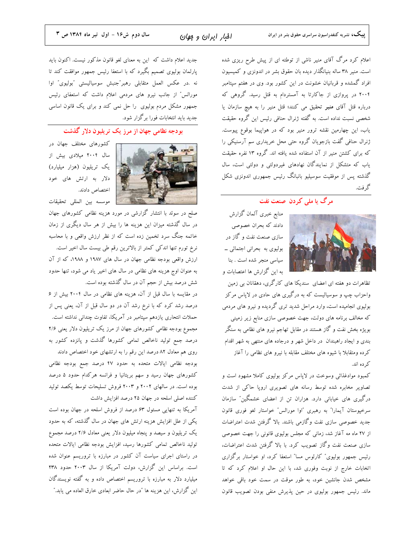پییک، نشریه کنفدراسیون سراسری حقوق بشر در ایران

افبار ايران و موان

اعلام کرد مرگ آقای منیر ناشی از توطئه ای از پیش طرح ریزی شده است. منیر ۳۸ ساله بنیانگذار دیده بان حقوق بشر در اندونزی و کمیسیون افراد گمشده و قربانیان خشونت در این کشور بود. وی در هفتم سیتامبر ۲۰۰۴ در پروازی از جاکارتا به آمستردام به قتل رسید. گروهی که درباره قتل آقای منیر تحقیق می کنند؛ قتل منیر را به هیچ سازمان یا شخصی نسبت نداده است. به گفته ژنرال حنافی رئیس این گروه حقیقت یاب، این چهارمین نقشه ترور منیر بود که در هواپیما بوقوع پیوست. ژنرال حنافی گفت بازجویان گروه حتی محل خریداری سم آرسنیکی را که برای کشتن منیر از آن استفاده شده یافته اند. گروه ۱۳ نفره حقیقت یاب که متشکل از نمایندگان نهادهای غیردولتی و دولتی است، سال گذشته پس از موفقیت سوسیلیو بانبانگ رئیس جمهوری اندونزی شکل گر فت.

# مرگ یا مل<sub>ی</sub> کردن صنعت نفت

منابع خبرى آلمان گزارش دادند که بحران خصوصی سازی صنعت نفت و گاز در بولیوی به بحرانی اجتمائی ــ سیاسی منجر شده است . بنا به این گزارش ها اعتصابات و

تظاهرات دو هفته ای اعضای ِ سندیکا های کارگری، دهقانان بی زمین واحزاب چپ و سوسیالیست که به درگیری های حادی در لاپاس مرکز بولیوی انجامیده است، وارد مراحل شدید تری گردیده و نیرو های مردمی که مخالف برنامه های دولت، جهت خصوصی سازی منابع زیر زمینی بویژه بخش نفت و گاز هستند در مقابل تهاجم نیرو های نظامی به سنگر بندی و ایجاد راهبندان در داخل شهر و درجاده های منتهی به شهر اقدام کرده ومتقابلا با شیوه های مختلف مقابله با نیرو های نظامی را آغاز که ده اند.

کمبود موادغذائی وسوخت در لاپاس مرکز بولیوی کاملا مشهود است و تصاویر مخابره شده توسط رسانه های تصویری اروپا حاکی از شدت درگیری های خیابانی دارد. هزاران تن از اعضای خشمگین" سازمان سرخپوستان آیمارا" به رهبری "اوا مورالس" خواستار لغو فوری قانون جدید خصوصی سازی نفت وگازمی باشند. بالا گرفتن شدت اعتراضات از ۲۷ ماه مه آغاز شد، زمانی که مجلس بولیوی قانونی را جهت خصوصی سازی صنعت نفت وگاز تصویب کرد. با بالا گرفتن شدت اعتراضات، رئیس جمهور بولیوی" کارلوس مسا" استعفا کرد، او خواستار برگزاری اتخابات خارج از نوبت وفوری شد، با این حال او اعلام کرد که تا مشخص شدن جانشین خود، به طور موقت در سمت خود باقی خواهد ماند. رئیس جمهور بولیوی در حین پذیرش منفی بودن تصویب قانون

جدید اعلام داشت که این به معنای لغو قانون مذکور نیست. اکنون باید پارلمان بولیوی تصمیم بگیرد که با استعفا رئیس جمهور موافقت کند تا نه .در عكس العمل متقابلي رهبر"جنبش سوسياليستي "بوليوي" اوا مورالس" از جانب نیرو های مردمی اعلام داشت که استعفای رئیس جمهور مشکل مردم بولیوی ًرا حل نمی کند و برای یک قانون اساسی جدید باید انتخابات فورا برگزار شود.

# بودجه نظامی جهان از مرز یک تریلیون دلار گذشت



کشورهای مختلف جهان در سال ۲۰۰۴ میلادی بیش از یک تریلیون (هزار میلیارد) دلار به ارتش های خود اختصاص دادند.

موسسه بين المللي تحقيقات

صلح در سوئد با انتشار گزارشی در مورد هزینه نظامی کشورهای جهان در سال گذشته میزان این هزینه ها را بیش از هر سال دیگری از زمان خاتمه جنگ سرد تخمین زده است که از نظر ارزش واقعی و با محاسبه نرخ تورم تنها اندكى كمتر از بالاترين رقم طي بيست سال اخير است. ارزش واقعی بودجه نظامی جهان در سال های ۱۹۸۷ و ۱۹۸۸، که از آن

به عنوان اوج هزینه های نظامی در سال های اخیر یاد می شود، تنها حدود شش درصد بیش از حجم آن در سال گذشته بوده است.

در مقایسه با سال قبل از آن، هزینه های نظامی در سال ۲۰۰۴ بیش از ۶ درصد رشد کرد که با نرخ رشد آن در دو سال قبل از آن، یعنی پس از حملات انتحاری یازدهم سپتامبر در آمریکا، تفاوت چندانی نداشته است. مجموع بودجه نظامی کشورهای جهان از مرز یک تریلیون دلار یعنی ۲/۶ درصد جمع تولید ناخالص تمامی کشورها گذشت و پانزده کشور به روی هم معادل ۸۲ درصد این رقم را به ارتشهای خود اختصاص دادند بودجه نظامی ایالات متحده به حدود ۴۷ درصد جمع بودجه نظامی کشورهای جهان رسید و سهم بریتانیا و فرانسه هرکدام حدود ۵ درصد بوده است. در سالهای ۲۰۰۲ و ۲۰۰۳ فروش تسلیحات توسط یکصد تولید كننده اصلى اسلحه در جهان ٢۵ درصد افزايش داشت

آمریکا به تنهایی مسئول ۶۳ درصد از فروش اسلحه در جهان بوده است یکی از علل افزایش هزینه ارتش های جهان در سال گذشته، که به حدود یک تریلیون و سیصد و پنجاه میلیون دلار یعنی معادل ۲/۶ درصد مجموع توليد ناخالص تمامى كشورها رسيد، افزايش بودجه نظامى ايالات متحده در راستای اجرای سیاست آن کشور در مبارزه با تروریسم عنوان شده است. براساس این گزارش، دولت آمریکا از سال ۲۰۰۳ حدود ۲۳۸ میلیارد دلار به مبارزه با تروریسم اختصاص داده و به گفته نویسندگان این گزارش، این هزینه ها "در حال حاضر ابعادی خارق العاده می یابد."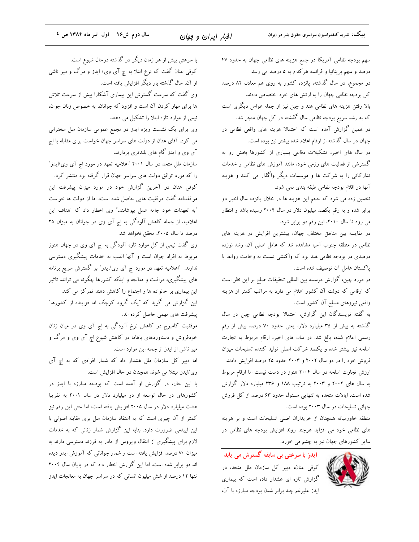**پییک،** نشریه کنفدراسیون سراسری حقوق بشر در ایران

با سرعتی بیش از هر زمان دیگر در گذشته درحال شیوع است. سهم بودجه نظامی آمریکا در جمع هزینه های نظامی جهان به حدود ۴۷ کوفی عنان گفت که نرخ ابتلا به اچ آی وی/ ایدز و مرگ و میر ناشی درصد و سهم بریتانیا و فرانسه هرکدام به ۵ درصد می رسد. در مجموع، در سال گذشته، پانزده کشور به روی هم معادل ۸۲ درصد کل بودجه نظامی جهان را به ارتش های خود اختصاص دادند. بالا رفتن هزینه های نظامی هند و چین نیز از جمله عوامل دیگری است که به رشد سریع بودجه نظامی سال گذشته در کل جهان منجر شد. در همین گزارش آمده است که احتمالا هزینه های واقعی نظامی در جهان در سال گذشته از ارقام اعلام شده بیشتر نیز بوده است. در سال های اخیر، تشکیلات دفاعی بسیاری از کشورها بخش رو به گسترشی از فعالیت های رزمی خود، مانند آموزش های نظامی و خدمات تدارکاتی را به شرکت ها و موسسات دیگر واگذار می کنند و هزینه آنها در اقلام بودجه نظامی طبقه بندی نمی شود. تخمین زده می شود که حجم این هزینه ها در خلال پانزده سال اخیر دو برابر شده و به رقم یکصد میلیون دلار در سال ۲۰۰۴ رسیده باشد و انتظار می رود تا سال ۲۰۱۰، این رقم دو برابر شود. درصد تا سال ۲۰۰۵، محقق نخواهد شد. در مقایسه بین مناطق مختلف جهان، بیشترین افزایش در هزینه های نظامی در منطقه جنوب آسیا مشاهده شد که عامل اصلی آن، رشد نوزده درصدی در بودجه نظامی هند بود که واکنشی نسبت به وخامت روابط با ياكستان عامل آن توصيف شده است. در مورد چین، گزارش موسسه بین المللی تحقیقات صلح بر این نظر است که ارقامی که دولت آن کشور اعلام می دارد به مراتب کمتر از هزینه واقعی نیروهای مسلح آن کشور است. به گفته نویسندگان این گزارش، احتمالا بودجه نظامی چین در سال پیشرفت های مهمی حاصل کرده اند. گذشته به بیش از ۳۵ میلیارد دلار، یعنی حدود ۷۰ درصد بیش از رقم رسمی اعلام شده، بالغ شد. در سال های اخیر، ارقام مربوط به تجارت اسلحه نیز بیشتر شده و یکصد شرکت اصلی تولید کننده تسلیحات میزان فروش خود را در دو سال ۲۰۰۲ و ۲۰۰۳ حدود ۲۵ درصد افزایش دادند.

ارزش تجارت اسلحه در سال ۲۰۰۴ هنوز در دست نیست اما ارقام مربوط به سال های ۲۰۰۲ و ۲۰۰۳ به ترتیب ۱۸۸ و ۲۳۶ میلیارد دلار گزارش شده است. ایالات متحده به تنهایی مسئول حدود ۶۳ درصد از کل فروش جهانی تسلیحات در سال ۲۰۰۳ بوده است.

منطقه خاورمیانه همچنان از خریداران اصلی تسلیحات است و بر هزینه های نظامی خود می افزاید هرچند روند افزایش بودجه های نظامی در سایر کشورهای جهان نیز به چشم می خورد.



ایدز با سرعتی بی سابقه گسترش می یابد کوفی عنان، دبیر کل سازمان ملل متحد، در گزارش تازه ای هشدار داده است که بیماری ایدز علیرغم چند برابر شدن بودجه مبارزه با آن،

از آن، سال گذشته بار دیگر افزایش یافته است. وی گفت که سرعت گسترش این بیماری آشکارا بیش از سرعت تلاش ها برای مهار کردن آن است و افزود که جوانان، به خصوص زنان جوان، نیمی از موارد تازه ابتلا را تشکیل می دهند. وی برای یک نشست ویژه ایدز در مجمع عمومی سازمان ملل سخنرانی می کرد. آقای عنان از دولت های سراسر جهان خواست برای مقابله با اچ آی وی و ایدز گام های بلندتری بردارند. سازمان ملل متحد در سال ۲۰۰۱ "اعلامیه تعهد در مورد اچ آی وی/ایدز" را که مورد توافق دولت های سراسر جهان قرار گرفته بود منتشر کرد. کوفی عنان در آخرین گزارش خود در مورد میزان پیشرفت این موافقتنامه گفت موفقیت هایی حاصل شده است، اما از دولت ها خواست "به تعهدات خود جامه عمل بپوشانند." وی اخطار داد که اهداف این اعلامیه، از جمله کاهش آلودگی به اچ آی وی در جوانان به میزان ۲۵

وی گفت نیمی از کل موارد تازه آلودگی به اچ آی وی در جهان هنوز مربوط به افراد جوان است و آنها اغلب به خدمات پیشگیری دسترسی ندارند. "اعلامیه تعهد در مورد اچ آی وی/ایدز" بر گسترش سریع برنامه های پیشگیری، مراقبت و معالجه و اینکه کشورها چگونه می توانند تاثیر این بیماری بر خانواده ها و اجتماع را کاهش دهند تمرکز می کند.

این گزارش می گوید که "یک گروه کوچک اما فزاینده از کشورها"

موفقیت کامبوج در کاهش نرخ آلودگی به اچ آی وی در میان زنان خودفروش و دستاوردهای باهاما در کاهش شیوع اچ آی وی و مرگ و میر ناشی از ایدز از جمله این موارد است.

اما دبیر کل سازمان ملل هشدار داد که شمار افرادی که به اچ آی وی/ایدز مبتلا می شوند همچنان در حال افزایش است.

با این حال، در گزارش او آمده است که بودجه مبارزه با ایدز در کشورهای در حال توسعه از دو میلیارد دلار در سال ۲۰۰۱ به تقریبا هشت میلیارد دلار در سال ۲۰۰۵ افزایش یافته است، اما حتی این رقم نیز کمتر از آن چیزی است که به اعتقاد سازمان ملل بری مقابله اصولی با این اپیدمی ضرورت دارد. بنابه این گزارش شمار زنانی که به خدمات لازم برای پیشگیری از انتقال ویروس از مادر به فرزند دسترسی دارند به میزان ۷۰ درصد افزایش یافته است و شمار جوانانی که آموزش ایدز دیده اند دو برابر شده است. اما این گزارش اخطار داد که در پایان سال ۲۰۰۴ تنها ۱۲ درصد از شش میلیون انسانی که در سراسر جهان به معالجات ایدز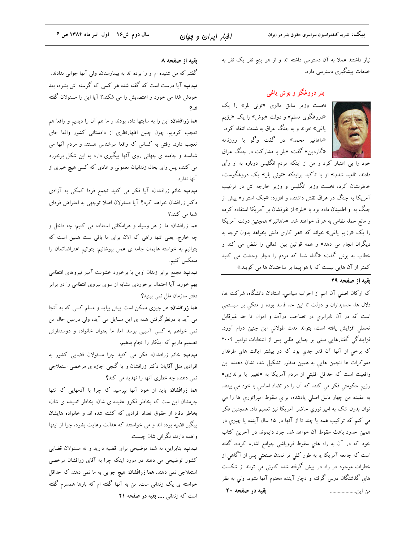نیاز داشتند عملا به آن دسترسی داشته اند و از هر پنج نفر یک نفر به خدمات پیشگیری دسترسی دارد.

# بلر دروغگو و بوش یاغی

نخست وزیر سابق مالزی «تونی بلر» را یک «دروغگوی مسلم» و دولت «بوش» را یک «رژیم یاغی» خواند و به جنگ عراق به شدت انتقاد کرد. «ماهاتیر محمد» در گفت وگو با روزنامه «گاردین» گفت: «بلر با مشارکت در جنگ عراق

.<br>خود را بی اعتبار کرد و من از اینکه مردم انگلیس دوباره به او رأی دادند، ناامید شدم.» او با تأکید براینکه «تونی بلر» یک دروغگوست، خاطرنشان کرد، نخست وزیر انگلیس و وزیر خارجه اش در ترغیب آمریکا به جنگ در عراق نقش داشتند، و افزود: «جک استراو» پیش از جنگ به او اطمینان داده بود با «بلر» از نفوذشان بر آمریکا استفاده کرده و مانع حمله نظامی به عراق خواهند شد. «ماهاتیر» همچنین دولت آمریکا را یک «رژیم یاغی» خواند که «هر کاری دلش بخواهد بدون توجه به دیگران انجام می دهد» و همه قوانین بین المللی را نقض می کند و خطاب به بوش گفت: «گناه شما که مردم را دچار وحشت می کنید کمتر از آن هایی نیست که با هواپیما بر ساختمان ها می کوبند.»

# تقبه از صفحه ۲۹

که ارکان اصلی آن اعم از احزاب سیاسی، استادان دانشگاه، شرکت ها، دلال ها، حسابداران و دولت تا این حد فاسد بوده و متکی بر سیستمی است که در آن نابرابری در تصاحب درآمد و اموال تا حد غیرقابل تحملي افزايش يافته است، بتواند مدت طولاني اين چنين دوام آورد. فزایندگی گفتارهایی مبنی بر جدایی طلبی پس از انتخابات نوامبر ۲۰۰۴ که برخی از آنها آن قدر جدي بود که در بیشتر ایالت هاي طرفدار دموکرات ها انجمن هایی به همین منظور تشکیل شد، نشان دهنده این واقعیت است که حداقل اقلیتی از مردم آمریکا به «تغییر یا براندازي» رژیم حکومتی فکر می کنند که آن را در تضاد اساسی با خود می بینند. به عقيده من چهار دليل اصلي يادشده، براي سقوط امپراتوري ها را مي توان بدون شک به امپراتوري حاضر آمريکا نيز تعميم داد. همچنين فکر می کنم که ترکیب همه یا چند تا از آنها در ۱۵ سال آینده یا چیزي در همین حدود باعث سقوط آن خواهد شد. جرد دایموند در آخرین کتاب خود که در آن به راه هاي سقوط فروپاشی جوامع اشاره کرده، گفته است که جامعه آمریکا یا به طور کلی تر تمدن صنعتی پس از آگاهی از خطرات موجود در راه در پیش گرفته شده کنونی می تواند از شکست هایِ گذشتگان درس گرفته و دچار آینده محتوم آنها نشود. ولی به نظر بقیه در صفحه ۲۰ من این.........................

# بقيه از صفحه ٨

گفتم که من شنیده ام او را برده اند به بیمارستان، ولی آنها جوابی ندادند. **ب.پ**: آیا درست است که گفته شده هر کسی که گرسنه اش بشود، بعد خودش غذا می خورد و اعتصابش را می شکند؟ آیا این را مسئولان گفته

هما زرافشان: این را به سایتها داده بودند و ما هم آن را دیدیم و واقعا هم تعجب کردیم. چون چنین اظهارنظری از دادستانی کشور واقعا جای تعجب دارد. وقتی به کسانی که واقعا سرشناس هستند و مردم آنها می شناسند و جامعه ی جهانی روی آنها پیگیری دارد به این شکل برخورد می کنند، پس وای بحال زندانیان معمولی و عادی که کسی هیچ خبری از آنها ندارد.

**ب.پ**: خانم زرافشان، آیا فکر می کنید تجمع فردا کمکی به آزادی دکتر زرافشان خواهد کرد؟ آیا مسئولان اصلا توجهی به اعتراض فردای شما می کنند؟

هما زرافشان: ما از هر وسیله و هرامکانی استفاده می کنیم، چه داخل و چه خارج. یعنی تنها راهی که الان برای ما باقی ست همین است که بتوانیم به خواسته هایمان جامه ی عمل بپوشانیم، بتوانیم اعتراضاتمان را منعكس كنيم.

ب.پ: تجمع برابر زندان اوین با برخورد خشونت آمیز نیروهای انتظامی بهم خورد. آیا احتمال برخوردی مشابه از سوی نیروی انتظامی را در برابر دفتر سازمان ملل نمی بینید؟

هما زرافشان: هر چیزی ممکن است پیش بیاید و مسلم کسی که به آنجا می آید با درنظرگرفتن همه ی این مسایل می آید، ولی درعین حال من نمی خواهم به کسی آسیبی برسد. اما، ما بعنوان خانواده و دوستدارش تصمیم داریم که اینکار را انجام بدهیم.

ب.پ: خانم زرافشان، فکر می کنید چرا مسئولان قضایی کشور به افرادی مثل آقایان دکتر زرافشان و یا گنجی اجازه ی مرخصی استعلاجی نمی دهند، چه خطری آنها را تهدید می کند؟

هما زرافشان: باید از خود آنها بپرسید که چرا با آدمهایی که تنها جرمشان این ست که بخاطر فکرو عقیده ی شان، بخاطر اندیشه ی شان، بخاطر دفاع از حقوق تعداد افرادى كه كشته شده اند و خانواده هايشان پیگیر قضیه بوده اند و می خواستند که عدالت رعایت بشود، چرا از اینها واهمه دارند، نگرانی شان چیست.

ب.پ: بنابراین، نه شما توضیحی برای قضیه دارید و نه مسئولان قضایی کشور توضیحی می دهند در مورد اینکه چرا به آقای زرافشان مرخصی استعلاجی نمی دهند. هما زرافشان: هیچ جوابی به ما نمی دهند که حداقل خواسته ی یک زندانی ست. من به آنها گفته ام که بارها همسرم گفته است که زندانی .... بقیه در صفحه ۲۱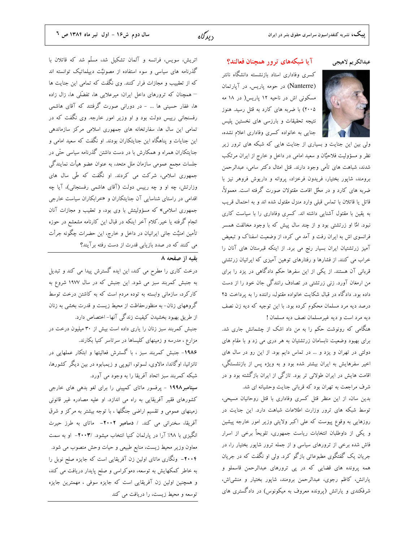دىدگاە

#### عبدالكريم لاهيجي



آیا شبکههای ترور همچنان فعالند؟

ولی بین این جنایت و بسیاری از جنایت هایی که شبکه های ترور زیر نظر و مسؤولیت فلاحیٌان و سعید امامی در داخل و خارج از ایران مرتکب شدند، شباهت های تأمی وجود دارند. قتل امثال دکتر سامی، عبدالرحمن برومند، شاپور بختیار، فریدون فرخزاد، پروانه و داریوش فروهر نیز با ضربه های کارد و در محْل اقامت مقتولان صورت گرفته است. معمولاً، قاتل يا قاتلان با تماس قبلي وارد منزل مقتول شده اند و به احتمال قريب به یقین با مقتول آشنایی داشته اند. کسری وفاداری را با سیاست کاری نبود. المٌا او زرتشتی بود و از چند سال پیش که با وجود مخالفت همسر فرانسوی اش به ایران رفت و آمد می کرد، از وضعیت اسفناک و تبعیض آمیز زرتشتیان ایران بسیار رنج می برد. از اینکه قبرستان های آنان را خراب می کنند. از فشارها و رفتارهای توهین آمیزی که ایرانیان زرتشتی قربانی آن هستند. از یکی از این سفرها حکم دادگاهی در یزد را برای من ارمغان آورد. زنی زرتشتی در تصادف رانندگی جان خود را از دست داده بود. دادگاه در قبال شکایت خانواده مقتول، راننده را به پرداخت ۲۵ درصد دیه مرد مسلمان محکوم کرده بود. با این توجیه که دیه زن نصف ديه مرد است و ديه غيرمسلمان نصف ديه مسلمان !

هنگامی که رونوشت حکم را به من داد اشک از چشمانش جاری شد. برای بهبود وضعیت نابسامان زرتشتیان به هر دری می زد و با مقام های دولتی در تهران و یزد و ... در تماس دایم بود. از این رو در سال های اخیر سفرهایش به ایران بیشتر شده بود و به ویژه پس از بازنشستگی، اقامت هایش در ایران طولانی تر بود. تازگی از ایران بازگشته بود و در شرف مراجعت به تهران بود که قربانی جنایت وحشیانه ای شد.

بدین سان، از این منظر قتل کسری وفاداری با قتل روحانیان مسیحی، توسط شبکه های ترور وزارت اطلاعات شباهت دارد. این جنایت در روزهایی به وقوع پیوست که علی اکبر ولایتی وزیر امور خارجه پیشین و یکی از داوطلبان انتخابات ریاست جمهوری، تلویحاً برخی از اسرار فاش شده برخی از ترورهای سیاسی و از جمله ترور شاپور بختیار را، در جریان یک گفتگوی مطبوعاتی بازگو کرد. ولی او نگفت که در جریان همه پرونده های قضایی که در پی ترورهای عبدالرحمن قاسملو و یارانش، کاظم رجوی، عبدالرحمن برومند، شاپور بختیار و منشی|ش، شرفکندی و یارانش (پرونده معروف به میکونوس) در دادگستری های

اتریش، سویس، فرانسه و آلمان تشکیل شد، مسلّم شد که قاتلان با گذرنامه های سیاسی و سوء استفاده از مصونیٌت دیپلماتیک توانسته اند که از تعقییب و مجازات فرار کنند. وی نگفت که تمامی این جنایت ها – همچنان که ترورهای داخل ایران: میرعلایی ها، تفضّلی ها، زال زاده ها، غفار حسینی ها … - در دورانی صورت گرفتند که آقای هاشمی رفسنجانی رییس دولت بود و او وزیر امور خارجه. وی نگفت که در تمامی این سال ها، سفارتخانه های جمهوری اسلامی مرکز سازماندهی این جنایات و پناهگاه این جنایتکاران بودند. او نگفت که سعید امامی و جنایتکاران همراه و همکارش با در دست داشتن گذرنامه سیاسی حتّی در جلسات مجمع عمومی سازمان ملل متحد، به عنوان عضو هیأت نمایندگی جمهوری اسلامی، شرکت می کردند. او نگفت که طّی سال های وزارتش، چه او و چه رییس دولت (آقای هاشمی رفسنجانی)، آیا چه اقدامی در راستای شناسایی آن جنایتکاران و «خرابکاران سیاست خارجی جمهوری اسلامی» که مسؤولیتش با وی بود، و تعقیب و مجازات آنان انجام گرفته یا خیر.کلام آخر اینکه در قبال این کارنامه مشعشع در حوزه تأمین امنیٌت جانی ایرانیان در داخل و خارج، این حضرات چگونه جرأت می کنند که در صدد بازیابی قدرت از دست رفته برآیند؟

# ىقيە از صفحه ٨

درخت کاری را مطرح می کند، این ایده گسترش پیدا می کند و تبدیل به جنبش کمربند سبز می شود. این جنبش که در سال ۱۹۷۷ شروع به کارکرد، سازمانی وابسته به توده مردم است که به کاشتن درخت توسط گروههای زنان- به منظورحفاظت از محیط زیست و قدرت بخشی به زنان از طریق بهبود بخشیدن کیفیت زندگی آنها-اختصاص دارد. جنبش کمربند سبز زنان را یاری داده است بیش از ۳۰ میلیون درخت در مزارع ، مدرسه و زمینهای کلیساها در سرتاسر کنیا بکارند.

۱۹۸۶- جنبش کمربند سبز ، با گسترش فعالیتها و ابتکار عملهایی در تانزانیا، اوگاندا، مالاوی، لسوتو، اتیوپی و زیمبابوه در بین دیگر کشورها، شبکه کمربند سبز اتحاد آفریقا را به وجود می آورد.

سپتامبر۱۹۹۸ - پرفسور ماتای کمپینی را برای لغو بدهی های خارجی کشورهای فقیر آفریقایی به راه می اندازد. او علیه مصادره غیر قانونی زمینهای عمومی و تقسیم اراضی جنگلها ، با توجه بیشتر به مرکز و شرق آفریقا، سخنرانی می کند. / دسامبر ۲۰۰۲– ماتای به طرز حیرت انگیزی با ۹۸٪ آرا در پارلمان کنیا انتخاب میشود. /۲۰۰۳– او به سمت معاون وزیر محیط زیست، منابع طبیعی و حیات وحش منصوب می شود. ۲۰۰۴- ونگاری ماتای اولین زن آفریقایی است که جایزه صلح نوبل را به خاطر کمکهایش به توسعه، دموکراسی و صلح پایدار دریافت می کند، و همچنین اولین زن آفریقایی است که جایزه سوفی ، مهمترین جایزه توسعه و محیط زیست، را دریافت می کند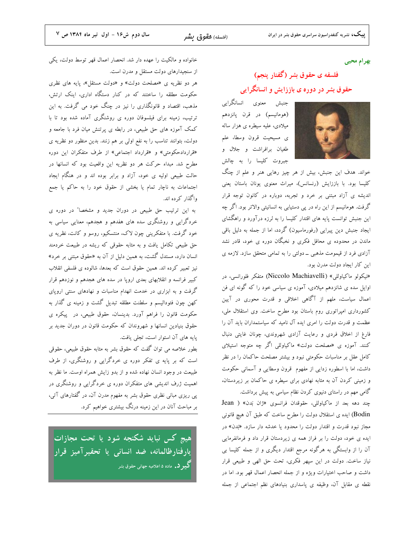بهرام محيى

# فلسفه ي حقوق بشر (گفتار پنجم) حقوق بشر در دوره ی باززایش و انسانگرایی

جنبش معنوى انسانگرايى (هومانيسم) در قرن پانزدهم میلادی، علیه سیطره ی هزار ساله ى مسيحيت قرون وسطا، علم طغیان برافراشت و جلال و جبروت كليسا را به چالش



خواند. هدف این جنبش، بیش از هر چیز رهایی هنر و علم از چنگ كليسا بود. با باززايش (رنسانس)، ميراث معنوى يونان باستان يعنى اندیشه ی آزاد مبتنی بر خرد و تجربه، دوباره در کانون توجه قرار گرفت. هومانیسم از این راه در پی دستیابی به انسانیتی والاتر بود. اگر چه این جنبش توانست پایه های اقتدار کلیسا را به لرزه درآورد و راهگشای ایجاد جنبش دین پیرایی (رفورماسیون) گردد، اما از جمله به دلیل باقی ماندن در محدوده ی محافل فکری و نخبگان دوره ی خود، قادر نشد آزادی فرد از قیمومت مذهبی ــ دولتی را به تمامی متحقق سازد. لازمه ی این کار ایجاد دولت مدرن بود.

«نیکولو ماکیاوللی» (Niccolo Machiavelli) متفکر فلورانسی، در اوایل سده ی شانزدهم میلادی، آموزه ی سیاسی خود را که گونه ای فن اعمال سیاست، ملهم از آگاهی اخلاقی و قدرت محوری در آیین کشورداری امپراتوری روم باستان بود مطرح ساخت. وی استقلال ملی، عظمت و قدرت دولت را امری ایده آل نامید که سیاستمداران باید آن را فارغ از اخلاق فردی و رعایت آزادی شهروندی، چونان غایتی دنبال کنند. آموزه ی «مصلحت دولت» ماکیاوللی اگر چه متوجه استیلای کامل عقل بر مناسبات حکومتی نبود و بیشتر مصلحت حاکمان را در نظر داشت، اما با اسطوره زدایی از مفهوم قرون وسطایی و آسمانی حکومت و زمینی کردن آن به مثابه نهادی برای سیطره ی حاکمان بر زیردستان، گامی مهم در راستای دنیوی کردن نظام سیاسی به پیش برداشت.

چند دهه بعد از ماكياوللي، حقوقدان فرانسوي «ژان بَدن» ( Jean Bodin) ایده ی استقلال دولت را مطرح ساخت که طبق آن هیچ قانونی مجاز نبود قدرت و اقتدار دولت را محدود یا خدشه دار سازد. «تبدن» در ایده ی خود، دولت را بر فراز همه ی زیردستان قرار داد و فرمانفرمایی آن را از وابستگی به هرگونه مرجع اقتدار دیگری و از جمله کلیسا بی نیاز ساخت. دولت در این سپهر فکری، تحت حق الهی و طبیعی قرار داشت و صاحب اختیارات ویژه و از جمله انحصار اعمال قهر بود. اما در نقطه ی مقابل آن، وظیفه ی پاسداری بنیادهای نظم اجتماعی از جمله

خانواده و مالکیت را عهده دار شد. انحصار اعمال قهر توسط دولت، یکی از سنجیدارهای دولت مستقل و مدرن است.

هر دو نظریه ی «مصلحت دولت» و «دولت مستقل»، پایه های نظری حکومت مطلقه را ساختند که در کنار دستگاه اداری، اینک ارتش، مذهب، اقتصاد و قانونگذاری را نیز در چنگ خود می گرفت. به این ترتیب، زمینه برای فیلسوفان دوره ی روشنگری آماده شده بود تا با کمک آموزه های حق طبیعی، در رابطه ی پرتنش میان فرد با جامعه و دولت، بتوانند تناسب را به نفع اولی بر هم زنند. بدین منظور دو نظریه ی «قراردادحکومتی» و «قرارداد اجتماعی» از طرف متفکران این دوره مطرح شد. مبداء حرکت هر دو نظریه این واقعیت بود که انسانها در حالت طبیعی اولیه ی خود، آزاد و برابر بوده اند و در هنگام ایجاد اجتماعات به ناچار تمام یا بخشی از حقوق خود را به حاکم یا جمع واگذار کر ده اند.

به این ترتیب حق طبیعی در دوران جدید و مشخصا" در دوره ی خردگرایی و روشنگری سده های هفدهم و هجدهم، معنایی سیاسی به خود گرفت. با متفکرینی چون لاک، منتسکیو، روسو و کانت، نظریه ی حق طبیعی تکامل یافت و به مثابه حقوقی که ریشه در طبیعت خردمند انسان دارد، مستدل گشت، به همین دلیل از آن به «حقوق مبتنی بر خرد» نیز تعبیر کرده اند. همین حقوق است که بعدها، شالوده ی فلسفی انقلاب کبیر فرانسه و انقلابهای بعدی اروپا در سده های هجدهم و نوزدهم قرار گرفت و به ابزاری در خدمت انهدام مناسبات و نهادهای سنتی اروپای کهن چون فئودالیسم و سلطنت مطلقه تبدیل گشت و زمینه ی گذار به حکومت قانون را فراهم آورد. بدینسان، حقوق طبیعی، در پیکره ی حقوق بنیادین انسانها و شهروندان که حکومت قانون در دوران جدید بر پایه های آن استوار است، تجلی یافت.

بطور خلاصه می توان گفت که حقوق بشر به مثابه حقوق طبیعی، حقوقی است که بر پایه ی تفکر دوره ی خردگرایی و روشنگری، از طرف طبیعت در وجود انسان نهاده شده و از بدو زایش همراه اوست. ما نظر به اهمیت ژرف اندیشی های متفکران دوره ی خردگرایی و روشنگری در یی ریزی مبانی نظری حقوق بشر به مفهوم مدرن آن، در گفتارهای آتی، بر مباحث آنان در این زمینه درنگ بیشتری خواهیم کرد.

هیچ کس نباید شکنجه شود یا تحت مجازات يارفتارظالمانه، ضد انساني يا تحقيرآميز قرار **گیو د.** ماده ۵ اعلامیه جهانی حقوق بشر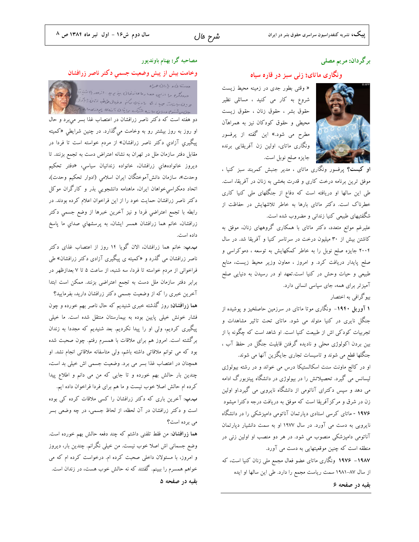# بر گردان: مريم مصلي

#### ونگاری ماتای؛ زنی سبز در قاره سیاه

« وقتی بطور جدی در زمینه محیط زیست شروع به کار می کنید ، مسائلی نظیر حقوق بشر ، حقوق زنان ، حقوق زيست محیطی و حقوق کودکان نیز به همراهآن مطرح می شود.» این گفته از پرفسور ونگاری ماتای، اولین زن آفریقایی برنده است.<br>است جایزه صلح نوبل است.

**او کیست؟** پرفسور ونگاری ماتای ، مدیر جنبش کمربند سبز کنیا ، موفق ترین برنامه درخت کاری و قدرت بخشی به زنان در آفریقا، است. طی این سالها او دریافته است که دفاع از جنگلهای ملی کنیا کاری .<br>خطرناک است. دکتر ماتای بارها به خاطر تلاشهایش در حفاظت از شگفتیهای طبیعی کنیا زندانی و مضروب شده است.

علیرغم موانع متعدد، دکتر ماتای با همکاری گروههای زنان، موفق به کاشتن بیش از ۳۰ میلیون درخت در سرتاسر کنیا و آفریقا شد. در سال ۲۰۰۴ جایزه صلح نوبل را به خاطر کمکهایش به توسعه ، دموکراسی و صلح پایدار دریافت کرد. و امروز ، معاون وزیر محیط زیست، منابع طبیعی و حیات وحش در کنیا است.تعهد او در رسیدن به دنیایی صلح آمیزتر برای همه، جای سپاسی انسانی دارد.

بیوگرافی به اختصار

۱ آوریل ۱۹۴۰- ونگاری موتا ماتای در سرزمین حاصلخیز و پوشیده از جنگل نایری در کنیا متولد می شود. ماتای تحت تاثیر مشاهدات و تجربیات کودکی اش از طبیعت کنیا است. او شاهد است که چگونه با از بین بردن اکولوژی محلی و نادیده گرفتن قابلیت جنگل در حفظ آب ، جنگلها قطع می شوند و تاسیسات تجاری جایگزین آنها می شوند.

او در کالج ماونت سنت اسکالستیکا درس می خواند و در رشته بیولوژی لیسانس می گیرد. تحصیلاتش را در بیولوژی در دانشگاه پیتزبورگ ادامه می دهد و سپس دکترای آناتومی از دانشگاه نایروبی می گیرد.او اولین زن در شرق و مرکز آفریقا است که موفق به دریافت درجه دکترا میشود ۱۹۷۶ - ماتای کرسی استادی دپارتمان آناتومی دامپزشکی را در دانشگاه نایروبی به دست می آورد. در سال ۱۹۷۷ او به سمت دانشیار دپارتمان آناتومی دامپزشکی منصوب می شود. در هر دو منصب او اولین زنی در منطقه است که چنین موقعیتهایی به دست می آورد. ۱۹۸۷– ۱۹۷۶ ونگاری ماتای عضو فعال مجمع ملی زنان کنیا است، که از سال ۸۷–۱۹۸۱ سمت ریاست مجمع را دارد. طی این سالها او ایده

بقیه در صفحه ۶

# مصاحبه گر: بهنام باوندپور

# وخامت بیش از پیش وضعیت جسمی دکتر ناصر زرافشان

حدست فى و بايان هراه ورودگرم مرا الرسي عصا رما محاكم نواريا و الريد الذور بااشتباقا والمصاريح مباناته الابال ماكم وفاقا فكالما متال الأثر 

دو هفته است که دکتر ناصر زرافشان در اعتصاب غذا بسر میبرد و حال او روز به روز بیشتر رو به وخامت میگذارد. در چنین شرایطی «کمیته پیگیري آزادي دکتر ناصر زرافشان» از مردم خواسته است تا فردا در مقابل دفتر سازمان ملل در تهران به نشانه اعتراض دست به تجمع بزنند. تا دیروز خانوادههای زرافشان، خانواده زندانیان سیاسی، «دفتر تحکیم وحدت»، سازمان دانشآموختگان ایران اسلامی (ادوار تحکیم وحدت)، اتحاد دمکراسیخواهان ایران، ماهنامه دانشجویی بذر و کارگران موکل دکتر ناصر زرافشان حمایت خود را از این فراخوان اعلام کرده بودند. در رابطه با تجمع اعتراضي فردا و نيز آخرين خبرها از وضع جسمي دكتر زرافشان، خانم هما زرافشان همسر ايشان، به پرسشهاي صداي ما پاسخ داده است.

ب.پ: خانم هما زرافشان، الان گویا ۱۴ روز از اعتصاب غذای دکتر ناصر زرافشان می گذرد و «کمیته ی پیگیری آزادی دکتر زرافشان» طی فراخوانی از مردم خواسته تا فردا، سه شنبه، از ساعت ۵ تا ۷ بعدازظهر در برابر دفتر سازمان ملل دست به تجمع اعتراضی بزنند. ممکن است ابتدا آخرین خبری را که از وضعیت جسمی دکتر زرافشان دارید، بفرمایید؟ هما **زرافشان:** روز گذشته خبری شنیدیم که حال ناصر بهم خورده و چون فشار خونش خیلی پایین بوده به بیمارستان منتقل شده است. ما خیلی پیگیری کردیم، ولی او را پیدا نکردیم. بعد شنیدیم که مجددا به زندان برگشته است. امروز هم برای ملاقات با همسرم رفتم. چون صحبت شده بود که می توانم ملاقاتی داشته باشم، ولی متاسفانه ملاقاتی انجام نشد. او همچنان در اعتصاب غذا بسر می برد. وضعیت جسمی اش خیلی بد است، چندین بار حالش بهم خورده و تا جایی که من می دانم و اطلاع پیدا کرده ام حالش اصلا خوب نیست و ما هم برای فردا فراخوان داده ایم. **ب.پ**: آخرین باری که دکتر زرافشان را کسی ملاقات کرده کی بوده است و دکتر زرافشان در آن لحظه، از لحاظ جسمی، در چه وضعی بسر می برده است؟

هما زرافشان: من فقط تلفنی داشتم که چند دفعه حالش بهم خورده است. وضع جسمانی اش اصلا خوب نیست. من خیلی نگرانم. چندین بار، دیروز و امروز، با مسئولان داخلی صحبت کرده ام. درخواست کرده ام که می خواهم همسرم را ببینم. گفتند که نه حالش خوب هست، در زندان است. بقیه در صفحه ۵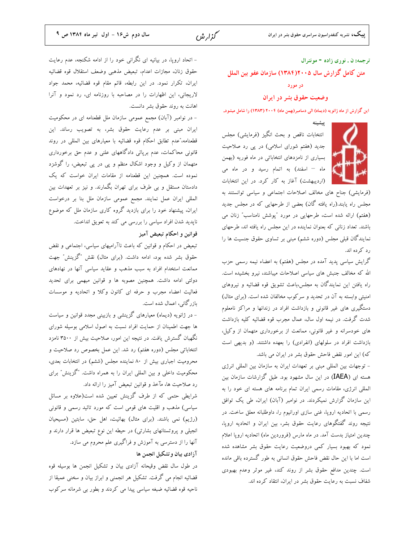#### ترجمه: ن . نوري زاده - مونترال

# متن كامل گزارش سال ۲۰۰۵(۱۳۸۴) سازمان عفو بین الملل در مورد وضعیت حقوق بشر در ایران

#### این گزارش از ماه ژانویه (دیماه) الی دسامبر(بهمن ماه) ۲۰۰۴ (۱۳۸۳) را شامل میشود.

#### ييشينه

انتخابات ناقص و بحث انگیز (فرمایشی) مجلس جدید (هفتم شورای اسلامی) در پی رد صلاحیت بسیاری از نامزدهای انتخاباتی در ماه فوریه (بهمن ماه – اسفند) به اتمام رسید و در ماه می (اردیبهشت) آغاز به کار کرد. در این انتخابات

(فرمایشی) جناح های مخالف اصلاحات اجتماعی و سیاسی توانستند به مجلس راه یابند.(راه یافته گان) بعضی از طرحهایی که در مجلس جدید (هفتم) ارائه شده است، طرحهایی در مورد "پوشش نامناسب" زنان می باشند. تعداد زنانی که بعنوان نماینده در این مجلس راه یافته اند، طرحهای نمایندگان قبلی مجلس (دوره ششم) مبنی بر تساوی حقوق جنسیت ها را رد کر ده اند.

گرایش سیاسی پدید آمده در مجلس (هفتم) به اعضاء نیمه رسمی حزب الله که مخالف جنبش های سیاسی اصلاحات میباشند، نیرو بخشیده است. راه یافتن این نمایندگان به مجلس،باعث تشویق قوه قضائیه و نیروهای امنیتی وابسته به آن در تحدید و سرکوب مخالفان شده است. (برای مثال) دستگیری های غیر قانونی و بازداشت افراد در زندانها و مراکز نامعلوم شدت گرفت. در نیمه اول سال، عمال مجرب قوه قضائیه کلیه بازداشت های خودسرانه و غیر قانونی، ممانعت از برخورداری متهمان از وکیل، بازداشت افراد در سلولهای (انفرادی) را بعهده داشتند. (و بدیهی است كه) اين امور نقض فاحش حقوق بشر در ايران مي باشد.

- توجهات بین المللی مبنی بر تعهدات ایران به سازمان بین المللی انرژی هسته ای (IAEA) در این سال مشهود بود. طبق گزارشات سازمان بین المللی انرژی، مقامات رسمی ایران تمام برنامه های هسته ای خود را به این سازمان گزارش نمیکردند. در نوامبر (آبان) ایران، طی یک توافق رسمي با اتحاديه اروپا، غني سازي اورانيوم را، داوطلبانه معلق ساخت. در نتیجه روند گفتگوهای رعایت حقوق بشر، بین ایران و اتحادیه اروپا، چندین امتیاز بدست آمد. در ماه مارس (فروردین ماه) اتحادیه اروپا اعلام نمود که بهبود بسیار کمی دروضعیت رعایت حقوق بشر مشاهده شده است اما با این حال نقض فاحش حقوق انسانی به طور گسترده باقی مانده است. چندین مدافع حقوق بشر از روند کند، غیر موثر وعدم بهبودی شفاف نسبت به رعایت حقوق بشر در ایران، انتقاد کرده اند.

– اتحاد اروپا، در بیانیه ای نگرانی خود را از ادامه شکنجه، عدم رعایت حقوق زنان، مجازات اعدام، تبعيض مذهبي وضعف استقلال قوه قضائيه ایران، تکرار نمود. در این رابطه، قائم مقام قوه قضائیه، محمد جواد لاریجانی، این اظهارات را در مصاحبه با روزنامه ای، رد نمود و آنرا اهانت به روند حقوق بشر دانست.

– در نوامبر (آبان) مجمع عمومی سازمان ملل قطعنامه ای در محکومیت ایران مبنی بر عدم رعایت حقوق بشر، به تصویب رساند. این قطعنامه،"عدم تطابق احکام قوه قضائیه با معیارهای بین المللی در روند قانونی محاکمات، عدم برپائی دادگاههای علنی و عدم حق برخورداری متهمان از وکیل و وجود اشکال منظم و پی در پی تبعیض، را گوشزد نموده است. همچنین این قطعنامه از مقامات ایران خواست که یک دادستان مستقل و بی طرف برای تهران بگمارند. و نیز بر تعهدات بین المللي ايران عمل نمايند. مجمع عمومي سازمان ملل بنا بر درخواست ایران، پیشنهاد خود را برای بازدید گروه کاری سازمان ملل که موضوع ناپدید شدن افراد سیاسی را بررسی می کند به تعویق انداخت.

# قوانین و احکام تبعیض آمیز

تبعیض در احکام و قوانین که باعث ناآرامیهای سیاسی، اجتماعی و نقض حقوق بشر شده بود، ادامه داشت. (برای مثال) نقش "گزینش" جهت ممانعت استخدام افراد به سبب مذهب و عقاید سیاسی آنها در نهادهای دولتی ادامه داشت. همچنین مصوبه ها و قوانین مبهمی برای تحدید فعالیت اعضاء مجرب و حرفه ای کانون وکلا و اتحادیه و موسسات بازرگانی، اعمال شده است.

– در ژانویه (دیماه) معیارهای گزینشی و بازبینی مجدد قوانین و سیاست ها جهت اطمینان از حمایت افراد نسبت به اصول اسلامی بوسیله شورای نگهبان گسترش یافت. در نتیجه این امور، صلاحیت بیش از ۳۵۰۰ نامزد انتخاباتی مجلس (دوره هفتم) رد شد. این عمل بخصوص رد صلاحیت و محرومیت اجباری بیش از ۸۰ نماینده مجلس (ششم) در انتخابات بعدی، محکومیت داخلی و بین المللی ایران را به همراه داشت. "گزینش" برای رد صلاحیت ها، مآخذ و قوانین تبعیض آمیز را ارائه داد.

شرایطی حتمی که از طرف گزینش تعیین شده است(علاوه بر مسائل سیاسی) مذهب و اقلیت های قومی است که مورد تائید رسمی و قانونی (رژیم) نمی باشند. (برای مثال) بهائیت، اهل حق، سابتین (مسیحیان انجیلی و پروتستانهای بشارتی) در حیطه این نوع تبعیض ها قرار دارند و آنها را از دسترسی به آموزش و فراگیری علم محروم می سازد. آزادی بیان و تشکیل انجمن ها

در طول سال نقض وقیحانه آزادی بیان و تشکیل انجمن ها بوسیله قوه قضائیه انجام می گرفت. تشکیل هر انجمنی و ابراز بیان و سخنی عمیقا از ناحیه قوه قضائیه ضبغه سیاسی پیدا می کردند و بطور بی شرمانه سرکوب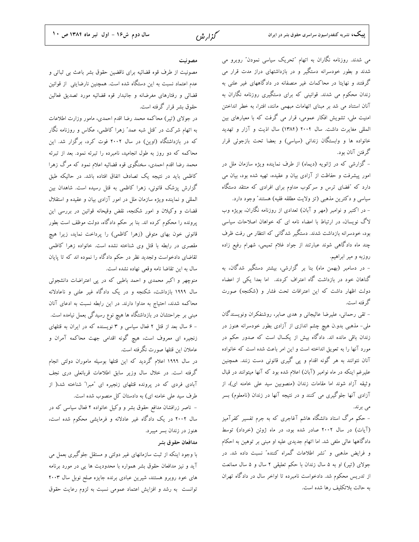می شدند. روزنامه نگاران به اتهام "تحریک سیاسی نمودن" روبرو می شدند و بطور خودسرانه دستگیر و در بازداشتهای دراز مدت قرار می گرفتند و نهایتا در محاکمات غیر منصفانه در دادگاههای غیر علنی به زندان محکوم می شدند. قوانینی که برای دستگیری روزنامه نگاران به آنان استناد می شد بر مبنای اتهامات مبهمی مانند، افترا، به خطر انداختن امنیت ملی، تشویش افکار عمومی، قرار می گرفت که با معیارهای بین المللی مغایرت داشت. سال ۲۰۰۴ (۱۳۸۴) سال اذیت و آزار و تهدید خانواده ها و وابستگان زندانی (سیاسی) و بعضا تحت بازجوئی قرار گرفتن آنان بود.

– گزارشی که در ژانویه (دیماه) از طرف نماینده ویژه سازمان ملل در امور پیشرفت و حفاظت از آزادی بیان و عقیده، تهیه شده بود، بیان می دارد که "فضای ترس و سرکوب مداوم برای افرادی که منتقد دستگاه سیاسی و دکترین مذهبی (تز ولایت مطلقه فقیه) هستند″ وجود دارد.

- در اکتبر و نوامبر (مهر و آبان) تعدادی از روزنامه نگاران، بویژه وب لاگ نویسان، در ارتباط با امضاء نامه ای که خواهان اصلاحات سیاسی بود، خودسرانه بازداشت شدند. دستگیر شدگانی که انتظار می رفت ظرف چند ماه دادگاهی شوند عبارتند از جواد غلام تمیمی، شهرام رفیع زاده روزبه و میر ابراهیم.

– در دسامبر (بهمن ماه) بنا بر گزارشی، بیشتر دستگیر شدگان، به گناهان خود در بازداشت گاه اعتراف کردند. اما بعدا یکی از اعضاء دولت اظهار داشت كه اين اعترافات تحت فشار و (شكنجه) صورت گر فته است.

– تقی رحمانی، علیرضا عالیجانی و هدی صابر، روشنفکران ونویسندگان ملی- مذهبی بدو.ن هیچ چشم اندازی از آزادی بطور خودسرانه هنوز در زندان باقی مانده اند. دادگاه بیش از یکسال است که صدور حکم در مورد آنها را به تعویق انداخته است و این امر باعث شده است که خانواده آنان نتوانند به هر گونه اقدام و پی گیری قانونی دست زنند. همچنین علیرغم اینکه در ماه نوامبر (آبان) اعلام شده بود که آنها میتوانند در قبال وثيقه آزاد شوند اما مقامات زندان (منصوبين سيد على خامنه اي)، از آزادی آنها جلوگیری می کنند و در نتیجه آنها در زندان (نامعلوم) بسر مي برند.

– حکم مرگ استاد دانشگاه هاشم آغاجری که به جرم تفسیر کفرآمیز (آیات) در سال ۲۰۰۲ صادر شده بود، در ماه ژوئن (خرداد) توسط دادگاهها عالی ملغی شد. اما اتهام جدیدی علیه او مبنی بر توهین به احکام و فرایض مذهبی و "نشر اطلاعات گمراه کننده" نسبت داده شد. در جولای (تیر) او به ۵ سال زندان با حکم تعلیقی ۲ سال و ۵ سال ممانعت از تدریس محکوم شد. دادخواست نامبرده تا اواخر سال در دادگاه تهران به حالت بلاتكليف رها شده است.

#### مصونيت

مصونیت از طرف قوه قضائیه برای ناقضین حقوق بشر باعث بی ثباتی و عدم اعتماد نسبت به این دستگاه شده است. همچنین نارضایتی ًاز قوانین قضائی و رفتارهای مغرضانه و جانبدار قوه قضائیه مورد تصدیق فعالین حقوق بشر قرار گرفته است.

در جولای (تیر) محاکمه محمد رضا اقدم احمدی، مامور وزارت اطلاعات به اتهام شرکت در "قتل شبه عمد" زهرا کاظمی، عکاس و روزنامه نگار که در بازداشتگاه (اوین) در سال ۲۰۰۲ فوت کرد، برگزار شد. این محاکمه که دو روز به طول انجامید، نامبرده را تبرئه نمود. بعد از تبرئه محمد رضا اقدم احمدی، سخنگوی قوه قضائیه اعلام نمود که مرگ زهرا کاظمی باید در نتیجه یک تصادف اتفاق افتاده باشد. در حالیکه طبق گزارش پزشک قانونی، زهرا کاظمی به قتل رسیده است. شاهدان بین المللي و نماينده ويژه سازمان ملل در امور آزادي بيان و عقيده و استقلال قضات و وکیلان و امور شکنجه، نقض وقیحانه قوانین در بررسی این پرونده را محکوم کرده اند. بنا بر حکم دادگاه، دولت موظف است بطور ۔<br>قانونی خون بھای متوفی (زہرا کاظمی) را پرداخت نماید، زیرا ہیچ مقصری در رابطه با قتل وی شناخته نشده است. خانواده زهرا کاظمی تقاضای دادخواست وتجدید نظر در حکم دادگاه را نموده اند که تا پایان سال به این تقاضا نامه وقعی نهاده نشده است.

منوچهر و اکبر محمدی و احمد باطبی که در یی اعتراضات دانشجوئی سال ۱۹۹۹ بازداشت، شکنجه و در یک دادگاه غیر علنی و ناعادلانه محاکمه شدند، احتیاج به مداوا دارند. در این رابطه نسبت به ادعای آنان مبنی بر جراحتشان در بازداشتگاه ها هیچ نوع رسیدگی بعمل نیامده است. - ۶ سال بعد از قتل ۲ فعال سیاسی و ۳ نویسنده که در ایران به قتلهای زنجیره ای معروف است، هیچ گونه اقدامی جهت محاکمه آمران و عاملان این قتلها صورت نگرفته است.

در سال ۱۹۹۹ اعلام گردید که این قتلها بوسیله ماموران دولتی انجام گرفته است. در خلال سال وزیر سابق اطلاعات قربانعلی دری نجف آبادی فردی که در پرونده قتلهای زنجیره ای "مبرا" شناخته شد،( از طرف سید علی خامنه ای) به دادستان کل منصوب شده است.

– ناصر زرافشان مدافع حقوق بشر و وكيل خانواده ٢ فعال سياسي كه در سال ۲۰۰۲ در یک دادگاه غیر عادلانه و فرمایشی محکوم شده است، هنوز در زندان بسر میبرد.

#### مدافعان حقوق بشر

با وجود اینکه از ثبت سازمانهای غیر دولتی و مستقل جلوگیری بعمل می آید و نیز مدافعان حقوق بشر همواره با محدودیت ها یی در مورد برنامه های خود روبرو هستند، شیرین عبادی برنده جایزه صلح نوبل سال ۲۰۰۳ توانست به رشد و افزایش اعتماد عمومی نسبت به لزوم رعایت حقوق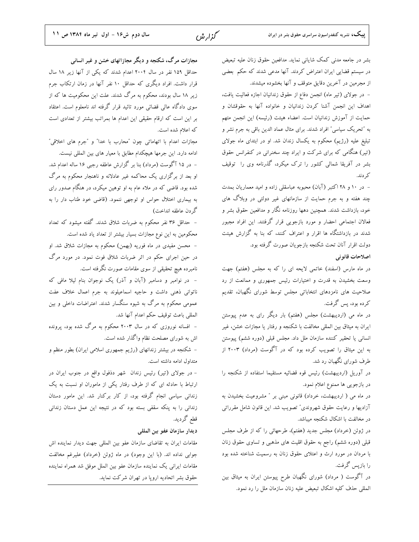بشر در جامعه مدنی کمک شایانی نماید. مدافعین حقوق زنان علیه تبعیض در سیستم قضایی ایران اعتراض کردند. آنها مدعی شدند که حکم بعضی از مجرمین در آخرین دقایق متوقف و آنها بخشوده میشدند. – در جولای (تیر ماه) انجمن دفاع از حقوق زندانیان اجازه فعالیت یافت، اهداف این انجمن آشنا کردن زندانیان و خانواده آنها به حقوقشان و حمايت از آموزش زندانيان است. اعضاء هيئت (رئيسه) اين انجمن متهم

به "تحریک سیاسی" افراد شدند. برای مثال عماد الدین باقی به جرم نشر و تبلیغ علیه (رژیم) محکوم به یکسال زندان شد. او در ابتدای ماه جولای (تیر) هنگامی که برای شرکت و ایراد چند سخنرانی در کنفرانس حقوق بشر در آفریقا شمالی کشور را ترک میکرد، گذرنامه وی را توقیف کہ دند.

- در ۱۰ و ۲۸ اکتبر (آبان) محبوبه عباسقلی زاده و امید معماریان بمدت چند هفته و به جرم حمایت از سازمانهای غیر دولتی در وبلاگ های خود، بازداشت شدند. همچنین دهها روزنامه نگار و مدافعین حقوق بشر و فعالان اجتماعی احضار و مورد بازجویی قرار گرفتند. این افراد مجبور شدند در بازداشتگاه ها اقرار و اعتراف کنند، که بنا به گزارش هیئت دولت اقرار آنان تحت شکنجه بازجویان صورت گرفته بود. اصلاحات قانو ني

در ماه مارس (اسفند) خاتمی لایحه ای را که به مجلس (هفتم) جهت وسعت بخشیدن به قدرت و اختیارات رئیس جمهوری و ممانعت از رد صلاحیت های نامزدهای انتخاباتی مجلس توسط شورای نگهبان، تقدیم کرده بود، پس گرفت.

در ماه می (اردیبهشت) مجلس (هفتم) بار دیگر رای به عدم پیوستن ایران به میثاق بین المللی مخالفت با شکنجه و رفتار یا مجازات خشن، غیر انسانی یا تحقیر کننده سازمان ملل داد. مجلس قبلی (دوره ششم) پیوستن به این میثاق را تصویب کرده بود که در آگوست (مرداد) ۲۰۰۳ از طرف شورای نگهبان رد شد.

در آوریل (اردیبهشت) رئیس قوه قضائیه مستقیما استفاده از شکنجه را در بازجويي ها ممنوع اعلام نمود.

در ماه می ( اردیبهشت، خرداد) قانونی مبنی بر " مشروعیت بخشیدن به آزاديها و رعايت حقوق شهروندي" تصويب شد. اين قانون شامل مقرراتي در مخالفت با اشکال شکنجه میباشد.

در ژوئن (خرداد) مجلس جدید (هفتم)، طرحهائی را که از طرف مجلس قبلی (دوره ششم) راجع به حقوق اقلیت های مذهبی و تساوی حقوق زنان با مردان در مورد ارث و اعتلای حقوق زنان به رسمیت شناخته شده بود را بازپس گرفت.

در آگوست ( مرداد) شورای نگهبان طرح پیوستن ایران به میثاق بین المللي حذف كليه اشكال تبعيض عليه زنان سازمان ملل را رد نمود.

مجازات مرگ، شکنجه و دیگر مجازاتهای خشن و غیر انسانی

حداقل ۱۵۹ نفر در سال ۲۰۰۴ اعدام شدند که یکی از آنها زیر ۱۸ سال قرار داشت. افراد دیگری که حداقل ۱۰ نفر آنها در زمان ارتکاب جرم زیر ۱۸ سال بودند، محکوم به مرگ شدند. علت این محکومیت ها که از سوی دادگاه عالی قضائی مورد تائید قرار گرفته اند نامعلوم است. اعتقاد بر این است که ارقام حقیقی این اعدام ها بمراتب بیشتر از تعدادی است که اعلام شده است.

مجازات اعدام با اتهاماتي چون "محارب با خدا" و "جرم هاى اخلاقى" ادامه دارد. این جرمها هیچکدام مطابق با معیار های بین المللی نیست. – در ۱۵ آگوست (مرداد) بنا بر گزارش عاطفه رجبی ۱۶ ساله اعدام شد. او بعد از برگزاری یک محاکمه غیر عادلانه و ناهنجار محکوم به مرگ شده بود. قاضی که در ملاء عام به او توهین میکرد، در هنگام صدور رای به بیماری اختلال حواس او توجهی ننمود. (قاضی خود طناب دار را به گر دن عاطفه انداخت)

– حداقل ۳۶ نفر محکوم به ضربات شلاق شدند. گفته میشود که تعداد محکومین به این نوع مجازات بسیار بیشتر از تعداد یاد شده است.

– محسن مفیدی در ماه فوریه (بهمن) محکوم به مجازات شلاق شد. او در حین اجرای حکم در اثر ضربات شلاق فوت نمود. در مورد مرگ نامبرده هیچ تحقیقی از سوی مقامات صورت نگرفته است.

– در نوامبر و دسامبر (آبان و آذر) یک نوجوان بنام لیلا مافی که ناتوانی ذهنی داشت و حاجیه اسماعیلوند به جرم اعمال خلاف عفت عمومی محکوم به مرگ به شیوه سنگسار شدند. اعتراضات داخلی و بین المللي باعث توقيف حكم اعدام آنها شد.

– افسانه نوروزی که در سال ۲۰۰۳ محکوم به مرگ شده بود، پرونده اش به شورای مصلحت نظام واگذار شده است.

– شکنجه در بیشتر زندانهای (رژیم جمهوری اسلامی ایران) بطور منظم و متداول ادامه داشته است.

- در جولای (تیر) رئیس زندان شهر دذفول واقع در جنوب ایران در ارتباط با حادثه ای که از طرف رفتار یکی از ماموران او نسبت به یک زندانی سیاسی انجام گرفته بود، از کار برکنار شد. این مامور دستان زندانی را به ینکه سقفی بسته بود که در نتیجه این عمل دستان زندانی قطع گردید.

# ديدار سازمان عفو بين المللي

مقامات ایران به تقاضای سازمان عفو بین المللی جهت دیدار نماینده اش جوابی نداده اند. (با این وجود) در ماه ژوئن (خرداد) علیرغم مخالفت مقامات ايراني يک نماينده سازمان عفو بين الملل موفق شد همراه نماينده حقوق بشر اتحادیه اروپا در تهران شرکت نماید.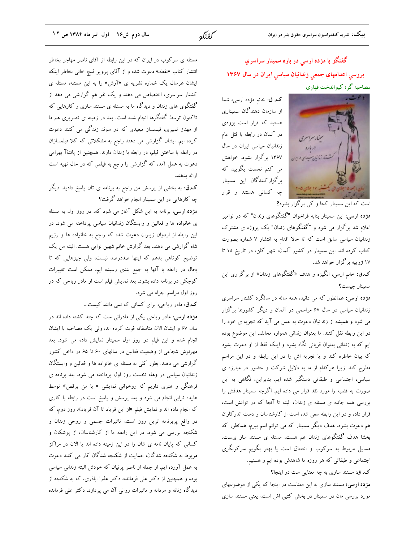گفتگو با مژده ارسی در باره سمینار سراسري بررسی اعدامهاي جمعی زندانیان سیاسی ایران در سال ۱۳۶۷ مصاحبه گر: کیواندخت قهاری



ک. ق: خانم مژده ارسی، شما از سازمان دهندگان سمیناری هستید که قرار است بزودی در آلمان در رابطه با قتل عام زندانیان سیاسی ایران در سال ۱۳۶۷ برگزار بشود. خواهش می کنم نخست بگویید که برگزارکنندگان این سمینار چه کسانی هستند و قرار

۔<br>است که این سمینار کجا و کی برگزار بشود؟

مژ**ده ارسی**: این سمینار بنابه فراخوان "گفتگوهای زندان" که در نوامبر اعلام شد برگزار می شود و "گفتگوهای زندان" یک پروژه ی مشترک زندانیان سیاسی سابق است که تا حالا اقدام به انتشار ۷ شماره بصورت کتاب کرده اند. این سمینار در کشور آلمان، شهر کلن، در تاریخ ۱۵ تا ۱۷ ژوییه برگزار خواهد شد.

**ک.ق:** خانم ارسی، انگیزه و هدف «گفتگوهای زندان» از برگزاری این سمينار چيست؟

**مژده ارسی:** همانطور که می دانید، همه ساله در سالگرد کشتار سراسری زندانیان سیاسی در سال ۶۷ مراسمی در آلمان و دیگر کشورها برگزار می شود و همیشه از زندانیان دعوت به عمل می آید که تجربه ی خود را در این رابطه نقل کنند. ما بعنوان زندانی همواره مخالف این موضوع بوده ایم که به زندانی بعنوان قربانی نگاه بشود و اینکه فقط از او دعوت بشود که بیان خاطره کند و یا تجربه اش را در این رابطه و در این مراسم مطرح کند. زیرا هرکدام از ما به دلایل شرکت و حضور در مبارزه ی سیاسی، اجتماعی و طبقاتی دستگیر شده ایم. بنابراین، نگاهی به این صورت به قضیه را مورد نقد قرار می داده ایم. اگرچه سمینار هدفش را بررسی همه جانبه ی مسئله ی زندان، البته تا آنجا که در توانش است، قرار داده و در این رابطه سعی شده است از کارشناسان و دست اندرکاران هم دعوت بشود. هدف دیگر سمینار که می توانم اسم ببرم، همانطور که بخشا هدف گفتگوهای زندان هم هست، مسئله ی مستند ساز یست. مسایل مربوط به سرکوب و اختناق است یا بهتر بگویم سرکوبگری اجتماعی و طبقاتی که هر روزه ما شاهدش بوده ایم و هستیم. ک. ق: مستند سازی به چه معنایی ست در اینجا؟

م<mark>ژده ارسی:</mark> مستند سازی به این معناست در اینجا که یکی از موضوعهای مورد بررسی مان در سمینار در بخش کتبی اش است، یعنی مستند سازی

مسئله ی سرکوب در ایران که در این رابطه از آقای ناصر مهاجر بخاطر انتشار کتاب «نقطه» دعوت شده و از آقای پرویز قلیچ خانی بخاطر اینکه ایشان هرسال یک شماره نشریه ی «آرش» را به این مسئله، مسئله ی کشتار سراسری، اختصاص می دهند و یک نفر هم گزارشی می دهد از گفتگوی های زندان و دیدگاه ما به مسئله ی مستند سازی و کارهایی که تاکنون توسط گفتگوها انجام شده است. بعد در زمینه ی تصویری هم ما از مهناز تمیزی، فیلمساز تبعیدی که در سوئد زندگی می کنند دعوت کرده ایم. ایشان گزارشی می دهند راجع به مشکلاتی که کلا فیلمسازان در رابطه با ساختن فیلم، در رابطه با زندان دارند. همچنین از پانتهٔآ بهرامی دعوت به عمل آمده که گزارشی را راجع به فیلمی که در حال تهیه است ارائه بدهند.

ک.ق: به بخشی از پرسش من راجع به برنامه ی تان پاسخ دادید. دیگر چه کارهایی در این سمینار انجام خواهد گرفت؟

مژده ارسی: برنامه به این شکل آغاز می شود که، در روز اول به مسئله ی خانواده ها و فعالین و وابستگان زندانیان سیاسی پرداخته می شود. در این رابطه از اردوان زیبران دعوت شده که راجع به خانواده ها و رژیم شاه گزارشی می دهند. بعد گزارش خانم شهین نوایی هست. البته من یک توضیح کوتاهی بدهم که اینها صددرصد نیست، ولی چیزهایی که تا بحال در رابطه با آنها به جمع بندی رسیده ایم، ممکن است تغییرات کوچکی در برنامه داده بشود. بعد نمایش فیلم است از مادر ریاحی که در روز اول مراسم اجراء مي شود.

ک.ق: مادر ریاحی، برای کسانی که نمی دانند کیست...

<mark>مژده ارسی</mark>: مادر ریاحی یکی از مادرانی ست که چند کشته داده اند در سال ۶۷ و ایشان الان متاسفانه فوت کرده اند، ولی یک مصاحبه با ایشان .<br>انجام شده و این فیلم در روز اول سمینار نمایش داده می شود. بعد مهرنوش شجاعی از وضعیت فعالین در سالهای ۶۰ تا ۶۵ در داخل کشور گزارشی می دهند. بطور کلی به مسئله ی خانواده ها و فعالین و وابستگان زندانیان سیاسی در وهله نخست روز اول پرداخته می شود. بعد برنامه ی فرهنگی و هنری داریم که روخوانی نمایشی « با من برقص» توسط هایده ترابی انجام می شود و بعد پرسش و پاسخ است در رابطه با کاری که انجام داده اند و نمایش فیلم «از این فریاد تا آن فریاد». روز دوم، که در واقع پربرنامه ترین روز است، تاثیرات جسمی و روحی زندان و شکنجه بررسی می شود. در این رابطه ما از کارشناسان، از پزشکان و کسانی که پایان نامه ی شان را در این زمینه داده اند یا الان در مراکز مربوط به شکنجه شدگان، حمایت از شکنجه شدگان کار می کنند دعوت به عمل آورده ایم. از جمله از ناصر پرنیان که خودش البته زندانی سیاسی بوده و همچنین از دکتر علی فرمانده، دکتر عذرا اباذری، که به شکنجه از دیدگاه زنانه و مردانه و تاثیرات روانی آن می پردازد. دکتر علی فرمانده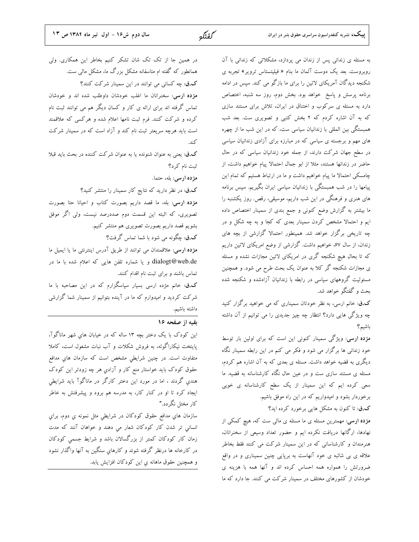**پییک،** نشریه کنفدراسیون سراسری حقوق بشر در ایران

سال دوم ش١۶ - اول تير ماه ١٣٨٤ ص ١٣

گفتگه

در همین جا از تک تک شان تشکر کنیم بخاطر این همکاری. ولی همانطور که گفته ام متاسفانه مشکل بزرگ ما، مشکل مالی ست. ک.ق: چه کسانی می توانند در این سمینار شرکت کنند؟ مؤده ارسی: سخنرانان ما اغلب خودشان داوطلب شده اند و خودشان تماس گرفته اند برای ارائه ی کار و کسان دیگر هم می توانند ثبت نام کرده و شرکت کنند. فرم ثبت نامها اعلام شده و هرکسی که علاقمند است باید هرچه سریعتر ثبت نام کند و آزاد است که در سمینار شرکت  $\sim$ ک.ق: یعنی به عنوان شنونده یا به عنوان شرکت کننده در بحث باید قبلا ثبت نام کرد؟ مژده ارسي: بله، حتما. ک.ق: در نظر دارید که نتایج کار سمینار را منتشر کنید؟ **مژده ارسی**: بله، ما قصد داریم بصورت کتاب و احیانا حتا بصورت تصویری، که البته این قسمت دوم صددرصد نیست، ولی اگر موفق بشويم قصد داريم بصورت تصويري هم منتشر كنيم. ک.ق: چگونه می شود با شما تماس گرفت؟ مؤ**ده ارسی**: علاقمندان می توانند از طریق آدرس اینترنتی ما یا ایمیل ما dialogt@web.de و یا شماره تلفن هایی که اعلام شده با ما در تماس باشند و برای ثبت نام اقدام کنند. ک.ق: خانم مژده ارسی بسیار سپاسگزارم که در این مصاحبه با ما شرکت کردید و امیدوارم که ما در آینده بتوانیم از سمینار شما گزارشی داشته باشیم.

بقيه از صفحه ۱۶

این کودک با یک دختر بچه ۱۳ ساله که در خیابان های شهر ماناگوآ، پایتخت نیکاراگوئه، به فروش شکلات و آب نبات مشغول است، کاملا متفاوت است. در چنین شرایطی مشخص است که سازمان های مدافع حقوق کودک باید خواستار منع کار و آزادی هر چه زودتر این کودک هندی گردند ، اما در مورد این دختر کارگر در ماناگوآ باید شرایطی ایجاد کرد تا او در کنار کار، به مدرسه هم برود و پیشرفتش به خاطر كار مختل نگردد."

سازمان هاي مدافع حقوق كودكان در شرايطي مثل نمونه ي دوم، براي انسانی تر شدن کار کودکان شعار می دهند و خواهان آنند که مدت زمان کار کودکان کمتر از بزرگسالان باشد و شرایط جسمی کودکان در کارخانه ها درنظر گرفته شوند و کارهای سنگین به آنها واگذار نشود و همچنین حقوق ماهانه ی این کودکان افزایش یابد.

به مسئله ی زندانی پس از زندان می پردازد، مشکلاتی که زندانی با آن روبروست. بعد یک دوست آلمان ما بنام « فیلیتستاس ترویر» تجربه ی شکنجه دیدگان آمریکای لاتین را برای ما بازگو می کند. سپس در ادامه برنامه پرسش و پاسخ خواهد بود. بخش دوم، روز سه شنبه، اختصاص دارد به مسئله ی سرکوب و اختناق در ایران، تلاش برای مستند سازی که به آن اشاره کردم که ۲ بخش کتبی و تصویری ست. بعد شب همبستگی بین المللی با زندانیان سیاسی ست، که در این شب ما از چهره های مهم و برجسته ی سیاسی که در مبارزه برای آزادی زندانیان سیاسی در سطح جهان شرکت دارند، از جمله خود زندانیان سیاسی که در حال حاضر در زندانها هستند، مثلا از ابو جمال احتمالا پیام خواهیم داشت، از چامسکی احتمالا ما پیام خواهیم داشت و ما در ارتباط هستیم که تمام این پیامها را در شب همبستگی با زندانیان سیاسی ایران بگیریم. سپس برنامه های هنری و فرهنگی در این شب داریم، موسیقی، رقص. روز یکشنبه را ما بیشتر به گزارش وضع کنونی و جمع بندی از سمینار اختصاص داده ایم و احتمالا مشخص کردن سمینار بعدی که کجا و به چه شکل و در چه تاریخی برگزار خواهد شد. همینطور احتمالا گزارشی از بچه های زندان، از سال ۶۷، خواهیم داشت. گزارشی از وضع امریکای لاتین داریم که تا بحال هیچ شکنجه گری در امریکای لاتین مجازات نشده و مسئله ی مجازات شکنجه گر کلا به عنوان یک بحث طرح می شود. و همچنین مسئولیت گروههای سیاسی در رابطه با زندانیان آزادشده و شکنجه شده بحث و گفتگو خواهد شد.

ک.ق: خانم ارسی، به نظر خودتان سمیناری که می خواهید برگزار کنید چه ویژگی هایی دارد؟ انتظار چه چیز جدیدی را می توانیم از آن داشته باشيم؟

م<mark>ژده ارسی</mark>: ویژگی سمینار کنونی این است که برای اولین بار توسط خود زندانی ها برگزار می شود و فکر می کنم در این رابطه سمینار نگاه دیگری به قضیه خواهد داشت. مسئله ی بعدی که به آن اشاره هم کردم، مسئله ی مستند سازی ست و در عین حال نگاه کارشناسانه به قضیه. ما سعی کرده ایم که این سمینار از یک سطح کارشناسانه ی خوبی برخوردار بشود و امیدواریم که در این راه موفق باشیم.

ک.ق: تا کنون به مشکل هایی برخورد کرده اید؟

<mark>مژده ارسی</mark>: مهمترین مسئله ی ما مسئله ی مال<sub>ی</sub> ست که، هیچ کمکی از نهادها، ارگانها دریافت نکرده ایم و حضور تعداد وسیعی از سخنرانان، هنرمندان و کارشناسانی که در این سمینار شرکت می کنند فقط بخاطر علاقه ی بی شائبه ی خود آنهاست به برپایی چنین سمیناری و در واقع ضرورتش را همواره همه احساس کرده اند و آنها همه با هزینه ی خودشان از کشورهای مختلف در سمینار شرکت می کنند. جا دارد که ما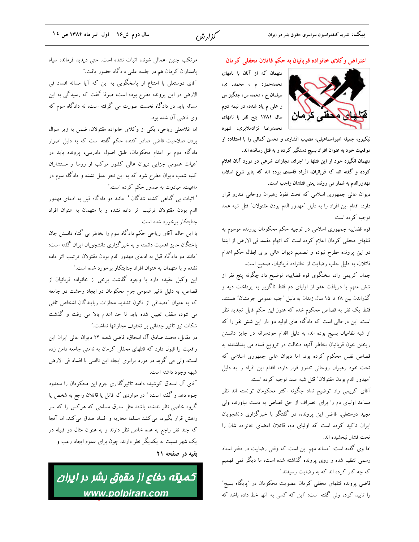گذار شرے

# اعتراض وكلاي خانواده قربانيان به حكم قاتلان محفلي كرمان كالمحظمى كزمان

متهمان که از آنان با نامهای محمدحمزه م ، محمد. ی، سيلمان ج ، محمد س، چنگيز س و علی م یاد شده، در نیمه دوم سال ۱۳۸۱ پنج نفر با نامهای محمدرضا نژادملایری، شهره

نیکپور، جمیله امیراسماعیلی، مصیب افشاری و محسن کمالی را با استفاده از موقعیت خود به عنوان افراد بسیج دستگیر کرده و به قتل رسانده اند.

متهمان انگیزه خود از این قتلها را اجرای مجازات شرعی در مورد آنان اعلام کرده و گفته اند که قربانیان، افراد فاسدی بوده اند که بنابر شرع اسلام، مهدورالدم به شمار می روند، یعنی قتلشان واجب است.

دیوان عالی جمهوری اسلامی که تحت نفوذ رهبران روحانی تندرو قرار دارد، اقدام این افراد را به دلیل "مهدور الدم بودن مقتولان" قتل شبه عمد توجیه کرده است

قوه قضاییه جمهوری اسلامی در توجیه حکم محکومان پرونده موسوم به قتلهای محفلی کرمان اعلام کرده است که اتهام مفسد فی الارض از ابتدا در این پرونده مطرح نبوده و تصمیم دیوان عالی برای ابطال حکم اعدام قاتلان، به دلیل جلب رضایت از خانواده قربانیان، صحیح است.

جمال کریمی راد، سخنگوی قوه قضاییه، توضیح داد چگونه پنج نفر از شش متهم با دریافت عفو از اولیای دم فقط ناگزیر به پرداخت دیه و گذراندن بین ۲۸ تا ۱۵ سال زندان به دلیل "جنبه عمومی جرمشان" هستند. فقط یک نفر به قصاص محکوم شده که هنوز این حکم قابل تجدید نظر است. این درحالی است که دادگاه های اولیه دو بار این شش نفر را که از شبه نظامیان بسیج بوده اند، به دلیل اقدام خودسرانه در جایز دانستن ریختن خون قربانیان بخاطر آنچه دخالت در ترویج فساد می پنداشتند، به قصاص نفس محکوم کرده بود. اما دیوان عالی جمهوری اسلامی که تحت نفوذ رهبران روحانی تندرو قرار دارد، اقدام این افراد را به دلیل "مهدور الدم بودن مقتولان" قتل شبه عمد توجيه كرده است.

آقای کریمی راد توضیح نداد چگونه اکثر محکومان توانسته اند نظر مساعد اولیای دم را برای انصراف از حق قصاص به دست بیاورند، ولی مجید دوستعلی، قاضی این پرونده، در گفتگو با خبرگزاری دانشجویان ایران تاکید کرده است که اولیای دم، قاتلان اعضای خانواده شان را تحت فشار نبخشيده اند.

اما وی گفته است: "مساله مهم این است که وقتی رضایت در دفتر اسناد رسمی تنظیم شده و روی پرونده گذاشته شده است، ما دیگر نمی فهمیم که چه کار کرده اند که به رضایت رسیدند."

قاضی پرونده قتلهای محفلی کرمان عضویت محکومان در ″یایگاه بسیج″ را تایید کرده ولی گفته است: "این که کسی به آنها خط داده باشد که

مرتکب چنین اعمالی شوند، اثبات نشده است. حتی دیدید فرمانده سپاه پاسداران کرمان هم در جلسه علنی دادگاه حضور یافت." آقای دوستعلی با امتناع از پاسخگویی به این که آیا مساله افساد فی

الارض در این پرونده مطرح بوده است، صرفا گفت که رسیدگی به این مساله باید در دادگاه نخست صورت می گرفته است، نه دادگاه سوم که وي قاضي آن شده بود.

اما غلامعلی ریاحی، یکی از وکلای خانواده مقتولان، ضمن به زیر سوال بردن صلاحیت قاضی صادر کننده حکم گفته است که به دلیل اصرار دادگاه دوم بر اعدام محکومان، طبق اصول دادرسی، پرونده باید در "هیات عمومی جزایی دیوان عالی کشور مرکب از روسا و مستشاران کلیه شعب دیوان مطرح شود که به این نحو عمل نشده و دادگاه سوم در ماهیت، مبادرت به صدور حکم کرده است."

' اثبات بی گناهی کشته شدگان ' مانند دو دادگاه قبل به ادعای مهدور الدم بودن مقتولان ترتيب اثر داده نشده و با متهمان به عنوان افراد جنایتکار برخورد شده است

با این حال، آقای ریاحی حکم دادگاه سوم را بخاطر بی گناه دانستن جان باختگان حایز اهمیت دانسته و به خبرگزاری دانشجویان ایران گفته است: "مانند دو دادگاه قبل به ادعای مهدور الدم بودن مقتولان ترتیب اثر داده نشده و با متهمان به عنوان افراد جنایتکار برخورد شده است."

این وکیل عقیده دارد با وجود گذشت برخی از خانواده قربانیان از قصاص، به دلیل تاثیر عمومی جرم محکومان در ایجاد وحشت در جامعه که به عنوان "مصداقی از قانون تشدید مجازات ربایندگان اشخاص تلقی می شود، سقف تعیین شده باید تا حد اعدام بالا می رفت و گذشت شکات نیز تاثیر چندانی بر تخفیف مجازاتها نداشت."

در مقابل، محمد صادق آل اسحاق، قاضی شعبه ٢۴ دیوان عالی ایران این واقعیت را قبول دارد که قتلهای محفلی کرمان به ناامنی جامعه دامن زده است، ولی می گوید در مورد برابری ایجاد این ناامنی با افساد فی الارض شبهه وجود داشته است.

آقای آل اسحاق کوشیده دامنه تاثیرگذاری جرم این محکومان را محدود جلوه دهد و گفته است: " در مواردی که قاتل یا قاتلان راجع به شخص یا گروه خاصی نظر نداشته باشند مثل سارق مسلحی که هرکس را که سر راهش قرار بگیرد، می کشد مسلما محاربه و افساد صدق می کند، اما آنجا که چند نفر راجع به عده خاص نظر دارند و به عنوان مثال دو قبیله در یک شهر نسبت به یکدیگر نظر دارند، چون برای عموم ایجاد رعب و نقبه در صفحه ۲۱

كميته دفاع از مقوق بشر در ايران www.polpiran.com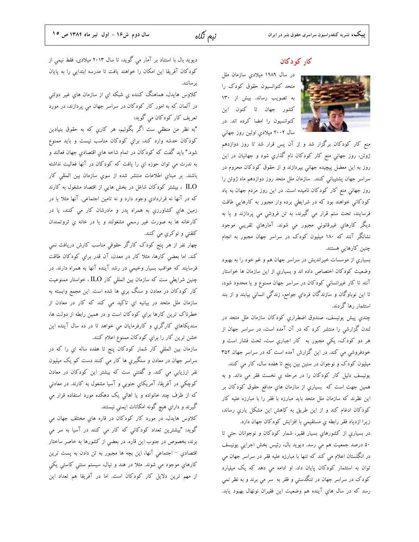نيم نگاه

# کار کودکان

در سال ۱۹۸۹ میلادیِ سازمان ملل متحد کنوانسیون حقوق کودک را به تصویب رساند. بیش از ۱۳۰ كشور جهان تا كنون اين کنوانسیون را امضا کرده اند. در سال ۲۰۰۲ میلادیِ اولین روز جهانی



منع کار کودکان برگزار شد و از آن پس قرار شد تا روز دوازدهم ژوئن، روز جهانی منع کار کودکان نام گذاری شود و جهانیان در این روز به این معضل پیچیده جهانی بپردازند و از حقوق کودکان محروم در سراسر جهان پشتیبانی کنند. سازمان ملل متحد روز دوازدهم ماه ژوئن را روز جهانی منع کار کودکان نامیده است. در این روز مردم جهان به یاد کودکانی خواهند بود که در شرایطی برده وار مجبور به کارهایی طاقت فرسايند، تحت ستم قرار می گيرند، به تن فروشي مي پردازند و يا به ديگر كارهاي غيرقانونى مجبور مى شوند. آمارهاي تقريبى موجود نشانگر آنند که ۱۸۰ میلیون کودک در سراسر جهان مجبور به انجام چنین کارهایی هستند.

بسیاری از موسسات خیراندیش در سراسر جهان هم و غم خود را به بهبود وضعیت کودکان اختصاص داده اند و بسیاری از این سازمان ها خواستار آنند تا کار غیرانسانی کودکان در سراسر جهان ممنوع و یا محدود شود، تا این نوباوگان و سازندگان فردای جوامع، زندگی انسانی بیابند و از بند استثمار رها گردند.

چندی پیش یونیسف، صندوق اضطراری کودکان سازمان ملل متحد در .<br>لندن گزارشی را منتشر کرد که در آن آمده است، در سراسر جهان از هر دو کودک، یکی مجبور به کار اجباری ست، تحت فشار است و خودفروشی می کند. در این گزارش آمده است که در سراسر جهان ۳۵۲ میلیون کودک و نوجوان در سنین بین پنج تا هفده سال، کار می کنند. یونیسف دلیل کار کودکان را در مرحله ي نخست فقر می داند. و به همین جهت است که بسیاریِ از سازمان هایِ مدافع حقوق کودکان بر این نظرند که سازمان ملل متحد باید مبارزه با فقر را با مبارزه علیه کار كودكان ادغام كند و از اين طريق به كاهش اين مشكل ياري رساند، زیرا ازدیاد فقر رابطه ی مستقیمی با افزایش کودکان جهان دارد.

در بسیاری از کشورهای بسیار فقیر، شمار کودکان و نوجوانان حتی تا ۵۰ درصد جمعیت هم می رسد. دیوید بال، رئیس بخش اجرایی یونیسف در انگلستان اعلام می کند که تنها با مبارزه علیه فقر در سراسر جهان می توان به استثمار کودکان پایان داد. او ادامه می دهد که یک میلیارد کودک در سراسر جهان در تنگدستی و فقر به سر می برند و به نظر نمی رسد كه در سال هاى آينده هم وضعيت اين فقيران نونهال بهبود يابد.

دیوید بال با استناد بر آمار می گوید، تا سال ۲۰۱۳ میلادی، فقط نیمی از كودكان آفريقا اين امكان را خواهند يافت تا مدرسه ابتدايي را به پايان برسانند.

کلاوس هايدل، هماهنگ کننده ي شبکه اي از سازمان هاي غير دولتی در آلمان که به امور کار کودکان در سراسر جهان می پردازند، در مورد تعریف کار کودکان می گوید:

"به نظر من منطقی ست اگر بگوئیم، هر کاری که به حقوق بنیادین کودکان خدشه وارد کند، برای کودکان مناسب نیست و باید ممنوع شود." باید گفت که کودکان در تمام شاخه های اقتصادی جهان فعالند و به ندرت می توان حوزه ای را یافت که کودکان در آنها فعالیت نداشته باشند. بر مبنای اطلاعات منتشر شده از سوی سازمان بین المللی کار ILO ، بیشتر کودکان شاغل در بخش هایی از اقتصاد مشغول به کارند که در آنها نه قراردادي وجود دارد و نه تامين اجتماعي. آنها مثلا يا در زمين هاي كشاورزي به همراه پدر و مادرشان كار مي كنند، يا در كارخانه ها به صورت غير رسمي مشغولند و يا در خانه ي ثروتمندان کلفتی و نوکري مي کنند.

چهار نفر از هر پنج کودک کارگر حقوقی مناسب کارش دریافت نمی كند. اما بعضي كارها، مثلا كار در معدن، آن قدر براي كودكان طاقت فرسایند که عواقب بسیار وخیمی در رشد آینده آنها به همراه دارند. در چنین شرایطی ست که سازمان بین المللی کار ILO، خواستار ممنوعیت کار کودکان در معادن و سنگ بري ها شده است. اين مجمع وابسته به سازمان ملل متحد در بیانیه اي تاکید می کند که کار در معادن از خطرناک ترین کارها براي کودکان است و در همين رابطه از دولت ها، سندیکاهایِ کارگریِ و کارفرمایان می خواهد تا در ده سال آینده این خشن ترین کار را برای کودکان ممنوع اعلام کنند.

سازمان بین المللی کار شمار کودکان پنج تا هفده ساله ای را که در سراسر جهان در معادن و سنگبري ها کار مي کنند دست کم يک ميليون نفر ارزیابی می کند. و گفتنی ست که بیشتر این کودکان در معادن کوچکی در آفریقا، آمریکای جنوبی و آسیا مشغول به کارند. در معادنی که از طرف چند خانواده و یا اهالی یک دهکده مورد استفاده قرار می گیرند و دارای هیچ گونه امکانات ایمنی نیستند.

کلاوس هايدل، در مورد کار کودکان در قاره هاي مختلف جهان مي گوید: "بیشترین تعداد کودکانی که کار می کنند در آسیا به سر می برند، بخصوص در جنوب این قاره. در بعضی از کشورها به خاصر ساختار اقتصادي – اجتماعي آنها، اين بچه ها مجبور به تن دادن به پست ترين کارهاي موجود مي شوند. مثلا در هند و نپال، سيستم سنتي کاستي يکي از مهم ترین دلایل کار کودکان است. اما در آفریقا هم تعداد این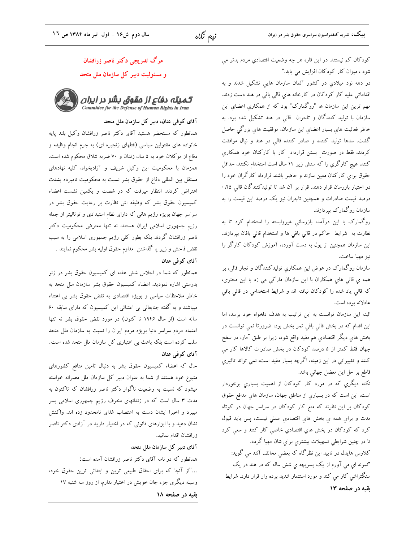كودكان كم نيستند. در اين قاره هر چه وضعيت اقتصادي مردم بدتر مي شود ، میزان کار کودکان افزایش می یابد."

در دهه نود میلادی در کشور آلمان سازمان هایی تشکیل شدند و به اقداماتی علیه کار کودکان در کارخانه های قالی بافی در هند دست زدند. مهم ترین این سازمان ها "روگمارک" بود که از همکاریِ اعضایِ این سازمان با تولید کنندگان و تاجران قالی در هند تشکیل شده بود. به خاطر فعالیت های بسیار اعضای این سازمان، موفقیت های بزرگی حاصل گشت. سدها تولید کننده و صادر کننده قالی در هند و نپال موافقت کردند، فقط در صورت بستن قرارداد کار با کارکنان خود همکاری کنند، هیچ کارگری را که سنش زیر ۱۴ سال است استخدام نکنند، حداقل حقوق برای کارکنان معین سازند و حاضر باشند قرارداد کارگران خود را در اختیار بازرسان قرار دهند. قرار بر آن شد تا تولیدکنندگان قالی ۰،۲۵ درصد قیمت صادرات و همچنین تاجران نیز یک درصد این قیمت را به سازمان روگمارک بپردازند.

روگمارک با این درآمد، بازرسانی غیروابسته را استخدام کرد تا به نظارت به شرایط حاکم در قالی بافی ها و استخدام قالی بافان بپردازند. این سازمان همچنین از پول به دست آورده، آموزش کودکان کارگر را نيز مهيا ساخت.

سازمان روگمارک در عوض این همکاری تولیدکنندگان و تجار قالی، بر همه ي قالي هاي همكاران با اين سازمان ماركي مي زد با اين محتوى، که قالی یاد شده را کودکان نبافته اند و شرایط استخدامی در قالی بافی عادلانه بوده است.

البته این سازمان توانست به این ترتیب به هدف دلخواه خود برسد، اما این اقدام که در بخش قالی بافی ثمر بخش بود، ضرورتا نمی توانست در بخش هاي ديگر اقتصادي هم مفيد واقع شود، زيرا بر طبق آمار، در سطح جهان فقط کمتر از ۵ درصد کودکان در بخش صادرات کالاها کار می کنند و تغییراتي در این زمینه، اگرچه بسیار مفید است، نمي تواند تاثیري قاطع بر حل این معضل جهانی باشد.

نکته دیگری که در مورد کار کودکان از اهمیت بسیاری برخوردار است، این است که در بسیاری از مناطق جهان، سازمان های مدافع حقوق کودکان بر این نظرند که منع کار کودکان در سراسر جهان در کوتاه مدت و برای همه ی بخش های اقتصادی عملی نیست، پس باید قبول کرد که کودکان در بخش هاي اقتصادي خاصي کار کنند و سعي کرد تا در چنين شرايطي تسهيلات بيشتري براي شان مهيا گردد. کلاوس هایدل در تایید این نظرگاه که بعضی مخالف آنند می گوید: "نمونه اي مي آورم از يک پسربچه ي شش ساله که در هند در يک سنگتراشی کار می کند و مورد استثمار شدید برده وار قرار دارد. شرایط بقیه در صفحه ۱۳

# مرگ تدریجی دکتر ناصر زرافشان و مسئولیت دبیر کل سازمان ملل متحد



**کمیته دفاع از مقوق بشر در ایران**<br>Committee for the Defense of Human Rights in Iran

# آقای کوفی عنان، دبیر کل سازمان ملل متحد

همانطور که مستحضر هستید آقای دکتر ناصر زرافشان وکیل بلند پایه .<br>خانواده های مقتولین سیاسی (قتلهای زنجیره ای) به جرم انجام وظیفه و دفاع از موكلان خود به ۵ سال زندان و ۷۰ ضربه شلاق محكوم شده است. همزمان با محکومیت این وکیل شریف و آزادیخواه، کلیه نهادهای مستقل بین المللی دفاع از حقوق بشر نسبت به محکومیت نامبرده بشدت اعتراض کردند. انتظار میرفت که در شصت و یکمین نشست اعضاء كميسيون حقوق بشر كه وظيفه اش نظارت بر رعايت حقوق بشر در سراسر جهان بویژه رژیم هائی که دارای نظام استبدادی و توتالیتر از جمله رژیم جمهوری اسلامی ایران هستند، نه تنها معترض محکومیت دکتر ناصر زرافشان گردند بلکه بطور کلی رژیم جمهوری اسلامی را به سبب نقض فاحش و زیر پا گذاشتن ً مداوم حقوق اولیه بشر محکوم نمایند . آقای کوفی عنان

همانطور که شما در اجلاس شش هفته ای کمیسیون حقوق بشر در ژنو بدرستی اشاره نمودید، اعضاء کمیسیون حقوق بشر سازمان ملل متحد به خاطر ملاحظات سیاسی و بویژه اقتصادی به نقض حقوق بشر بی اعتناء میباشند و به گفته جنابعالی بی اعتنائی این کمیسیون که دارای سابقه ۶۰ ساله است (از سال ۱۹۴۶ تا کنون) در مورد نقض حقوق بشر نه تنها اعتماد مردم سراسر دنیا بویژه مردم ایران را نسبت به سازمان ملل متحد سلب کرده است بلکه باعث بی اعتباری کل سازمان ملل متحد شده است. آقای کوفی عنان

حال که اعضاء کمیسیون حقوق بشر به دنبال تامین منافع کشورهای متبوع خود هستند از شما به عنوان دبیر کل سازمان ملل مصرانه خواسته میشود که نسبت به وضعیت ناگوار دکتر ناصر زرافشان که تاکنون به مدت ۳ سال است که در زندانهای مخوف رژیم جمهوری اسلامی بسر میبرد و اخیرا ایشان دست به اعتصاب غذای نامحدود زده اند، واکنش نشان دهید و با ابزارهای قانونی که در اختیار دارید در آزادی دکتر ناصر زرافشان اقدام نمائيد.

آقای دبیر کل سازمان ملل متحد

همانطور که در نامه آقای دکتر ناصر زرافشان آمده است: ..."از آنجا كه براي احقاق طبيعي ترين و ابتدائي ترين حقوق خود، وسیله دیگری جزء جان خویش در اختیار ندارم، از روز سه شنبه ۱۷ بقیه در صفحه ۱۸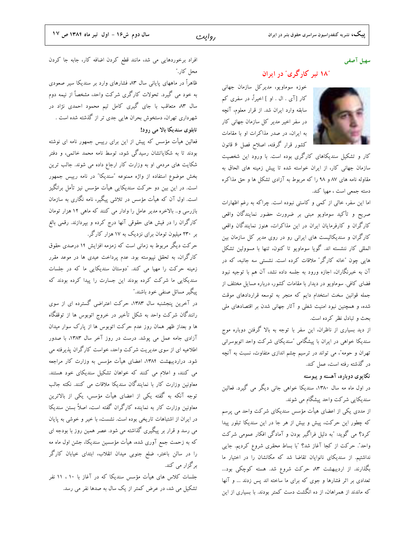# سهيل آصفي

# ۱۸″ تیر کارگری″ در ایران

خوزه سوماویو، مدیرکل سازمان جهانی کار [آی . ال . او ] اخیراً، در سفری کم سابقه وارد ايران شد. از قرار معلوم، آنچه در سفر اخیر مدیر کل سازمان جهانی کار به ایران، در صدر مذاکرات او با مقامات کشور قرار گرفته، اصلاح فصل ۶ قانون

کار و تشکیل سندیکاهای کارگری بوده است. با ورود این شخصیت سازمان جهانی کار، از ایران خواسته شده تا پیش زمینه های الحاق به مقاوله نامه های ۸۷ و ۹۸ را که مربوط به آزادی تشکل ها و حق مذاکره دسته جمعی است ، مهیا کند.

اما این سفر، خالی از کمی و کاستی نبوده است. چراکه به رغم اظهارات صریح و تأکید سوماویو مبنی بر ضرورت حضور نمایندگان واقعی کارگران و کارفرمایان ایران در این مذاکرات، هنوز نمایندگان واقعی کارگران و سندیکالیست های ایرانی رو در روی مدیر کل سازمان بین المللي كار ننشسته اند. گويا سوماويو تا كنون، تنها با مسوولين تشكل هایی چون ″خانه کارگر″ ملاقات کرده است. نشستی سه جانبه، که در آن به خبرنگاران، اجازه ورود به جلسه داده نشد، آن هم با توجیه نبود فضای کافی. سوماویو در دیدار با مقامات کشور، درباره مسایل مختلف از جمله قوانین سخت استخدام دایم که منجر به توسعه قراردادهای موقت شده، و همچنین نبود امنیت شغلی و آثار جهانی شدن بر اقتصادهای ملی بحث و تبادل نظر کرده است.

از دید بسیاری از ناظران، این سفر با توجه به بالا گرفتن دوباره موج سندیکا خواهی در ایران با پیشگامی "سندیکای شرکت واحد اتوبوسرانی تهران و حومه"، می تواند در ترسیم چشم اندازی متفاوت، نسبت به آنچه در گذشته رفته است، عمل کند.

# تکاپوی دوباره، آهسته و پیوسته

در اول ماه مه سال ۱۳۸۰، سندیکا خواهی جانی دیگر می گیرد. فعالین سندیکایی شرکت واحد پیشگام می شوند.

از مددی یکی از اعضای هیأت مؤسس سندیکای شرکت واحد می پرسم که چطور این حرکت، پیش و بیش از هر جا در این سندیکا تبلور پیدا کرد؟ می گوید: "به دلیل فراگیر بودن و آمادگی افکار عمومی شرکت واحد". حركت از كجا آغاز شد؟ "با بساط محقرى شروع كرديم. جايبي نداشتیم. از سندیکای نانوایان تقاضا شد که مکانشان را در اختیار ما بگذارند. از اردیبهشت ۸۳ حرکت شروع شد. هسته کوچکی بود... تعدادی بر اثر فشارها و جوی که برای ما ساخته اند پس زدند ... و آنها که ماندند از همراهان، از ده انگشت دست کمتر بودند. با بسیاری از این

افراد برخوردهایی می شد، مانند قطع کردن اضافه کار، جابه جا کردن محل کار.″

ظاهراً در ماههای پایانی سال ۸۳، فشارهای وارد بر سندیکا سیر صعودی به خود می گیرد. تحولات کارگری شرکت واحد، مشخصاً از نیمه دوم سال ۸۳، متعاقب با جای گیری کامل تیم محمود احمدی نژاد در شهرداری تهران، دستخوش بحران هایی جدی تر از گذشته شده است . تابلوی سندیکا بالا مے رود!

فعالین هیأت مؤسس که پیش از این برای رییس جمهور نامه ای نوشته بودند تا به شکایاتشان رسیدگی شود، توسط نامه محمد خاتمی، و دفتر شکایت های مردمی او به وزارت کار ارجاع داده می شوند. جالب ترین بخش موضوع استفاده از واژه ممنوعه "سنديكا" در نامه رييس جمهور است. در این بین دو حرکت سندیکایی هیأت مؤسس نیز تأمل برانگیز است. اول آن که هیأت مؤسس در تلاشی پیگیر، نامه نگاری به سازمان بازرسی و.. بالاخره مدیر عامل را وادار می کنند که ماهی ۱۲ هزار تومان کارگران را در فیش های حقوقی آنها درج کرده و بپردازند. رقمی بالغ بر ۲۳۰ میلیون تومان برای نزدیک به ۱۷ هزار کارگر.

حرکت دیگر مربوط به زمانی است که زمزمه افزایش ۱۴ درصدی حقوق کارگران، به تحقق نپیوسته بود. عدم پرداخت عیدی ها در موعد مقرر زمینه حرکت را مهیا می کند. "دوستان سندیکایی ما که در جلسات سندیکایی ما شرکت کرده بودند این جسارت را پیدا کرده بودند که پیگیر مسائل صنفی خود باشند.″

در آخرین پنجشنبه سال ۱۳۸۳، حرکت اعتراضی گسترده ای از سوی رانندگان شرکت واحد به شکل تأخیر در خروج اتوبوس ها از توقفگاه ها و بعداز ظهر همان روز عدم حرکت اتوبوس ها از پارک سوار میدان آزادی جامه عمل می پوشد. درست در روز آخر سال ۱۳۸۳، با صدور اطلاعیه ای از سوی مدیریت شرکت واحد، خواست کارگران پذیرفته می شود. دراردیبهشت ۱۳۸۴، اعضای هیأت مؤسس به وزارت کار مراجعه می کنند، و اعلام می کنند که خواهان تشکیل سندیکای خود هستند. معاونین وزارت کار با نمایندگان سندیکا ملاقات می کنند. نکته جالب توجه آنکه به گفته یکی از اعضای هیأت مؤسس، یکی از بالاترین معاونین وزارت کار به نماینده کارگران گفته است، اصلاً بستن سندیکا در ایران از اشتباهات تاریخی بوده است. نشست، با خیر و خوشی به پایان می رسد و قرار بر پیگیری گذاشته می شود. عصر همین روز با بودجه ای که به زحمت جمع آوری شده، هیأت مؤسسین سندیکا، جشن اول ماه مه را در سالن باختر، ضلع جنوبی میدان انقلاب، ابتدای خیابان کارگر برگزار می کند.

جلسات کلاس های هیأت مؤسس سندیکا که در آغاز با ۱۰، ۱۱ نفر تشکیل می شد، در عرض کمتر از یک سال به صدها نفر می رسد.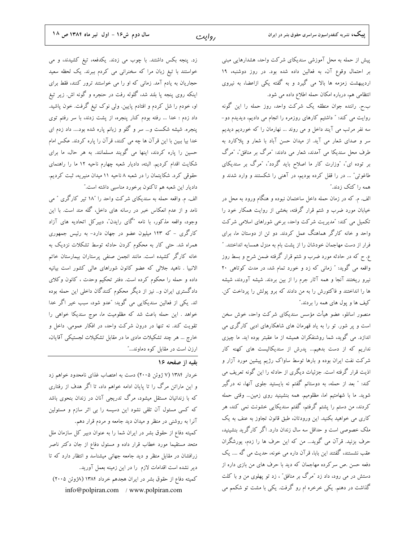پیش از حمله به محل آموزشی سندیکای شرکت واحد، هشدارهایی مبنی بر احتمال وقوع آن، به فعالین داده شده بود. در روز دوشنبه، ١٩ اردیبهشت زمزمه ها بالا می گیرد و به گفته یکی ازاعضا، به نیروی انتظامی هم، درباره امکان حمله اطلاع داده می شود.

ب.ح. راننده جوان منطقه یک شرکت واحد، روز حمله را این گونه روایت می کند: " داشتیم کارهای روزمره را انجام می دادیم، دیدیدم دو-سه نفر مرتب می آیند داخل و می روند ... نهارمان را که خوردیم دیدیم سر و صدای شعار می آید. از میدان حسن آباد با شعار و پلاکارد به طرف محل سندیکا می آمدند، شعار می دادند: "مرگ بر منافق"، "مرگ بر توده ای"، "وزارت کار ما اصلاح باید گردد"، "مرگ بر سندیکای طاغوتی" ... در را قفل کرده بودیم، در آهنی را شکستند و وارد شدند و همه را کتک زدند."

الف. م. که در زمان حمله داخل ساختمان نبوده و هنگام ورود به محل در خیابان مورد ضرب و شتم قرار گرفته، بخشی از روایت همکار خود را تکمیل می کند: "مدیریت شرکت واحد، برخی شوراهای اسلامی شرکت واحد و خانه کارگر هماهنگ عمل کردند. دو تن از دوستان ما، برای فرار از دست مهاجمان خودشان را از پشت بام به منزل همسایه انداختند. " ع. ح که در حادثه مورد ضرب و شتم قرار گرفته ضمن شرح و بسط روز واقعه می گوید: " زمانی که زد و خورد تمام شد، در مدت کوتاهی ۲۰ نیرو ریختند آنجا و همه آثار جرم را از بین بردند. شیشه آوردند، شیشه ها را انداختند و فاکتورش را به من دادند که برو پولش را پرداخت کن. کیف ها و یول های همه را بردند."

منصور اسانلو، عضو هیأت مؤسس سندیکای شرکت واحد، خوش سخن است و پر شور. تو را به یاد قهرمان های شاهکارهای ادبی کارگری می اندازد. می گوید، شما روشنفکران همیشه از ما عقبتر بوده اید. ما چیزی .<br>نداریم که از دست بدهیم... پدرش از سندیکالیست های کهنه کار شرکت نفت ایران بوده و بارها توسط ساواک رژیم پیشین مورد آزار و اذیت قرار گرفته است. جزئیات دیگری از حادثه را این گونه تعریف می کند: " بعد از حمله، به دوستانم گفتم نه بایستید جلوی آنها، نه درگیر شوید. ما با شهامتیم اما، مظلومیم. همه بنشینید روی زمین… وقتی حمله کردند، من دستم را پشتم گرفتم، گفتم سندیکایی خشونت نمی کند، هر کاری می خواهید بکنید. این ورودتان، طبق قانون تجاوز به عنف به یک ملک خصوصی است و حداقل سه سال زندان دارد. اگر کارگرید بنشینید، حرف بزنید. قرآن می گوید… من که این حرف ها را زدم، یورشگران عقب نشستند، گفتند این بابا، قرآن داره می خونه، حدیث می گه .... یک دفعه حسن .ص سرکرده مهاجمان که دید با حرف های من بازی داره از دستش در می رود، داد زد "مرگ بر منافق" ، زد تو پهلوی من و با کلت گذاشت در دهنم. یکی خرخره ام رو گرفت. یکی با مشت تو شکمم می

زد. پنجه بکس داشتند. با چوب می زدند. یکدفعه، تیغ کشیدند، و می خواستند با تیغ زبان مرا که سخنرانی می کردم ببرند. یک لحظه سعید حجاریان به یادم آمد. زمانی که او را می خواستند ترور کنند، فقط برای اینکه روی پنجه پا بلند شد، گلوله رفت در حنجره و گونه اش. زیر تیغ او، خودم را شل کردم و افتادم پایین. ولی نوک تیغ گرفت. خون پاشید. داد زدم : خدا ... رفته بودم کنار پنجره، از پشت زدند، با سر رفتم توی پنجره. شیشه شکست و… سر و گلو و زبانم پاره شده بود…. داد زدم ای خدا بیا ببین با این قرآن ها چه می کنند، قرآن را پاره کردند. عکس امام حسین را پاره کردند، اینها می گویند مسلمانند. به هر حال، ما برای شکایت اقدام کردیم. البته، دادیار شعبه چهارم ناحیه ۱۲ ما را راهنمای حقوقی کرد. شکایتمان را در شعبه ۸ ناحیه ۱۱ میدان منیریه، ثبت کردیم. دادیار این شعبه هم تاکنون برخورد مناسبی داشته است."

الف. م. واقعه حمله به سنديكاي شركت واحد را "١٨ تير كارگري " مي نامد و از عدم انعکاس خبر در رسانه های داخل، گله مند است. با این وجود، واقعه مذکور، با نامه "گای رایدن"، دبیرکل اتحادیه های آزاد کارگری - که ۱۴۳ میلیون عضو در جهان دارد- به رئیس جمهوری همراه شد. حتی کار به محکوم کردن حادثه توسط تشکلات نزدیک به خانه کارگر کشیده است. مانند انجمن صنفی پرستاران بیمارستان خاتم الانبیا . ناهید جلالی که عضو کانون شوراهای عالی کشور است بیانیه داده و حمله را محکوم کرده است. دفتر تحکیم وحدت ، کانون وکلای دادگستری ایران و.. نیز از دیگر محکوم کنندگان داخلی این حمله بوده اند. یکی از فعالین سندیکایی می گوید: "عدو شود، سبب خیر اگر خدا خواهد . این حمله باعث شد که مظلومیت ما، موج سندیکا خواهی را تقویت کند. نه تنها در درون شرکت واحد، در افکار عمومی. داخل و خارج ... هر چند تشکیلات مادی ما در مقابل تشکیلات لجستیکی آقایان، ارزن است در مقابل کوه دماوند..."

# بقیه از صفحه ۱۶

خردار ۱۳۸۴ (۷ ژوئن ۲۰۰۵) دست به اعتصاب غذای نامحدود خواهم زد و این ماراتن مرگ را تا پایان ادامه خواهم داد، تا اگر هدف از رفتاری که با زندانیان مستقل میشود، مرگ تدریجی آنان در زندان بنحوی باشد که کسی مسئول آن تلقی نشود این دسیسه را بی اثر سازم و مسئولین آنرا به روشنی در منظر و میدان دید جامعه و مردم قرار دهم. كميته دفاع از حقوق بشر در ايران شما را به عنوان دبير كل سازمان ملل متحد مستقیما مورد خطاب قرار داده و مسئول دفاع از جان دکتر ناصر زرافشان در مقابل منظر و دید جامعه جهانی میشناسد و انتظار دارد که تا دیر نشده است اقدامات لازم را در این زمینه بعمل آورید. کمیته دفاع از حقوق بشر در ایران هجدهم خرداد ۱۳۸۴ (۸ژوئن ۲۰۰۵) info@polpiran.com /www.polpiran.com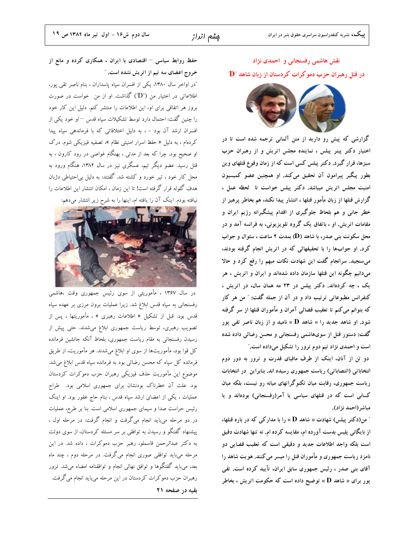# نقش هاشمی رفسنجانی و احمدی نژاد در قتل رهبران حزب دموكرات كردستان از زبان شاهد "D"



گزارشی که پیش رو دارید از متن آلمانی ترجمه شده است تا در اختیار دکتر پیتر پیلس ، نماینده مجلس اتریش و از رهبران حزب سبزها، قرار گیرد. دکتر پیلس کسی است که از زمان وقوع قتلهای وین بطور پیگیر پیرامون آن تحقیق می کند. او همچنین عضو کمیسیون امنیت مجلس اتریش میباشد. دکتر پیلس خواست تا لحظه عمل ، گزارش قتلها از زبان مأمور قتلها ، انتشار پیدا نکند، هم بخاطر پرهیز از خطر جانی و هم بلحاظ جلوگیری از اقدام پیشگیرانه رژیم ایران و مقامات اتریش. او ، باتفاق یک گروه تلویزیونی، به فرانسه آمد و در محل سکونت بنی صدر، با شاهد (D) بمدت ۲ ساعت ، سئوال و جواب کرد. او جوابها را با تحقیقهائی که در اتریش انجام گرفته بودند، می سنجید. سرانجام گفت این شهادت نکات مبهم را رفع کرد و حالا میدانیم چگونه این قتلها سازمان داده شدهاند و ایران و اتریش ، هر یک ، چه کردهاند. دکتر پیلس در ۲۳ مه همان سال، در اتریش ، کنفرانس مطبوعاتی ترتیب داد و در آن از جمله گفت: " من هر کار که بتوانم می کنم تا تعقیب قضائی آمران و مأموران قتلها از سر گرفته شود. او شاهد جدید را « شاهد D » نامید و از زبان ناصر تقی پور گفت: دستور قتل از سویهاشمی رفسنجانی و محسن رضائی داده شده است و احمدی نژاد تیم دوم ترور را تشکیل میداده است."

دو تن از آنان، اینک از طرف مافیای قدرت و ترور به دور دوم انتخاباتی (انتصاباتی) ریاست جمهوری رسیده اند. بنابراین در انتخابات ریاست جمهوری، رقابت میان تکنوگراتهای میانه رو نیست، بلکه میان کسانی است که در قتلهای سیاسی یا آمر(رفسنجانی) بودهاند و یا مباشر (احمد نژاد).

" من(دکتر پیلس) شهادت « شاهد D » را با مدارکی که در باره قتلها، از بایگانی پلیس بدست آورده ام، مقایسه کرده ام. نه تنها شهادت دقیق است بلکه واجد اطلاعات جدید و دقیقی است که تعقیب قضایی دو نامزد ریاست جمهوری و مأموران قتل را میسر می کنند. هویت شاهد را ۔<br>آقای بنی صدر ، رئیس جمهوری سابق ایران، تأیید کرده است. تقی پور برای « شاهد D » توضیح داده است که حکومت اتریش ، بخاطر

حفظ روابط سیاسی – اقتصادی با ایران ، همکاری کرده و مانع از خروج اعضای سه تیم از اتریش نشده است. "

"در اواخر سال ۱۳۸۰، یکی از افسران سپاه پاسداران ، بنام ناصر تقی پور، اطلاعاتی در اختیار من ("D") گذاشت. او از من خواست در صورت بروز هر اتفاقی برای او، این اطلاعات را منتشر کنم. دلیل این کار خود را چنین گفت: احتمال دارد توسط تشکیلات سپاه قدس <sup>—</sup>او خود یکی از افسران ارشد آن بود - ، به دلیل اختلافاتی که با فرماندهی سپاه پیدا کردهام ، به دلیل « حفظ اسرار امنیتی نظام »، تصفیه فیزیکی شوم. درک او صحیح بود. چرا که بعد از مدتی ، بهنگام غواصی در رود کارون ، به قتل رسید. عضو دیگر تیم، عسگری نیز در سال ۱۳۸۲، هنگام ورود به محل کار خود ، تیر خورد و کشته شد. گفتند: به دلیل بی|حتیاطی دژبان هدف گلوله قرار گرفته است! تا این زمان ، امکان انتشار این اطلاعات را نیافته بودم. اینک آن را یافته ام، اینها را به شرح زیر انتشار میدهم:



در سال ۱۳۶۷ ، مأموریتی از سوی رئیس جمهوری وقت ،هاشمی رفسنجانی به سپاه قدس ابلاغ شد. زیرا عملیات برون مرزی بر عهده سپاه قدس بود. قبل از تشکیل « اطلاعات رهبری » ، مأموریتها ، پس از .<br>تصویب رهبری، توسط ریاست جمهوری ابلاغ میشدند. حتی پیش از رسیدن رفسنجانی به مقام ریاست جمهوری، بلحاظ آنکه جانشین فرمانده کل قوا بود، مأموریتها از سوی او ابلاغ میشدند. هر مأموریت، از طریق فرمانده کل سپاه که محسن رضائی بود به فرمانده سپاه قدس ابلاغ میشد. موضوع این مأموریت حذف فیزیکی رهبران حزب دموکرات کردستان بود. علت آن خطرناک بودنشان برای جمهوری اسلامی بود. طراح عملیات ، یکی از اعضای ارشد سپاه قدس ، بنام حاج غفور بود. او اینک رئیس حراست صدا و سیمای جمهوری اسلامی است. بنا بر طرح، عملیات در دو مرحله میباید انجام میگرفت و انجام گرفت: در مرحله اول ، پیشنهاد گفتگو و رسیدن به توافقی بر سر مسئله کردستان، از سوی دولت به دکتر عبدالرحمن قاسملو، رهبر حزب دموکرات ، داده شد. در این مرحله میباید توافقی صوری انجام میگرفت. در مرحله دوم ، چند ماه بعد، میباید گفتگوها و توافق نهائی انجام و توافقنامه امضاء میشد. ترور رهبران حزب دموکرات کردستان در این مرحله میباید انجام میگرفت. بقیه در صفحه ۲۱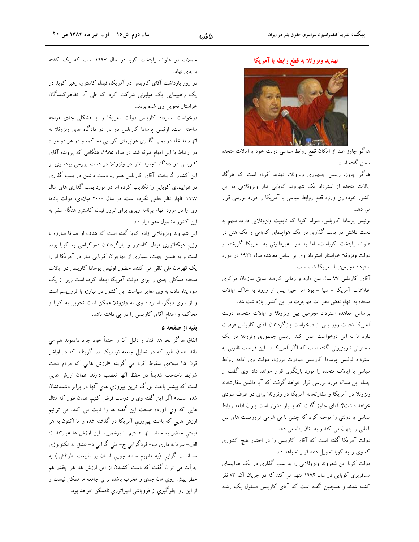## تهدید ونزوئلا به قطع رابطه با آمریکا



هوگو چاوز علنا از امکان قطع روابط سیاسی دولت خود با ایالات متحده سخن گفته است

هوگو چاوز، رییس جمهوری ونزوئلا، تهدید کرده است که هرگاه ایالات متحده از استرداد یک شهروند کوبایی تبار ونزوئلایی به این کشور خودداری ورزد قطع روابط سیاسی با آمریکا را مورد بررسی قرار مي دهد.

لوئیس پوسادا کاریلس، متولد کوبا که تابعیت ونزوئلایی دارد، متهم به دست داشتن در بمب گذاری در یک هواپیمای کوبایی و یک هتل در هاوانا، پایتخت کوباست، اما به طور غیرقانونی به آمریکا گریخته و دولت ونزوئلا خواستار استرداد وی بر اساس معاهده سال ۱۹۲۲ در مورد استرداد مجرمین با آمریکا شده است.

آقای کاریلس ۷۷ سال سن دارد و زمانی کارمند سابق سازمان مرکزی اطلاعات آمریکا - سیا - بود اما اخیرا پس از ورود به خاک ایالات متحده به اتهام نقض مقررات مهاجرت در این کشور بازداشت شد.

براساس معاهده استرداد مجرمین بین ونزوئلا و ایالات متحده، دولت آمریکا شصت روز پس از درخواست بازگرداندن آقای کاریلس فرصت دارد تا به این درخواست عمل کند. رییس جمهوری ونزوئلا در یک سخنرانی تلویزیونی گفته است که اگر آمریکا در این فرصت قانونی به استرداد لوئیس پوسادا کاریلس مبادرت نورزد، دولت وی ادامه روابط سیاسی با ایالات متحده را مورد بازنگری قرار خواهد داد. وی گفت از جمله این مساله مورد بررسی قرار خواهد گرفت که آیا داشتن سفارتخانه ونزوئلا در آمریکا و سفارتخانه آمریکا در ونزوئلا برای دو طرف سودی خواهد داشت؟ آقای چاوز گفت که بسیار دشوار است بتوان ادامه روابط سیاسی با دولتی را توجیه کرد که چنین با بی شرمی تروریست های بین المللي را پنهان مي کند و به آنان پناه مي دهد.

دولت آمریکا گفته است که آقای کاریلس را در اختیار هیچ کشوری که وی را به کوبا تحویل دهد قرار نخواهد داد.

دولت کوبا این شهروند ونزوئلایی را به بمب گذاری در یک هواپیمای مسافربری کوبایی در سال ۱۹۷۶ متهم می کند که در جریان آن، ۷۳ نفر کشته شدند و همچنین گفته است که آقای کاریلس مسئول یک رشته

حملات در هاوانا، پایتخت کوبا در سال ۱۹۹۷ است که یک کشته برجاي نهاد.

در روز بازداشت آقای کاریلس در آمریکا، فیدل کاسترو، رهبر کوبا، در یک راهپیمایی یک میلیونی شرکت کرد که طی آن تظاهرکنندگان خواستار تحویل وی شده بودند.

درخواست استرداد کاریلس دولت آمریکا را با مشکلی جدی مواجه ساخته است. لوئیس یوسادا کاریلس دو بار در دادگاه های ونزوئلا به اتهام مداخله در بمب گذاری هواپیمای کوبایی محاکمه و در هر دو مورد در ارتباط با این اتهام تبرئه شد. در سال ۱۹۸۵، هنگامی که پرونده آقای کاریلس در دادگاه تجدید نظر در ونزوئلا در دست بررسی بود، وی از این کشور گریخت. آقای کاریلس همواره دست داشتن در بمب گذاری در هواپیمای کوبایی را تکذیب کرده اما در مورد بمب گذاری های سال ۱۹۹۷ اظهار نظر قطعی نکرده است. در سال ۲۰۰۰ میلادی، دولت پاناما وی را در مورد اتهام برنامه ریزی برای ترور فیدل کاسترو هنگام سفر به این کشور مشمول عفو قرار داد.

این شهروند ونزوئلایی زاده کوبا گفته است که هدف او صرفا مبارزه با رژیم دیکتاتوری فیدل کاسترو و بازگرداندن دموکراسی به کوبا بوده است و به همین جهت، بسیاری از مهاجران کوبایی تبار در آمریکا او را یک قهرمان ملی تلقی می کنند. حضور لوئیس پوسادا کاریلس در ایالات متحده مشکلی جدی را برای دولت آمریکا ایجاد کرده است زیرا از یک سو، پناه دادن به وی مغایر سیاست این کشور در مبارزه با تروریسم است و از سوی دیگر، استرداد وی به ونزوئلا ممکن است تحویل به کوبا و محاکمه و اعدام آقای کاریلس را در پی داشته باشد.

# بقيه از صفحه ۵

اتفاق هرگز نخواهد افتاد و دلیل آن را حتماً خود جرد دایموند هم می داند. همان طور که در تحلیل جامعه نوردیک در گرینلند که در اواخر قرن ۱۵ میلادي سقوط کرد می گوید: «ارزش هایی که مردم تحت شرایط نامناسب شدیداً در حفظ آنها تعصب دارند، همان ارزش هایی است که بیشتر باعث بزرگ ترین پیروزی های آنها در برابر دشمنانشان شده است.» اگر این گفته وی را درست فرض کنیم، همان طور که مثال هایی که وي آورده صحت این گفته ها را ثابت می کند، می توانیم ارزش هایی که باعث پیروزی آمریکا در گذشته شده و ما اکنون به هر قیمتی حاضر به حفظ آنها هستیم را برشمریم. این ارزش ها عبارتند از: الف- سرمایه داری ب- فردگرایی ج- ملی گرایی د- عشق به تکنولوژی ه- انسان گرایی (به مفهوم سلطه جویی انسان بر طبیعت اطرافش.) به جرأت می توان گفت که دست کشیدن از این ارزش ها، هر چقدر هم خطر پيش روي مان جدي و مخرب باشد، براي جامعه ما ممكن نيست و از اين رو جلوگيري از فروپاشي امپراتوري ناممکن خواهد بود.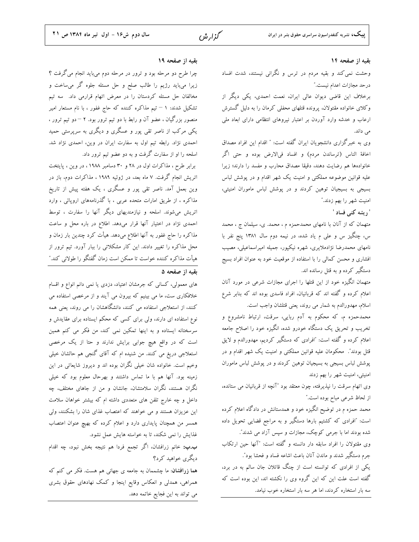## بقيه از صفحه ١٤

وحشت نمی کند و بقیه مردم در ترس و نگرانی نیستند، شدت افساد درحد مجازات اعدام نيست." برخلاف این قاضی دیوان عالی ایران، نعمت احمدی، یکی دیگر از

وکلای خانواده مقتولان، پرونده قتلهای محفلی کرمان را به دلیل گسترش ارعاب و خدشه وارد آوردن بر اعتبار نیروهای انتظامی دارای ابعاد ملی می داند.

وی به خبرگزاری دانشجویان ایران گفته است: " اقدام این افراد مصداق اخافهٔ الناس (ترساندن مردم) و افساد فیالارض بوده و حتی اگر خانوادهها هم رضایت دهند، دقیقا مصداق محارب و مفسد را دارند؛ زیرا علیه قوانین موضوعه مملکتی و امنیت یک شهر اقدام و در پوشش لباس بسیجی به بسیجیان توهین کردند و در پوشش لباس ماموران امنیتی، امنیت شهر را بهم زدند."

' ریشه کنی فساد '

متهمان که از آنان با نامهای محمدحمزه م ، محمد. ی، سیلمان ج ، محمد س، چنگیز س و علی م یاد شده، در نیمه دوم سال ۱۳۸۱ پنج نفر با نامهای محمدرضا نژادملایری، شهره نیکپور، جمیله امیراسماعیلی، مصیب افشاری و محسن کمالی را با استفاده از موقعیت خود به عنوان افراد بسیج دستگیر کرده و به قتل رسانده اند.

متهمان انگیزه خود از این قتلها را اجرای مجازات شرعی در مورد آنان اعلام کرده و گفته اند که قربانیان، افراد فاسدی بوده اند که بنابر شرع اسلام، مهدورالدم به شمار می روند، یعنی قتلشان واجب است.

محمدحمزه م، که محکوم به آدم ربایی، سرقت، ارتباط نامشروع و تخریب و تحریق یک دستگاه خودرو شده، انگیزه خود را اصلاح جامعه اعلام کرده و گفته است: "افرادی که دستگیر کردیم، مهدورالدم و لایق قتل بودند". محکومان علیه قوانین مملکتی و امنیت یک شهر اقدام و در پوشش لباس بسیجی به بسیجیان توهین کردند و در پوشش لباس ماموران امنیتی، امنیت شهر را بهم زدند

وی اتهام سرقت را نپذیرفته، چون معتقد بود "آنچه از قربانیان می ستانده، از لحاظ شرعی مباح بوده است."

محمد حمزه م در توضیح انگیزه خود و همدستانش در دادگاه اعلام کرده است: "افرادی که کشتیم بارها دستگیر و به مراجع قضایی تحویل داده شده بودند اما با جرمی کوچک، مجازات و سپس آزاد می شدند".

وی مقتولان را افراد سابقه دار دانسته و گفته است: "آنها حین ارتکاب جرم دستگیر شدند و ماندن آنان باعث اشاعه فساد و فحشا بود".

یکی از افرادی که توانسته است از چنگ قاتلان جان سالم به در برد، گفته است علت این که این گروه وی را نکشته اند، این بوده است که سه بار استخاره کردند، اما هر سه بار استخاره خوب نیامد.

#### بقيه از صفحه ١٩

چرا طرح دو مرحله بود و ترور در مرحله دوم میباید انجام میگرفت ؟ زیرا می،باید رژیم را طالب صلح و حل مسئله جلوه گر میساخت و مخالفان حل مسئله كردستان را در معرض اتهام قرارمي داد. سه تيم تشکیل شدند: ۱ – تیم مذاکره کننده که حاج غفور ، با نام مستعار امیر منصور بزرگیان ، عضو آن و رابط با دو تیم ترور بود. ۲ – دو تیم ترور ، یکی مرکب از ناصر تقی پور و عسگری و دیگری به سرپرستی حمید احمدی نژاد. رابطه تیم اول به سفارت ایران در وین، احمدی نژاد شد. اسلحه را او از سفارت گرفت و به دو عضو تیم ترور داد.

برابر طرح ، مذاکرات اول در ۲۸ و ۳۰ دسامبر ۱۹۸۸ ، در وین ، پایتخت اتریش انجام گرفت. ۷ ماه بعد، در ژوئیه ۱۹۸۹ ، مذاکرات دوم، باز در وین بعمل آمد. ناصر تقی پور و عسگری ، یک هفته پیش از تاریخ مذاکره ، از طریق امارات متحده عربی ، با گذرنامههای اروپائی ، وارد اتریش میشوند. اسلحه و نیازمندیهای دیگر آنها را سفارت ، توسط احمدی نژاد در اختیار آنها قرار میدهد. اطلاع در باره محل و ساعت مذاکره را حاج غفور به آنها اطلاع میدهد. هیأت کرد چندین بار زمان و محل مذاکره را تغییر دادند. این کار مشکلاتی را ببار آورد. تیم ترور از هیأت مذاکره کننده خواست تا ممکن است زمان گفتگو را طولانی کند."

# بقيه از صفحه ۵

های معمولی، کسانی که جرمشان اعتیاد، دزدی یا نمی دانم انواع و اقسام خلافکاری ست، ما می بینیم که بیرون می آیند و از مرخصی استفاده می کنند، از استعلاجی استفاده می کنند، دانشگاهشان را می روند، یعنی همه نوع استفاده ای دارند، ولی برای کسی که محکم ایستاده برای عقایدش و سرسختانه ایستاده و به اینها تمکین نمی کند، من فکر می کنم همین است که در واقع هیچ جوابی برایش ندارند و حتا از یک مرخصی استعلاجی دریغ می کنند. من شنیده ام که آقای گنجی هم حالشان خیلی وخیم است. خانواده شان خیلی نگران بوده اند و دیروز شایعاتی در این زمینه بود. آنها هم با ما تماس داشتند و بهرحال معلوم بود که خیلی نگران هستند، نگران سلامتشان، جانشان و من از جاهای مختلف، چه داخل و چه خارج تلفن های متعددی داشته ام که بیشتر خواهان سلامت این عزیزان هستند و می خواهند که اعتصاب غذای شان را بشکنند، ولی همسر من همچنان پایداری دارد و اعلام کرده که بهیچ عنوان اعتصاب غذایش را نمی شکند، تا به خواسته هایش عمل نشود.

ب.پ: خانم زرافشان، اگر تجمع فردا هم نتیجه بخش نبود، چه اقدام دیگری خواهید کرد؟ هما زرافشان: ما چشممان به جامعه ی جهانی هم هست. فکر می کنم که همراهی، همدلی و انعکاس وقایع اینجا و کمک نهادهای حقوق بشری می تواند به این فجایع خاتمه دهد.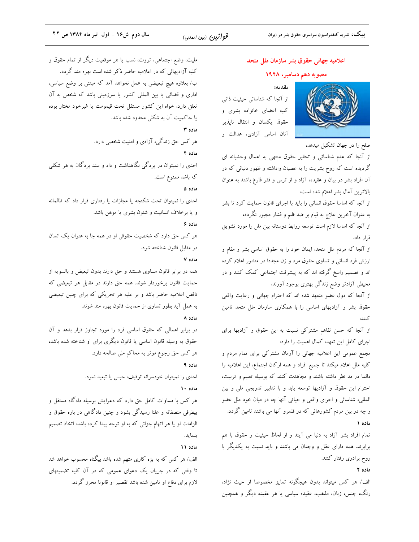اعلامیه جهان<sub>ه،</sub> حقوق بشر سازمان ملل متحد مصوبه دهم دسامبر، ۱۹۴۸ مقدمه: از آنجا که شناسائی حیثیت ذاتی کلیه اعضای خانواده بشری و حقوق يكسان و انتقال نايذير ماده ۳ آنان اساس آزادی، عدالت و ماده ۴ که باشد ممنوع است. ماده ۵ ماده ۶ ماده ٧ ماده ۸ ماده ۹ ماده ١٠ بنمايد. ماده ١١

ملیت، وضع اجتماعی، ثروت، نسب یا هر موقعیت دیگر از تمام حقوق و کلیه آزادیهائی که در اعلامیه حاضر ذکر شده است بهره مند گردد. ب/ بعلاوه هیچ تبعیضی به عمل نخواهد آمد که مبتنی بر وضع سیاسی، اداری و قضائی یا بین المللی کشور یا سرزمینی باشد که شخص به آن تعلق دارد، خواه این کشور مستقل تحت قیمومت یا غیرخود مختار بوده یا حاکمیت آن به شکلی محدود شده باشد. هر کس حق زندگی، آزادی و امنیت شخصی دارد. احدی را نمیتوان در بردگی نگاهداشت و داد و ستد بردگان به هر شکلی احدی را نمیتوان تحت شکنجه یا مجازات یا رفتاری قرار داد که ظالمانه و یا برخلاف انسانیت و شئون بشری یا موهن باشد. هر کس حق دارد که شخصیت حقوقی او در همه جا به عنوان یک انسان در مقابل قانون شناخته شود. همه در برابر قانون مساوى هستند و حق دارند بدون تبعيض و بالسويه از حمایت قانون برخوردار شوند. همه حق دارند در مقابل هر تبعیضی که ناقض اعلامیه حاضر باشد و بر علیه هر تحریکی که برای چنین تبعیضی به عمل آید بطور تساوی از حمایت قانون بهره مند شوند. در برابر اعمالی که حقوق اساسی فرد را مورد تجاوز قرار بدهد و آن حقوق به وسیله قانون اساسی یا قانون دیگری برای او شناخته شده باشد، هر کس حق رجوع موثر به محاکم ملی صالحه دارد. احدی را نمیتوان خودسرانه توقیف، حبس یا تبعید نمود. هر کس با مساوات کامل حق دارد که دعوایش بوسیله دادگاه مستقل و بیطرفی منصفانه و علنا رسیدگی بشود و چنین دادگاهی در باره حقوق و الزامات او یا هر اتهام جزائی که به او توجه پیدا کرده باشد، اتخاذ تصمیم الف/ هر کس که به بزه کاری متهم شده باشد بیگناه محسوب خواهد شد تا وقتی که در جریان یک دعوای عمومی که در آن کلیه تضمینهای لازم برای دفاع او تامین شده باشد تقصیر او قانونا محرز گردد.

صلح را در جهان تشکیل میدهد،

از آنجا که عدم شناسائی و تحقیر حقوق منتهی به اعمال وحشیانه ای گردیده است که روح بشریت را به عصیان واداشته و ظهور دنیائی که در آن افراد بشر در بیان و عقیده، آزاد و از ترس و فقر فارغ باشند به عنوان بالاترین آمال بشر اعلام شده است،

از آنجا که اساسا حقوق انسانی را باید با اجرای قانون حمایت کرد تا بشر به عنوان آخرین علاج به قیام بر ضد ظلم و فشار مجبور نگردد،

از آنجا که اساسا لازم است توسعه روابط دوستانه بین ملل را مورد تشویق قرار داد،

از آنجا که مردم ملل متحد، ایمان خود را به حقوق اساسی بشر و مقام و ارزش فرد انسانی و تساوی حقوق مرد و زن مجددا در منشور اعلام کرده اند و تصمیم راسخ گرفته اند که به پیشرفت اجتماعی کمک کنند و در محیطی آزادتر وضع زندگی بهتری بوجود آورند،

از آنجا که دول عضو متعهد شده اند که احترام جهانی و رعایت واقعی حقوق بشر و آزادیهای اساسی را با همکاری سازمان ملل متحد تامین  $1.1.5$ 

از آنجا که حسن تفاهم مشترکی نسبت به این حقوق و آزادیها برای اجرای کامل این تعهد، کمال اهمیت را دارد،

مجمع عمومی این اعلامیه جهانی را آرمان مشترکی برای تمام مردم و كليه ملل اعلام ميكند تا جميع افراد و همه اركان اجتماع، اين اعلاميه را دائما در مد نظر داشته باشند و مجاهدت کنند که بوسیله تعلیم و تربیت، احترام این حقوق و آزادیها توسعه یابد و با تدابیر تدریجی ملی و بین المللي، شناسائي و اجراي واقعي و حياتي آنها چه در ميان خود ملل عضو و چه در بین مردم کشورهائی که در قلمرو آنها می باشند تامین گردد. ماده ١

تمام افراد بشر آزاد به دنیا می آیند و از لحاظ حیثیت و حقوق با هم برابرند. همه دارای عقل و وجدان می باشند و باید نسبت به یکدیگر با روح برادری رفتار کنند.

ماده ٢

الف/ هر کس میتواند بدون هیچگونه تمایز مخصوصا از حیث نژاد، رنگ، جنس، زبان، مذهب، عقیده سیاسی یا هر عقیده دیگر و همچنین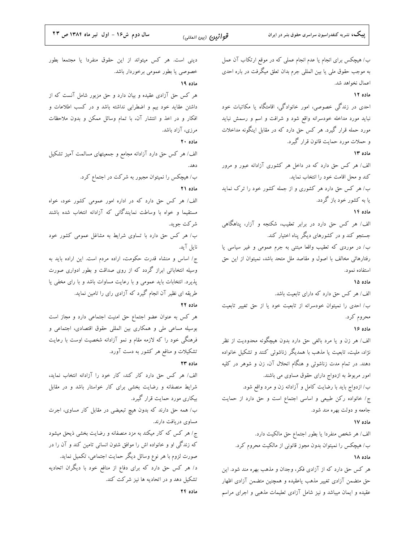دینی است. هر کس میتواند از این حقوق منفردا یا مجتمعا بطور خصوصی یا بطور عمومی برخوردار باشد. ماده ١٩ هر کس حق آزادی عقیده و بیان دارد و حق مزبور شامل آنست که از داشتن عقاید خود بیم و اضطرابی نداشته باشد و در کسب اطلاعات و افکار و در اخذ و انتشار آن، با تمام وسائل ممکن و بدون ملاحظات مرزی، آزاد باشد. ماده ٢٠ الف/ هر کس حق دارد آزادانه مجامع و جمعیتهای مسالمت آمیز تشکیل دهد. ب/ هیچکس را نمیتوان مجبور به شرکت در اجتماع کرد. ماده ٢١ الف/ هر کس حق دارد که در اداره امور عمومی کشور خود، خواه مستقيما و خواه با وساطت نمايندگاني كه آزادانه انتخاب شده باشند شرکت جويد. ب/ هر کس حق دارد با تساوی شرایط به مشاغل عمومی کشور خود نايل آيد. ج/ اساس و منشاء قدرت حکومت، اراده مردم است. این اراده باید به وسیله انتخاباتی ابراز گردد که از روی صداقت و بطور ادواری صورت پذیرد. انتخابات باید عمومی و با رعایت مساوات باشد و با رای مخفی یا طریقه ای نظیر آن انجام گیرد که آزادی رای را تامین نماید. ماده ٢٢ هر کس به عنوان عضو اجتماع حق امنیت اجتماعی دارد و مجاز است بوسیله مساعی ملی و همکاری بین المللی حقوق اقتصادی، اجتماعی و فرهنگی خود را که لازمه مقام و نمو آزادانه شخصیت اوست با رعایت تشکیلات و منافع هر کشور به دست آورد. ماده ٢٣ الف/ هر كس حق دارد كار كند، كار خود را آزادانه انتخاب نمايد، شرایط منصفانه و رضایت بخشی برای کار خواستار باشد و در مقابل بیکاری مورد حمایت قرار گیرد. ب/ همه حق دارند که بدون هیچ تبعیضی در مقابل کار مساوی، اجرت مساوی دریافت دارند. ج/ هر کس که کار میکند به مزد منصفانه و رضایت بخشی ذیحق میشود که زندگی او و خانواده اش را موافق شئون انسانی تامین کند و آن را در صورت لزوم با هر نوع وسائل دیگر حمایت اجتماعی، تکمیل نماید. د/ هر کس حق دارد که برای دفاع از منافع خود با دیگران اتحادیه تشکیل دهد و در اتحادیه ها نیز شرکت کند. ب/ هیچکس برای انجام یا عدم انجام عملی که در موقع ارتکاب آن عمل به موجب حقوق ملی یا بین المللی جرم بدان تعلق میگرفت در باره احدی اعمال نخواهد شد. ماده ١٢ احدی در زندگی خصوصی، امور خانوادگی، اقامتگاه یا مکاتبات خود نباید مورد مداخله خودسرانه واقع شود و شرافت و اسم و رسمش نباید مورد حمله قرار گیرد. هر کس حق دارد که در مقابل اینگونه مداخلات و حملات مورد حمایت قانون قرار گیرد. ماده ١٣ الف/ هر کس حق دارد که در داخل هر کشوری آزادانه عبور و مرور كند و محل اقامت خود را انتخاب نمايد. ب/ هر کس حق دارد هر کشوری و از جمله کشور خود را ترک نماید یا به کشور خود باز گردد. ماده ١٤ الف/ هر کس حق دارد در برابر تعقیب، شکنجه و آزار، پناهگاهی جستجو کند و در کشورهای دیگر پناه اختیار کند. ب/ در موردی که تعقیب واقعا مبتنی به جرم عمومی و غیر سیاسی یا رفتارهائی مخالف با اصول و مقاصد ملل متحد باشد، نمیتوان از این حق استفاده نمود. ماده ١۵ الف/ هر کس حق دارد که دارای تابعیت باشد. ب/ احدی را نمیتوان خودسرانه از تابعیت خود یا از حق تغییر تابعیت محروم کرد. ماده ۱۶ الف/ هر زن و یا مرد بالغی حق دارد بدون هیچگونه محدودیت از نظر نژاد، ملیت، تابعیت یا مذهب با همدیگر زناشوئی کنند و تشکیل خانواده دهند. در تمام مدت زناشوئی و هنگام انحلال آن، زن و شوهر در کلیه امور مربوط به ازدواج دارای حقوق مساوی می باشند. ب/ ازدواج باید با رضایت کامل و آزادانه زن و مرد واقع شود. ج/ خانواده ركن طبيعي و اساسي اجتماع است و حق دارد از حمايت جامعه و دولت بهره مند شود. ماده ١٧ الف/ هر شخص منفردا يا بطور اجتماع حق مالكيت دارد. ب/ هیچکس را نمیتوان بدون مجوز قانونی از مالکیت محروم کرد. ماده ١٨ هر کس حق دارد که از آزادی فکر، وجدان و مذهب بهره مند شود. این حق متضمن آزادی تغییر مذهب یاعقیده و همچنین متضمن آزادی اظهار

عقیده و ایمان میباشد و نیز شامل آزادی تعلیمات مذهبی و اجرای مراسم

ماده ٢۴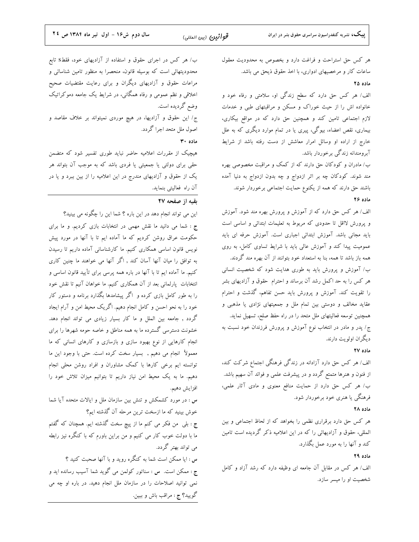هر کس حق استراحت و فراغت دارد و بخصوص به محدودیت معقول ساعات کار و مرخصیهای ادواری، با اخذ حقوق ذیحق می باشد.

# ماده ۲۵

الف/ هر کس حق دارد که سطح زندگی او، سلامتی و رفاه خود و خانواده اش را از حیث خوراک و مسکن و مراقبتهای طبی و خدمات لازم اجتماعی تامین کند و همچنین حق دارد که در مواقع بیکاری، بیماری، نقص اعضاء، بیوگی، پیری یا در تمام موارد دیگری که به علل خارج از اراده او وسائل امرار معاشش از دست رفته باشد از شرايط آبرومندانه زندگی برخوردار باشد.

ب/ مادران و کودکان حق دارند که از کمک و مراقبت مخصوصی بهره مند شوند. کودکان چه بر اثر ازدواج و چه بدون ازدواج به دنیا آمده باشند حق دارند که همه از یکنوع حمایت اجتماعی برخوردار شوند.

# ماده ۲۶

الف/ هر کس حق دارد که از آموزش و پرورش بهره مند شود. آموزش و پرورش لااقل تا حدودی که مربوط به تعلیمات ابتدائی و اساسی است باید مجانی باشد. آموزش ابتدائی اجباری است. آموزش حرفه ای باید عمومیت پیدا کند و آموزش عالی باید با شرایط تساوی کامل، به روی همه باز باشد تا همه، بنا به استعداد خود بتوانند از آن بهره مند گردند. ب/ آموزش و پرورش باید به طوری هدایت شود که شخصیت انسانی هر کس را به حد اکمل رشد آن برساند و احترام حقوق و آزادیهای بشر را تقویت کند. آموزش و پرورش باید حسن تفاهم، گذشت و احترام عقاید مخالف و دوستی بین تمام ملل و جمعیتهای نژادی یا مذهبی و همچنین توسعه فعالیتهای ملل متحد را در راه حفظ صلح، تسهیل نماید. ج/ پدر و مادر در انتخاب نوع آموزش و پرورش فرزندان خود نسبت به دیگران اولویت دارند.

# ماده ۲۷

الف/ هر کس حق دارد آزادانه در زندگی فرهنگی اجتماع شرکت کند، از فنون و هنرها متمتع گردد و در پیشرفت علمی و فوائد آن سهیم باشد. ب/ هر کس حق دارد از حمایت منافع معنوی و مادی آثار علمی، فرهنگی یا هنری خود برخوردار شود.

# ماده ٢٨

هر کس حق دارد برقراری نظمی را بخواهد که از لحاظ اجتماعی و بین المللی، حقوق و آزادیهائی را که در این اعلامیه ذکر گردیده است تامین کند و آنها را به مورد عمل بگذارد.

# ماده ٢٩

الف/ هر کس در مقابل آن جامعه ای وظیفه دارد که رشد آزاد و کامل شخصیت او را میسر سازد.

ب/ هر كس در اجراى حقوق و استفاده از آزاديهاى خود، فقط8 تابع محدودیتهائی است که بوسیله قانون، منحصرا به منظور تامین شناسائی و مراعات حقوق و آزادیهای دیگران و برای رعایت مقتضیات صحیح اخلاقی و نظم عمومی و رفاه همگانی، در شرایط یک جامعه دموکراتیک وضع گردیده است.

ج/ این حقوق و آزادیها، در هیچ موردی نمیتواند بر خلاف مقاصد و اصول ملل متحد اجرا گردد.

# ماده ۳۰

هیچیک از مقررات اعلامیه حاضر نباید طوری تفسیر شود که متضمن حقی برای دولتی یا جمعیتی یا فردی باشد که به موجب آن بتواند هر یک از حقوق و آزادیهای مندرج در این اعلامیه را از بین ببرد و یا در آن راه فعالیتی بنماید.

# نقبه از صفحه ۲۷

این می تواند انجام دهد در این باره ؟ شما این را چگونه می بینید؟ ج : شما می دانید ما نقش مهمی در انتخابات بازی کردیم. و ما برای حکومت عراق روشن کردیم که ما آماده ایم تا با آنها در مورد پیش نویس قانون اساسی همکاری کنیم. ما کارشناسانی آماده داریم تا رسیدن به توافق را میان آنها آسان کند , اگر آنها می خواهند ما چنین کاری کنیم. ما آماده ایم تا با آنها در باره همه پرسی برای تأیید قانون اساسی و انتخابات پارلمانی بعد از آن همکاری کنیم. ما خواهان آنیم تا نقش خود را به طور کامل بازی کرده و اگر پیشامدها بگذارد برنامه و دستور کار خود را به نحو احسن و کامل انجام دهیم. اگریک محیط امن و آرام ایجاد گردد , جامعه بین الملل و ما کار بسیار زیادی می تواند انجام دهد. خشونت دسترسی گسترده ما به همه مناطق و خاصه حومه شهرها را برای انجام کارهایی از نوع بهبود سازی و بازسازی و کارهای انسانی که ما معمولاً انجام می دهیم , بسیار سخت کرده است. حتی با وجود این ما توانسته ایم برخی کارها با کمک مشاوران و افراد روشن محلی انجام دهیم. ما به یک محیط امن نیاز داریم تا بتوانیم میزان تلاش خود را افزايش دهيم.

س : در مورد كشمكش و تنش بين سازمان ملل و ايالات متحده آيا شما خوش بینید که ما ازسخت ترین مرحله آن گذشته ایم؟

ج : بلي من فكر مي كنم ما از پيچ سخت گذشته ايم. همچنان كه گفتم ما با دولت خوب کار می کنیم و من براین باورم که با کنگره نیز رابطه می تواند بهتر گردد.

س : ایا ممکن است شما به کنگره روید و با آنها صحبت کنید ؟ ج : ممکن است. س : سناتور کولمن می گوید شما آسیب رسانده اید و نمی توانید اصلاحات را در سازمان ملل انجام دهید. در باره او چه می گویید؟ ج : مراقب باش و ببین.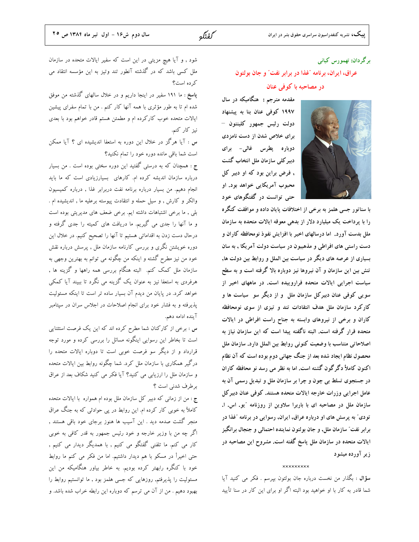# برگردان: تهمورس کیانی عراق، ایران، برنامه "غذا در برابر نفت" و جان بولتون در مصاحبه با کوفی عنان



مقدمه مترجم : هنگامیکه در سال ۱۹۹۷ کوفی عنان بنا به پیشنهاد دولت رئيس جمهور كلينتون – برای خلاص شدن از دست نامزدی دوباره پطرس غالی- برای دبیر کلی سازمان ملل انتخاب گشت , فرض براین بود که او دبیر کل محبوب آمریکایی خواهد بود. او حتی توانست در گفتگوهای خود

با سناتور جسی هلمز به برخی از اختلافات پایان داده و موافقت کنگره را با پرداخت یک میلیارد دلار از بدهی معوقه ایالات متحده به سازمان ملل بدست آورد. اما درسالهای اخیر با افزایش نفوذ نومحافظه کاران و دست راستی های افراطی و مذهبیون در سیاست دولت آمریکا , به سان بسیاری از عرصه های دیگر در سیاست بین الملل و روابط بین دولت ها, تنش بین این سازمان و آن نیروها نیز دوباره بالا گرفته است و به سطح سیاست اجرایی ایالات متحده فراروییده است. در ماههای اخیر از سویی کوفی عنان دبیرکل سازمان ملل و از دیگر سو سیاست ها و کارکرد سازمان ملل هدف انتقادات تند و تیزی از سوی نومحافظه کاران و برخی از نیروهای وابسته به جناح راست افراطی در ایالات متحده قرار گرفته است. البته ناگفته پیدا است که این سازمان نیاز به اصلاحاتی متناسب با وضعیت کنونی روابط بین الملل دارد. سازمان ملل محصول نظام ایجاد شده بعد از جنگ جهانی دوم بوده است که آن نظام اکنون کاملأ دگرگون گشته است. اما به نظر می رسد نو محافظه کاران در جستجوی تسلط بی چون و چرا بر سازمان ملل و تبدیل رسمی آن به عامل اجرایی وزرات خارجه ایالات متحده هستند. کوفی عنان دبیرکل سازمان ملل در مصاحبه ای با باربرا سلاوین از روزنامه "یو. اس. ا. تودی ً به پرسش های او درباره عراق, ایران, رسوایی در برنامه "غذا در برابر نفت ً سازمان ملل, و جان بولتون نماینده احتمالی و جنجال برانگیز ایالات متحده در سازمان ملل پاسخ گفته است. مشروح این مصاحبه در زیر آورده میشود

#### **xxxxxxxxx**

سؤال : بگذار من نخست درباره جان بولتون بیرسم . فکر می کنید آیا شما قادر به کار با او خواهید بود البته اگر او برای این کار در سنا تأیید

شود , و آیا هیچ مزیتی در این است که سفیر ایالات متحده در سازمان ملل کسی باشد که در گذشته آنطور تند وتیز به این مؤسسه انتقاد می کر ده است؟

پاسخ : ما ۱۹۱ سفیر در اینجا داریم و در خلال سالهای گذشته من موفق شده ام تا به طور مؤثری با همه آنها کار کنم . من با تمام سفرای پیشین ایالات متحده خوب کارکرده ام و مطمئن هستم قادر خواهم بود با بعدی نیز کار کنم.

س : آیا هرگز در خلال این دوره به استعفا اندیشیده ای ؟ آیا ممکن است شما باقی مانده دوره خود را تمام نکنید؟

ج : همچنان که به درستی گفتید این دوره سختی بوده است . من بسیار درباره سازمان اندیشه کرده ام. کارهای بسیارزیادی است که ما باید .<br>انجام دهیم. من بسیار درباره برنامه نفت دربرابر غذا , درباره کمیسیون والكر و كارش , و سيل حمله و انتقادت ييوسته برعليه ما , انديشيده ام . بلی , ما برخی اشتباهات داشته ایم. برخی ضعف های مدیریتی بوده است و ما آنها را جدی می گیریم. ما دریافت های کمیته را جدی گرفته و درحال دست زدن به اقداماتی هستیم تا آنها را تصحیح کنیم. در خلال این دوره خویشتن نگری و بررسی کارنامه سازمان ملل , پرسش درباره نقش خود من نیز مطرح گشته و اینکه من چگونه می توانم به بهترین وجهی به سازمان ملل کمک کنم. البته هنگام بررسی همه راهها و گزینه ها , هرفردی به استعفا نیز به عنوان یک گزینه می نگرد تا ببیند آیا کمکی خواهد کرد. در پایان من دیدم آن بسیار ساده تر است تا اینکه مسئولیت پذیرفته و به فشار خود برای انجام اصلاحات در اجلاس سران در سپتامبر آينده ادامه دهم.

س : برخی از کارکنان شما مطرح کرده اند که این یک فرصت استثنایی است تا بخاطر این رسوایی اینگونه مسائل را بررسی کرده و مورد توجه قرارداد و از دیگر سو فرصت خوبی است تا دوباره ایالات متحده را درگیر همکاری با سازمان ملل کرد. شما چگونه روابط بین ایالات متحده و سازمان ملل را ارزیابی می کنید؟ آیا فکر می کنید شکاف بعد از عراق برطرف شدنی است ؟

ج : من از زمانی که دبیر کل سازمان ملل بوده ام همواره با ایالات متحده کاملأ به خوبی کار کرده ام. این روابط در پی حوادثی که به جنگ عراق منجر گشت صدمه دید . این آسیب ها هنوز برجای خود باقی هستند , .<br>اگر چه من با وزیر خارجه و خود رئیس جمهور به قدر کافی به خوبی کار می کنم. ما تلفنی گفتگو می کنیم , با همدیگر دیدار می کنیم , حتى اخيراً در مسكو با هم ديدار داشتيم. اما من فكر مى كنم ما روابط خود با کنگره رابهتر کرده بودیم. به خاطر بیاور هنگامیکه من این مسئولیت را پذیرفتم, روزهایی که جسی هلمز بود , ما توانستیم روابط را بهبود دهیم . من از آن می ترسم که دوباره این رابطه خراب شده باشد. و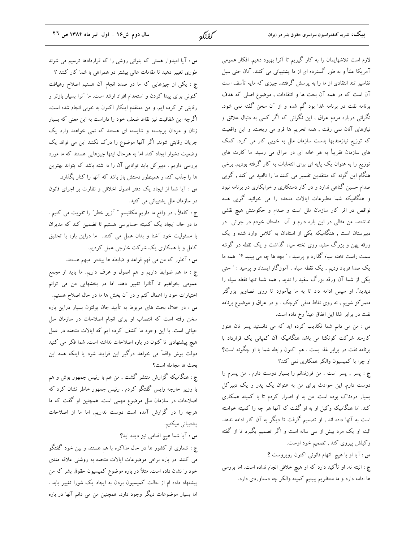**پییک،** نشریه کنفدراسیون سراسری حقوق بشر در ایران

لازم است تلاشهایمان را به کار گیریم تا آنرا بهبود دهیم. افکار عمومی آمریکا علنأ و به طور گسترده ای از ما پشتیبانی می کنند. آنان حتی سیل تفاسیر تند انتقادی از ما را به پرسش گرفتند. چیزی که مایه تأسف است آن است که در همه آن بحث ها و انتقادات , موضوع اصلی که هدف برنامه نفت در برنامه غذا بود گم شده و از آن سخن گفته نمی شود. نگرانی درباره مردم عراق , این نگرانی که اگر کسی به دنبال علائق و نیازهای آنان نمی رفت , همه تحریم ها فرو می ریخت. و این واقعیت که توزیع نیازمندیها بدست سازمان ملل به خوبی کار می کرد. کمک های سازمان تقریبأ به هر خانه ای در عراق می رسید. ما کارت های توزیع را به عنوان یک پایه ای برای انتخابات به کار گرفته بودیم. برخی هنگام این گونه که منتقدین تفسیر می کنند ما را ناامید می کند , گویی صدام حسین گناهی ندارد و در کار دستکاری و خرابکاری در برنامه نبود و هنگامیکه شما مطبوعات ایالات متحده را می خوانید گویی همه نواقص در اثر کار سازمان ملل است و صدام و حکومتش هیچ نقشی نداشتند. من مثالي در اين باره دارم و آن داستان خودم در جواني در دبیرستان است , هنگامیکه یکی از استادان به کلاس وارد شده و یک ورقه پهن و بزرگ سفید روی نخته سیاه گذاشت و یک نقطه در گوشه سمت راست تخته سیاه گذارد و پرسید : " بچه ها چه می بینید ؟" ً همه ما یک صدا فریاد زدیم , یک نقطه سیاه . آموزگار ایستاد و پرسید : " حتی یکی از شما آن ورقه بزرگ سفید را ندید , همه شما تنها نقطه سیاه را دیدید". او سپس ادامه داد تا به ما بیآموزد تا روی تصاویر بزرگتر متمرکز شویم , نه روی نقاط منفی کوچک . و در عراق و موضوع برنامه نفت در برابر غذا این اتفاق عینأ رخ داده است.

س : من می دانم شما تکذیب کرده اید که می دانستید پسر تان هنوز کارمند شرکت کوتکنا می باشد هنگامیکه آن کمپانی یک قرارداد با برنامه نفت در برابر غذا بست . هم اكنون رابطه شما با او چگونه است؟ او چرا با کمیسیون والکر همکاری نمی کند؟

ج : پسر , پسر است . من فرزندانم را بسیار دوست دارم . من پسرم را دوست دارم. این حوادث برای من به عنوان یک پدر و یک دبیرکل بسیار دردناک بوده است. من به او اصرار کردم تا با کمیته همکاری کند. اما هنگامیکه وکیل او به او گفت که آنها هر چه را کمیته خواسته است به آنها داده اند , او تصمیم گرفت تا دیگر به آن کار ادامه ندهد. البته او یک مرد بیش از سی ساله است و اگر تصمیم بگیرد تا از گفته وكيلش پيروي كند , تصميم خود اوست.

س : آيا او با هيچ اتهام قانوني اكنون روبروست ؟ ج : البته نه. او تأکید دارد که او هیچ خلافی انجام نداده است. اما بررسی ها ادامه دارد و ما منتظریم ببینیم کمیته والکر چه دستاوردی دارد.

سال دوم ش١۶ - اول تير ماه ١٣٨٤ ص ٢٦

س : آیا امیدوار هستی که بتوانی روشی را که قراردادها ترسیم می شوند طوری تغییر دهید تا مقامات عالی بیشتر در همراهی با شما کار کنند ؟ ج : یکی از چیزهایی که ما در صدد انجام آن هستیم اصلاح رهیافت کنونی برای پیدا کردن و استخدام افراد ارشد است. ما آنرا بسیار بازتر و رقابتی تر کرده ایم. و من معتقدم اینکار اکنون به خوبی انجام شده است. اگرچه این شفافیت نیز نقاط ضعف خود را داراست به این معنی که بسیار زنان و مردان برجسته و شایسته ای هستند که نمی خواهند وارد یک جریان رقابتی شوند, اگر آنها موضوع را درک نکنند این می تواند یک وضعیت دشوار ایجاد کند. اما به هرحال اینها چیزهایی هستند که ما مورد بررسی داریم . دبیرکل باید توانایی آن را دا شته باشد که بتواند بهترین ها را جذب کند و همینطور دستش باز باشد که آنها را کنار بگذارد.

س : آیا شما از ایجاد یک دفتر اصول اخلاقی و نظارت بر اجرای قانون در سازمان ملل پشتیبانی می کنید.

ج : كاملأ , در واقع ما داريم مكانيسم " آژير خطر" را تقويت مي كنيم . ما در حال ایجاد یک کمیته حسابرسی هستیم تا تضمین کند که مدیران با مسئوليت خود آشنا و بدان عمل مي كنند. ما دراين باره با تحقيق کامل و با همکاری یک شرکت خارجی عمل کردیم.

س : آنطور که من می فهم قواعد و ضابطه ها بیشتر ً مبهم هستند. ج : ما هم ضوابط داریم و هم اصول و عرف داریم. ما باید از مجمع عمومی بخواهیم تا آنانرا تغییر دهد. اما در بخشهایی من می توانم اختیارات خود را اعمال کنم و در آن بخش ها ما در حال اصلاح هستیم. س : در خلال بحث های مربوط به تأیید جان بولتون بسیار دراین باره سخن رفته است که انتصاب او برای انجام اصلاحات در سازمان ملل حیاتی است. با این وجود ما کشف کرده ایم که ایالات متحده در عمل هیچ پیشنهادی تا کنون در باره اصلاحات نداشته است. شما فکر می کنید دولت بوش واقعاً می خواهد درگیر این فرایند شود یا اینکه همه این بحث ها مجامله است؟

ج : هنگامیکه گزارش منتشر گشت , من هم با رئیس جمهور بوش و هم با وزیر خارجه رایس گفتگو کردم . رئیس جمهور خاطر نشان کرد که اصلاحات در سازمان ملل موضوع مهمی است. همچنین او گفت که ما هرچه را در گزارش آمده است دوست نداریم, اما ما از اصلاحات پشتيباني ميكنيم.

س : آیا شما هیچ اقدامی نیز دیده اید؟

ج : شماری از کشور ها در حال مذاکره با هم هستند و بین خود گفتگو می کنند. در باره برخی موضوعات ایالات متحده به روشنی علاقه مندی خود را نشان داده است. مثلأ در باره موضوع كميسيون حقوق بشر كه من پیشنهاد داده ام از حالت کمیسیون بودن به ایجاد یک شورا تغییر یابد . اما بسیار موضوعات دیگر وجود دارد. همچنین من می دانم آنها در باره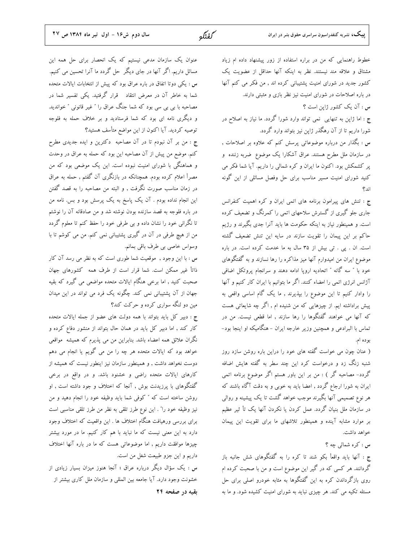خطوط راهنمایی که من در براره استفاده از زور پیشنهاد داده ام زیاد مشتاق و علاقه مند نیستند. نظر به اینکه آنها حداقل از عضویت یک کشور جدید در شورای امنیت پشتیبانی کرده اند , من فکر می کنم آنها در باره اصلاحات در شورای امنیت نیز نظر بازی و مثبتی دارند. س : آن یک کشور ژاین است ؟

ج : اما ژاپن به تنهایی نمی تواند وارد شورا گردد. ما نیاز به اصلاح در شورا داریم تا از آن رهگذر ژاپن نیز بتواند وارد گردد.

س : بگذار من درباره موضوعاتی پرسش کنم که علاوه بر اصلاحات , در سازمان ملل مطرح هستند. عراق آشکارا یک موضوع ً ضربه زننده ً و پر کشمکش بود. اکنون ما ایران و کره شمالی را داریم. آیا شما فکر می کنید شورای امنیت مسیر مناسب برای حل وفصل مسائلی از این گونه  $C_{11}$ 

ج : تنش های پیرامون برنامه های اتمی ایران و کره اهمیت کنفرانس جاری جلو گیری از گسترش سلاحهای اتمی را کمرنگ و تضعیف کرده است. و همینطور نیاز به اینکه حکومت ها باید آنرا جدی بگیرند و رژیم حاکم بر این پیمان را تقویت سازند در سایه این تنش تضعیف گشته است. ان . پی . تی بیش از ۳۵ سال به ما خدمت کرده است. در باره موضوع ایران من امیدوارم آنها میز مذاکره را رها نسازند و به گفتگوهای خود با ″ سه گانه ″ اتحادیه اروپا ادامه دهند و سرانجام پروتکل اضافی آژانس انرژی اتمی را امضاء کنند. اگر ما بتوانیم با ایران کار کنیم و آنها را وادار کنیم تا این موضوع را بپذیرند , ما یک گام اساسی واقعی به پیش براداشته ایم. از چیزهایی که من شنیده ام , اگر چه شایعاتی هست که آنها می خواهند گفتگوها را رها سازند , اما قطعی نیست. من در تماس با البرادعي و همچنين وزير خارجه ايران - هنگاميكه او اينجا بود-بوده ام.

( عنان چون می خواست گفته های خود را دراین باره روشن سازد روز شنبه زنگ زد و درخواست کرد این چند سطر به گفته هایش اضافه گردد- مصاحبه گر ) : من بر این باور هستم اگر موضوع برنامه اتمی ایران به شورا ارجاع گردد , اعضا باید به خوبی و به دقت آگاه باشند که هر نوع تصمیمی آنها بگیرند موجب خواهد گشت تا یک پیشینه و روالی در سازمان ملل بنیان گردد. عمل کردن یا نکردن آنها یک تأ ثیر عظیم بر موارد مشابه آینده و همینطور تلاشهای ما برای تقویت این پیمان خواهد داشت.

س : کره شمالی چه ؟

ج : آنها باید واقعأ بکو شند تا کره را به گفتگوهای شش جانبه باز گردانند. هر کسی که در گیر این موضوع است و من با صحبت کرده ام روی بازگرداندن کره به این گفتگوها به مثابه خودرو اصلی برای حل مسئله تکیه می کند. هر چیزی نباید به شورای امنیت کشیده شود. و ما به

عنوان یک سازمان مدعی نیستیم که یک انحصار برای حل همه این مسائل داریم. اگر آنها در جای دیگر حل گردد ما آنرا تحسین می کنیم. س : یکی دوتا اتفاق در باره عراق بود که پیش از انتخابات ایالات متحده شما به خاطر آن در معرض انتقاد قرار گرفتید. یکی تفسیر شما در مصاحبه با بی بی سی بود که شما جنگ عراق را ″ غیر قانونی ″ خواندید. و دیگری نامه ای بود که شما فرستادید و بر خلاف حمله به فلوجه توصیه کردید. آیا اکنون از این مواضع متأسف هستید؟

ج : من بر آن نبودم تا در آن مصاحبه ۖ دكترين و ايده جديدى مطرح کنم. موضع من پیش از آن مصاحبه این بود که حمله به عراق در وحدت و هماهنگی با شورای امنیت نبوده است. این یک موضعی بود که من مصرأ اعلام کرده بودم. همچنانکه در بازنگری آن گفتم , حمله به عراق در زمان مناسب صورت نگرفت , و البته من مصاحبه را به قصد گفتن این انجام نداده بودم . آن یک پاسخ به یک پرسش بود و بس. نامه من در باره فلوجه به قصد سازنده بودن نوشته شد و من صادقانه آن را نوشتم تا نگرانی خود را نشان داده و بی طرفی خود را حفظ کنم تا معلوم گردد من از هیچ طرفی در آن در گیری پشتیبانی نمی کنم. من می کوشم تا با وسواس خاصي بي طرف باقي بمانم.

س : با این وجود , موقعیت شما طوری است که به نظر می رسد آن کار ذاتأ غیر ممکن است. شما قرار است از طرف همه کشورهای جهان صحبت کنید , اما برخی هنگام ایالات متحده مواضعی می گیرد که بقیه جهان از آن پشتیبانی نمی کند. چگونه یک فرد می تواند در این میدان مین دو لنگه سواری کرده و حرکت کند؟

ج : دبیر کل باید بتواند با همه دولت های عضو از جمله ایالات متحده .<br>کار کند , اما دبیر کل باید در همان حال بتواند از منشور دفاع کرده و نگران علائق همه اعضاء باشد. بنابراین من می پذیرم که همیشه ً مواقعی خواهد بود که ایالات متحده هر چه را من می گویم یا انجام می دهم دوست نخواهد داشت , و همینطور سازمان نیز اینطور نیست که همیشه از کارهای ایالات متحده راضی و خشنود باشد. و در واقع در برخی گفتگوهای با پرزیدنت بوش , آنجا که اختلاف و جود داشته است , او روشن ساخته است كه " كوفي شما بايد وظيفه خود را انجام دهيد و من نيز وظيفه خود را" . اين نوع طرز تلقى به نظر من طرز تلقى مناسبي است برای بررسی ورهیافت هنگام اختلاف ها . این واقعیت که اختلاف وجود دارد به این معنی نیست که ما نباید با هم کار کنیم. ما در مورد بیشتر چیزها موافقت داریم , اما موضوعاتی هست که ما در باره آنها اختلاف داريم و اين جزو طبيعت شغل من است.

س : یک سؤال دیگر درباره عراق ؛ آنجا هنوز میزان بسیار زیادی از خشونت وجود دارد. آیا جامعه بین المللی و سازمان ملل کاری بیشتر از بقیه در صفحه ۲۴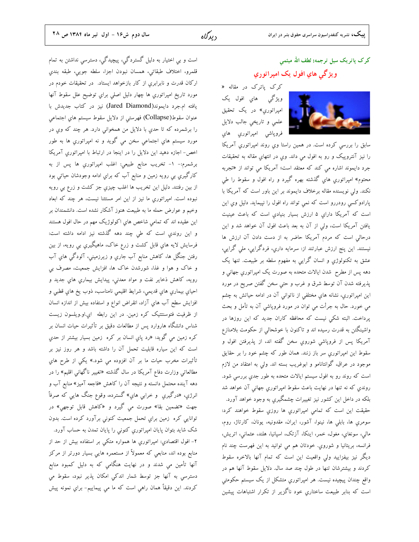# سال دوم ش١۶ - اول تير ماه ١٣٨٤ ص ٢٨

است و بی اختیار به دلیل گستردگی، پیچیدگی، دسترسی نداشتن به تمام قلمرو، اختلاف طبقاتي، همسان نبودن اجزا، سلطه جويى، طبقه بندي ارکان قدرت و نابرابری از کار بازخواهد ایستاد. در تحقیقات خودم در مورد تاريخ امپراتوري ها چهار دليل اصلي براي توضيح علل سقوط آنها يافته ام جرد دايموند(Jared Diamond) نيز در كتاب جديدش با عنوان سقوط(Collapse) فهرستی از دلایل سقوط سیستم های اجتماعی را برشمرده كه تا حدي با دلايل من همخوانی دارد. هر چند كه وي در مورد سيستم هاي اجتماعي سخن مي گويد و نه امپراتوري ها به طور اخص- اجازه دهید این دلایل را در اینجا در ارتباط با امپراتوری آمریکا برشمرم:- ١- تخريب منابع طبيعي: اغلب امپراتوري ها پس از به کارگيري بي رويه زمين و منابع آب که براي ادامه وجودشان حياتي بود از بين رفتند. دليل اين تخريب ها اغلب چيزي جز كشت و زرع بي رويه نبوده است. امپراتوري ما نيز از اين امر مستثنا نيست، هر چند كه ابعاد وخیم و عوارض حمله ما به طبیعت هنوز آشکار نشده است. دانشمندان بر این عقیده اند که تمامی شاخص های اکولوژیک مهم در حال افول هستند و این روندی است که طی چند دهه گذشته نیز ادامه داشته است: فرسايش لايه هاي قابل كشت و زرع خاک، ماهيگيري بي رويه، از بين رفتن جنگل ها، كاهش منابع آب جاري و زيرزميني، آلودگي هاي آب و خاک و هوا و غذا، شورشدن خاک ها، افزایش جمعیت، مصرف بی رويه، كاهش ذخاير نفت و مواد معدني، پيدايش بيماري هاي جديد و احياي بيماري هاي قديمي، شرايط اقليمي نامناسب، ذوب يخ هاي قطبي و افزایش سطح آب هاي آزاد، انقراض انواع و استفاده بیش از اندازه انسان از ظرفیت فتوسنتتیک کره زمین. در این رابطه اي.او.ویلسون زیست شناس دانشگاه هاروارد پس از مطالعات دقیق بر تأثیرات حیات انسان بر کره زمین می گوید: «رد پای انسان بر کره زمین بسیار بیشتر از حدی است که این سیاره قابلیت تحمل آن را داشته باشد و هر روز نیز بر تأثیرات مخرب حیات ما بر آن افزوده می شود.» یکی از طرح های مطالعاتی وزارت دفاع آمریکا در سال گذشته «تغییر ناگهانی اقلیم» را در دهه آینده محتمل دانسته و نتیجه آن را کاهش «فاجعه آمیز» منابع آب و انرژی، «درگیری و خرابی های» گسترده، وقوع جنگ هایی که صرفاً جهت «تضمین بقا» صورت می گیرد و «کاهش قابل توجهی» در توانایی کره زمین براي تحمل جمعیت کنونی برآورد کرده است. بدون شک شاید بتوان پایان امپراتوری کنونی را پایان تمدن به حساب آورد. ۲- افول اقتصادي: امپراتوري ها همواره متکی بر استفاده بیش از حد از منابع بوده اند، منابعی که معمولاً از مستعمره هایی بسیار دورتر از مرکز آنها تأمین می شدند و در نهایت هنگامی که به دلیل کمبود منابع دسترسي به آنها جز توسط شمار اندکي امکان پذير نبود، سقوط مي كردند. اين دقيقاً همان راهي است كه ما مي پيماييم- براي نمونه پيش

# کرک پاتریک سیل ترجمه: لطف الله میثمی ويژگي هاي افول يک امپراتوري

کرک یاترک در مقاله « ویژگی های افول یک

امپراتوري» در يک تحقيق علمي و تاريخي جالب دلايل فروپاشي امپراتوري هاي



سابق را بررسی کرده است. در همین راستا وی روند امپراتوری آمریکا را نیز آنتروپیک و رو به افول می داند. وی در انتهای مقاله به تحقیقات جرد دایموند اشاره می کند که معتقد است؛ آمریکا می تواند از «تجربه محتوم» امپراتوري هاي گذشته بهره گيرد و راه افول و سقوط را طي نکند. ولی نویسنده مقاله برخلاف دایموند بر این باور است که آمریکا با پارادوکسی رودررو است که نمی تواند راه افول را نپیماید. دلیل وي این است که آمریکا دارای ۵ ارزش بسیار بنیادی است که باعث عینیت یافتن آمریکا است، ولی از آن به بعد باعث افول آن خواهد شد و این درحالی است که مردم آمریکا حاضر به از دست دادن آن ارزش ها نیستند. این پنج ارزش عبارتند از: سرمایه داری، فردگرایی، ملی گرایی، عشق به تکنولوژی و انسان گرایی به مفهوم سلطه بر طبیعت. تنها یک دهه پس از مطرح شدن ایالات متحده به صورت یک امپراتوری جهانی و پذیرفته شدن آن توسط شرق و غرب و حتی سخن گفتن صریح در مورد این امپراتوری، نشانه های مختلفی از ناتوانی آن در ادامه حیاتش به چشم می خورد. حال به جرأت می توان در مورد فروپاشی آن به تأمل و بحث پرداخت. البته شکی نیست که محافظه کاران جدید که این روزها در واشینگتن به قدرت رسیده اند و تاکنون با خوشحالی از حکومت بلامنازع آمریکا پس از فروپاشی شوروی سخن گفته اند، از پذیرفتن افول و سقوط اين امپراتوري سر باز زنند. همان طور كه چشم خود را بر حقايق موجود در عراق، گوانتانامو و ابوغریب بسته اند. ولی به اعتقاد من لازم است كه روند رو به افول سيستم ايالات متحده به طور جدي بررسي شود. روندي كه نه تنها در نهايت باعث سقوط امپراتوري جهاني آن خواهد شد بلکه در داخل این کشور نیز تغییرات چشمگیری به وجود خواهد آورد. حقیقت این است که تمامی امپراتوری ها روزی سقوط خواهند کرد: سومري ها، بابلي ها، نينوا، آشور، ايران، مقدونيه، يونان، كارتاژ، روم، مالی، سونغای، مغول، خمر، اینکا، آزتک، اسپانیا، هلند، عثمانی، اتریش، فرانسه، بریتانیا و شوروی. خودتان هم می توانید به این فهرست چند نام ديگر نيز بيفزاييد ولي واقعيت اين است كه تمام آنها بالاخره سقوط کردند و بیشترشان تنها در طول چند صد سال. دلایل سقوط آنها هم در واقع چندان پیچیده نیست. هر امپراتوری متشکل از یک سیستم حکومتی است که بنابر طبیعت ساختاری خود ناگزیر از تکرار اشتباهات پیشین

دىدگاە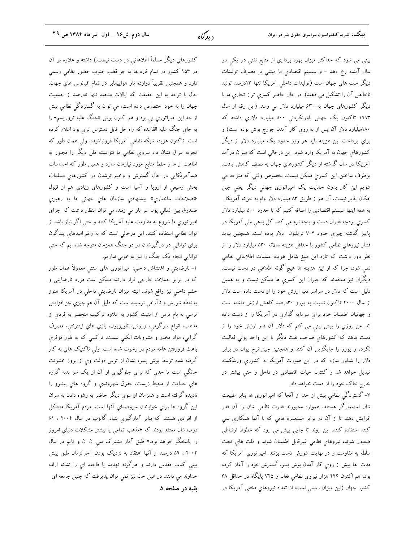دىدگاە

کشورهای دیگر مسلماً اطلاعاتی در دست نیست.) داشته و علاوه بر آن در ۱۵۳ کشور در تمام قاره ها به جز قطب جنوب حضور نظامی رسمی دارد و همچنین تقریباً دوازده ناو هواپیمابر در تمام اقیانوس های جهان. حال با توجه به این حقیقت که ایالات متحده تنها ۵درصد از جمعیت جهان را به خود اختصاص داده است، می توان به گستردگی نظامی بیش از حد این امپراتوری پی برد و هم اکنون بوش «جنگ علیه تروریسم» را به جای جنگ علیه القاعده که راه حل قابل دسترس تری بود اعلام کرده است. تاکنون هزینه شبکه نظامی آمریکا فرونپاشیده، ولی همان طور که تجربه عراق نشان داد نیروی نظامی ما نتوانسته ملل دیگر را مجبور به اطاعت از ما و حفظ منابع مورد نیازمان سازد و همین طور که احساسات ضدآمریکایی در حال گسترش و وخیم ترشدن در کشورهای مسلمان، بخش وسيعي از اروپا و آسيا است و كشورهاي زيادي هم از قبول «اصلاحات ساختاري» پيشنهادي سازمان هاي جهانی ما به رهبري صندوق بین المللی پول سر باز می زنند، می توان انتظار داشت که اجزای امپراتوري ما شروع به مقاومت عليه آمريکا کنند و حتى اگر نياز باشد از توان نظامي استفاده كنند. اين درحالي است كه به رغم اميدهاى پنتاگون براي توانايي در درگيرشدن در دو جنگ همزمان متوجه شده ايم كه حتى توانایی انجام یک جنگ را نیز به خوبی نداریم.

۴- نارضایتی و اغتشاش داخلی: امپراتوری های سنتی معمولاً همان طور که در برابر حملات خارجی قرار دارند، ممکن است مورد نارضایتی و خشم داخلی نیز واقع شوند. البته میزان نارضایتی داخلی در آمریکا هنوز به نقطه شورش و ناآرامی نرسیده است که دلیل آن هم چیزی جز افزایش ترسی به نام ترس از امنیت کشور به علاوه ترکیب منحصر به فردي از مذهب، انواع سرگرمي، ورزش، تلويزيون، بازي هاي اينترنتي، مصرف گرایی، مواد مخدر و مشروبات الکلی نیست. ترکیبی که به طور موثری باعث فرورفتن عامه مردم در رخوت شده است. ولی تاکتیک های به کار گرفته شده توسط بوش پسر، نشان از ترس دولت وي از بروز خشونت خانگی است تا حدی که برای جلوگیری از آن از یک سو بدنه گروه های حمایت از محیط زیست، حقوق شهروندی و گروه های پیشرو را نادیده گرفته است و همزمان از سوی دیگر حاضر به رشوه دادن به سران این گروه ها برای خواباندن سروصدای آنها است. مردم آمریکا متشکل از افرادی هستند که بنابر آمارگیری بنیاد گالوپ در سال ۲۰۰۴ ، ۶۱ درصدشان معتقد بودند که «مذهب تمام<sub>ی</sub> یا بیشتر مشکلات دنیای امروز را پاسخگو خواهد بود.» طبق آمار مشترک سی ان ان و تایم در سال ۲۰۰۲ ، ۵۹ درصد از آنها اعتقاد به نزدیک بودن آخرالزمان طبق پیش بینی کتاب مقدس دارند و هرگونه تهدید یا فاجعه ای را نشانه اراده خداوند می دانند. در عین حال نیز نمی توان پذیرفت که چنین جامعه ای بقیه در صفحه ۵

بینی می شود که حداکثر میزان بهره برداریِ از منابع نفتی در یکی دو سال آینده رخ دهد - و سیستم اقتصادي ما مبتنی بر مصرف تولیدات دیگر ملت های جهان است (تولیدات داخلی آمریکا تنها ۱۳درصد تولید ناخالص آن را تشکیل می دهند). در حال حاضر کسری تراز تجاری ما با دیگر کشورهای جهان به ۶۳۰ میلیارد دلار می رسد. (این رقم از سال ۱۹۹۳ تاکنون یک جهش باورنکردنی ۵۰۰ میلیارد دلاری داشته که ۱۸۰میلیارد دلار آن پس از به روی کار آمدن جورج بوش بوده است) و برای پرداخت این هزینه باید هر روز حدود یک میلیارد دلار از دیگر کشورهای جهان به آمریکا وارد شود. این درحالی است که میزان درآمد آمریکا در سال گذشته از دیگر کشورهای جهان به نصف کاهش یافت. برطرف ساختن این کسری ممکن نیست. بخصوص وقتی که متوجه می شویم این کار بدون حمایت یک امپراتوری جهانی دیگر یعنی چین امکان پذیر نیست، آن هم از طریق ۸۳ میلیارد دلار وام به خزانه آمریکا. به همه اینها سیستم اقتصادی را اضافه کنیم که با حدود ۵۰۰ میلیارد دلار کسري بودجه فدرال دست و پنجه نرم مي کند. کل بدهي ملي آمريکا در پاییز گذشته چیزی حدود ۷۰۴ تریلیون دلار بوده است. همچنین نباید فشار نیروهای نظامی کشور با حداقل هزینه سالانه ۵۳۰ میلیارد دلار را از نظر دور داشت که تازه این مبلغ شامل هزینه عملیات اطلاعاتی نظامی نمی شود، چرا که از این هزینه ها هیچ گونه اطلاعی در دست نیست. دیگران نیز معتقدند که جبران این کسری ها ممکن نیست و به همین دلیل است که دلار در سراسر دنیا ارزش خود را از دست داده است دلار از سال ۲۰۰۰ تاکنون نسبت به یورو ۳۰درصد کاهش ارزش داشته است و جهانیان اطمینان خود برای سرمایه گذاری در آمریکا را از دست داده اند. من روزي را پيش بيني مي كنم كه دلار آن قدر ارزش خود را از دست بدهد که کشورهای صاحب نفت دیگر با این واحد پولی فعالیت نکرده و یورو را جایگزین آن کنند و همچنین چین نرخ یوان در برابر دلار را شناور سازد که در این صورت آمریکا به کشوری ورشکسته تبدیل خواهد شد و کنترل حیات اقتصادی در داخل و حتی بیشتر در خارج خاک خود را از دست خواهد داد.

۳- گستردگی نظامی بیش از حد: از آنجا که امپراتوری ها بنابر طبیعت شان استعمارگر هستند، همواره مجبورند قدرت نظامی شان را آن قدر افزایش دهند تا از آن در برابر مستعمره هایی که با آنها همکاري نمی كنند استفاده كنند. اين روند تا جايي پيش مي رود كه خطوط ارتباطي ضعیف شوند، نیروهای نظامی غیرقابل اطمینان شوند و ملت های تحت سلطه به مقاومت و در نهایت شورش دست بزنند. امپراتوری آمریکا که مدت ها پیش از روی کار آمدن بوش پسر، گسترش خود را آغاز کرده بود، هم اکنون ۴۴۶ هزار نیروي نظامي فعال و ۷۲۵ پايگاه در حداقل ۳۸ کشور جهان (این میزان رسمی است، از تعداد نیروهای مخفی آمریکا در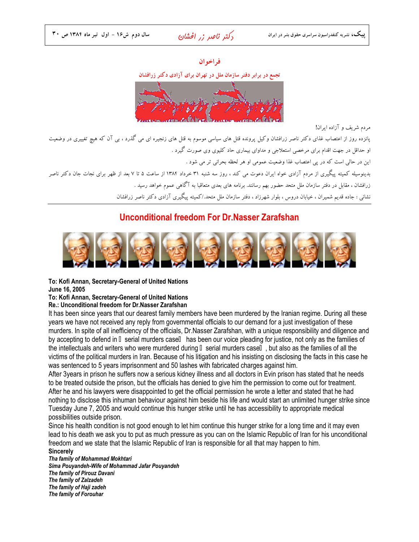دکتر ناصر زر افشان

**پییک،** نشریه کنفدراسیون سراسری حقوق بشر در ایران

# فر اخو ان

تجمع در برابر دفتر سازمان ملل در تهران برای آزادی دکتر زرافشان



مردم شریف و آزاده ایران!

پانزده روز از اعتصاب غذای دکتر ناصر زرافشان وکیل پرونده قتل های سیاسی موسوم به قتل های زنجیره ای می گذرد ، بی آن که هیچ تغییری در وضعیت او حداقل در جهت اقدام برای مرخصی استعلاجی و مداوای بیماری حاد کلیوی وی صورت گیرد .

این در حالی است که در پی اعتصاب غذا وضعیت عمومی او هر لحظه بحرانی تر می شود .

بدینوسیله کمیته پیگیری از مردم آزادی خواه ایران دعوت می کند ، روز سه شنبه ۳۱ خرداد ۱۳۸۴ از ساعت ۵ تا ۷ بعد از ظهر برای نجات جان دکتر ناصر زرافشان ، مقابل در دفتر سازمان ملل متحد حضور بهم رسانند. برنامه های بعدی متعاقبا به آگاهی عموم خواهد رسید .

نشانی : جاده قدیم شمیران ، خیابان دروس ، بلوار شهرزاد ، دفتر سازمان ملل متحد./کمیته پیگیری آزادی دکتر ناصر زرافشان

# Unconditional freedom For Dr. Nasser Zarafshan



To: Kofi Annan, Secretary-General of United Nations June 16, 2005

# To: Kofi Annan, Secretary-General of United Nations

#### Re.: Unconditional freedom for Dr.Nasser Zarafshan

It has been since years that our dearest family members have been murdered by the Iranian regime. During all these years we have not received any reply from governmental officials to our demand for a just investigation of these murders. In spite of all inefficiency of the officials, Dr.Nasser Zarafshan, with a unique responsibility and diligence and by accepting to defend in serial murders case has been our voice pleading for justice, not only as the families of the intellectuals and writers who were murdered during serial murders case, but also as the families of all the victims of the political murders in Iran. Because of his litigation and his insisting on disclosing the facts in this case he was sentenced to 5 years imprisonment and 50 lashes with fabricated charges against him.

After 3 years in prison he suffers now a serious kidney illness and all doctors in Evin prison has stated that he needs to be treated outside the prison, but the officials has denied to give him the permission to come out for treatment. After he and his lawyers were disappointed to get the official permission he wrote a letter and stated that he had nothing to disclose this inhuman behaviour against him beside his life and would start an unlimited hunger strike since Tuesday June 7, 2005 and would continue this hunger strike until he has accessibility to appropriate medical possibilities outside prison.

Since his health condition is not good enough to let him continue this hunger strike for a long time and it may even lead to his death we ask you to put as much pressure as you can on the Islamic Republic of Iran for his unconditional freedom and we state that the Islamic Republic of Iran is responsible for all that may happen to him. **Sincerely** 

Tha family of Mohammad Mokhtari Sima Pouyandeh-Wife of Mohammad Jafar Pouyandeh The family of Pirouz Davani The family of Zalzadeh The family of Haji zadeh The family of Forouhar